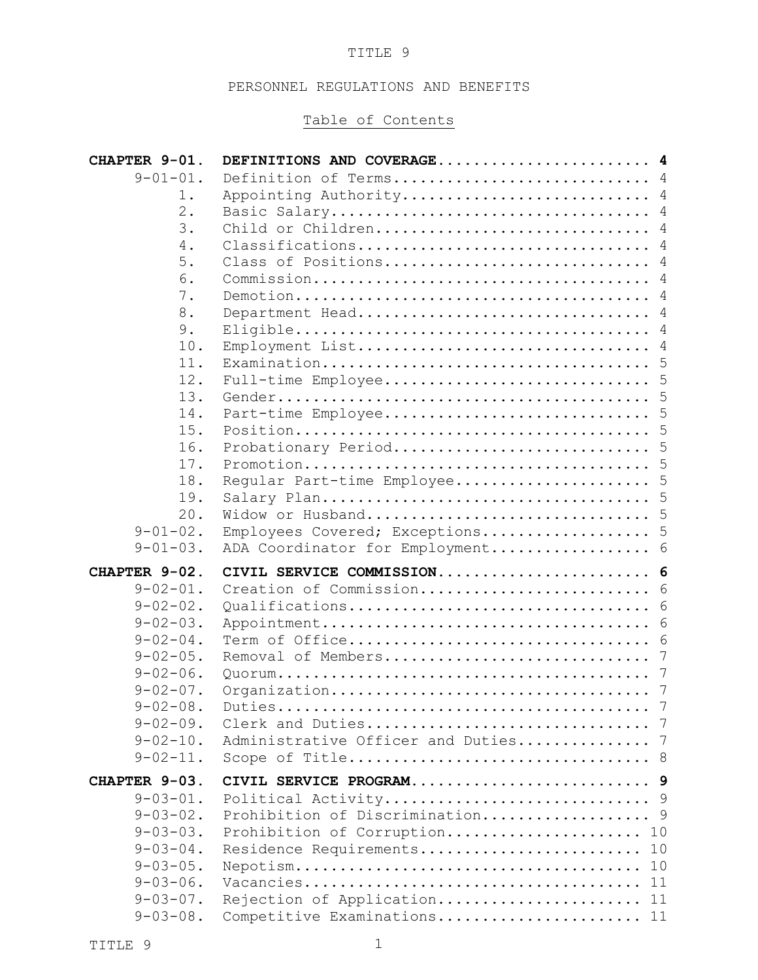### TITLE 9

## PERSONNEL REGULATIONS AND BENEFITS

# Table of Contents

| CHAPTER 9-01.   | DEFINITIONS AND COVERAGE 4          |    |
|-----------------|-------------------------------------|----|
| $9 - 01 - 01$ . | Definition of Terms 4               |    |
| 1.              | Appointing Authority 4              |    |
| $2$ .           |                                     |    |
| 3.              | Child or Children 4                 |    |
| 4.              | Classifications 4                   |    |
| 5.              | Class of Positions 4                |    |
| 6.              |                                     |    |
| 7.              |                                     |    |
| 8.              | Department Head 4                   |    |
| 9.              |                                     |    |
| 10.<br>11.      | Employment List 4                   |    |
| 12.             |                                     |    |
| 13.             |                                     |    |
| 14.             |                                     |    |
| 15.             |                                     |    |
| 16.             | Probationary Period 5               |    |
| 17.             |                                     |    |
| 18.             | Regular Part-time Employee 5        |    |
| 19.             |                                     |    |
| 20.             |                                     |    |
| $9 - 01 - 02$ . | Employees Covered; Exceptions 5     |    |
| $9 - 01 - 03$ . | ADA Coordinator for Employment 6    |    |
| CHAPTER 9-02.   | CIVIL SERVICE COMMISSION 6          |    |
| $9 - 02 - 01$ . | Creation of Commission 6            |    |
| $9 - 02 - 02$ . |                                     |    |
| $9 - 02 - 03$ . |                                     |    |
| $9 - 02 - 04$ . |                                     |    |
| $9 - 02 - 05$ . |                                     |    |
| $9 - 02 - 06$ . |                                     |    |
| $9 - 02 - 07$ . |                                     |    |
| $9 - 02 - 08$ . |                                     | 7  |
| $9 - 02 - 09$ . |                                     |    |
| $9 - 02 - 10$ . | Administrative Officer and Duties 7 |    |
| $9 - 02 - 11$ . |                                     |    |
| CHAPTER 9-03.   |                                     |    |
| $9 - 03 - 01$ . |                                     |    |
| $9 - 03 - 02$ . | Prohibition of Discrimination 9     |    |
| $9 - 03 - 03$ . | Prohibition of Corruption           | 10 |
| $9 - 03 - 04$ . | Residence Requirements              | 10 |
| $9 - 03 - 05$ . |                                     | 10 |
| $9 - 03 - 06$ . |                                     |    |
| $9 - 03 - 07$ . | Rejection of Application 11         |    |
| $9 - 03 - 08$ . | Competitive Examinations 11         |    |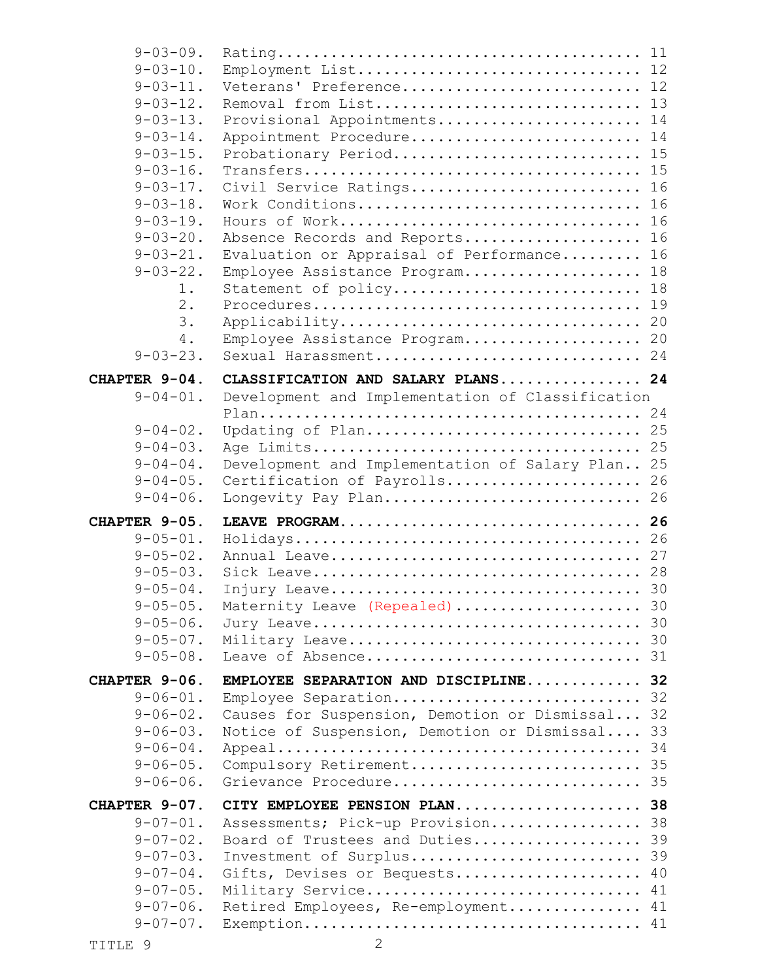| $9 - 03 - 09$ .                    |                                                  |    |
|------------------------------------|--------------------------------------------------|----|
| $9 - 03 - 10$ .                    | Employment List 12                               |    |
| $9 - 03 - 11$ .                    | Veterans' Preference 12                          |    |
| $9 - 03 - 12$ .                    | Removal from List 13                             |    |
| $9 - 03 - 13$ .                    | Provisional Appointments                         | 14 |
| $9 - 03 - 14$ .                    | Appointment Procedure                            | 14 |
| $9 - 03 - 15$ .                    | Probationary Period 15                           |    |
| $9 - 03 - 16$ .                    |                                                  |    |
| $9 - 03 - 17$ .                    | Civil Service Ratings 16                         |    |
| $9 - 03 - 18$ .                    | Work Conditions                                  | 16 |
| $9 - 03 - 19$ .                    | Hours of Work                                    | 16 |
| $9 - 03 - 20$ .                    | Absence Records and Reports                      | 16 |
| $9 - 03 - 21$ .                    | Evaluation or Appraisal of Performance           | 16 |
| $9 - 03 - 22$ .                    | Employee Assistance Program 18                   |    |
| $1$ .                              | Statement of policy 18                           |    |
| $2$ .                              |                                                  |    |
| 3.                                 | Applicability 20                                 |    |
| 4.                                 | Employee Assistance Program 20                   |    |
| $9 - 03 - 23$ .                    | Sexual Harassment 24                             |    |
|                                    |                                                  |    |
| CHAPTER 9-04.                      | CLASSIFICATION AND SALARY PLANS 24               |    |
| $9 - 04 - 01$ .                    | Development and Implementation of Classification |    |
|                                    |                                                  |    |
| $9 - 04 - 02$ .                    | Updating of Plan 25                              |    |
| $9 - 04 - 03$ .                    |                                                  |    |
| $9 - 04 - 04$ .<br>$9 - 04 - 05$ . | Development and Implementation of Salary Plan 25 |    |
|                                    |                                                  |    |
|                                    | Certification of Payrolls 26                     |    |
| $9 - 04 - 06$ .                    | Longevity Pay Plan 26                            |    |
| CHAPTER 9-05.                      | LEAVE PROGRAM 26                                 |    |
| $9 - 05 - 01$ .                    |                                                  |    |
| $9 - 05 - 02$ .                    |                                                  |    |
| $9 - 05 - 03$ .                    |                                                  |    |
| $9 - 05 - 04$ .                    |                                                  |    |
| $9 - 05 - 05$ .                    | Maternity Leave (Repealed)  30                   |    |
| $9 - 05 - 06$ .                    |                                                  |    |
| $9 - 05 - 07$ .                    | Military Leave 30                                |    |
| $9 - 05 - 08$ .                    |                                                  |    |
|                                    |                                                  |    |
| CHAPTER 9-06.                      | EMPLOYEE SEPARATION AND DISCIPLINE 32            |    |
| $9 - 06 - 01$ .                    | Employee Separation 32                           |    |
| $9 - 06 - 02$ .                    | Causes for Suspension, Demotion or Dismissal 32  |    |
| $9 - 06 - 03$ .                    | Notice of Suspension, Demotion or Dismissal      | 33 |
| $9 - 06 - 04$ .                    |                                                  |    |
| $9 - 06 - 05$ .                    | Compulsory Retirement 35                         |    |
| $9 - 06 - 06$ .                    | Grievance Procedure 35                           |    |
| CHAPTER 9-07.                      | CITY EMPLOYEE PENSION PLAN 38                    |    |
| $9 - 07 - 01$ .                    | Assessments; Pick-up Provision 38                |    |
| $9 - 07 - 02$ .                    | Board of Trustees and Duties 39                  |    |
| $9 - 07 - 03$ .                    | Investment of Surplus 39                         |    |
| $9 - 07 - 04$ .                    | Gifts, Devises or Bequests 40                    |    |
| $9 - 07 - 05$ .                    | Military Service 41                              |    |
| $9 - 07 - 06$ .<br>$9 - 07 - 07$ . | Retired Employees, Re-employment 41              |    |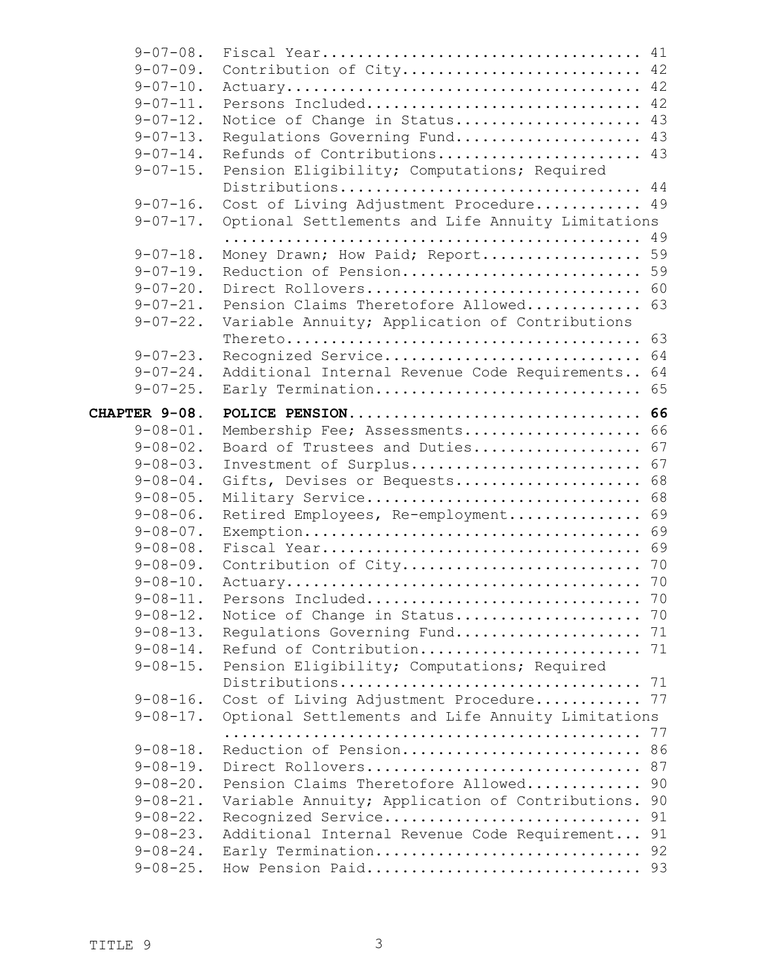| $9 - 07 - 08$ . |                                                   | 41 |
|-----------------|---------------------------------------------------|----|
| $9 - 07 - 09.$  | Contribution of City                              | 42 |
| $9 - 07 - 10$ . |                                                   | 42 |
| $9 - 07 - 11$ . | Persons Included                                  | 42 |
| $9 - 07 - 12$ . | Notice of Change in Status                        | 43 |
| $9 - 07 - 13$ . | Regulations Governing Fund                        | 43 |
| $9 - 07 - 14$ . | Refunds of Contributions                          | 43 |
| $9 - 07 - 15$ . | Pension Eligibility; Computations; Required       |    |
|                 | Distributions                                     | 44 |
| $9 - 07 - 16$ . | Cost of Living Adjustment Procedure               | 49 |
| $9 - 07 - 17$ . | Optional Settlements and Life Annuity Limitations |    |
|                 |                                                   | 49 |
| $9 - 07 - 18$ . | Money Drawn; How Paid; Report                     | 59 |
| $9 - 07 - 19$ . | Reduction of Pension                              | 59 |
| $9 - 07 - 20$ . | Direct Rollovers                                  | 60 |
| $9 - 07 - 21$ . | Pension Claims Theretofore Allowed                | 63 |
| $9 - 07 - 22$ . | Variable Annuity; Application of Contributions    |    |
|                 |                                                   | 63 |
| $9 - 07 - 23$ . | Recognized Service                                | 64 |
| $9 - 07 - 24$ . | Additional Internal Revenue Code Requirements     | 64 |
| $9 - 07 - 25$ . | Early Termination                                 | 65 |
|                 |                                                   |    |
| CHAPTER 9-08.   | POLICE PENSION                                    | 66 |
| $9 - 08 - 01$ . | Membership Fee; Assessments                       | 66 |
| $9 - 08 - 02$ . | Board of Trustees and Duties                      | 67 |
| $9 - 08 - 03$ . | Investment of Surplus                             | 67 |
| $9 - 08 - 04$ . | Gifts, Devises or Bequests                        | 68 |
| $9 - 08 - 05$ . | Military Service                                  | 68 |
| $9 - 08 - 06$ . | Retired Employees, Re-employment                  | 69 |
| $9 - 08 - 07$ . |                                                   | 69 |
| $9 - 08 - 08.$  |                                                   | 69 |
| $9 - 08 - 09$ . | Contribution of City                              | 70 |
| $9 - 08 - 10$ . |                                                   |    |
| $9 - 08 - 11.$  | Persons Included                                  | 70 |
| $9 - 08 - 12$ . | Notice of Change in Status 70                     |    |
| $9 - 08 - 13$ . | Regulations Governing Fund 71                     |    |
| $9 - 08 - 14$ . |                                                   |    |
| $9 - 08 - 15$ . | Pension Eligibility; Computations; Required       |    |
|                 |                                                   |    |
| $9 - 08 - 16$ . | Cost of Living Adjustment Procedure 77            |    |
| $9 - 08 - 17$ . | Optional Settlements and Life Annuity Limitations |    |
|                 |                                                   | 77 |
| $9 - 08 - 18$ . | Reduction of Pension                              | 86 |
| $9 - 08 - 19$ . | Direct Rollovers                                  | 87 |
| $9 - 08 - 20$ . | Pension Claims Theretofore Allowed                | 90 |
| $9 - 08 - 21$ . | Variable Annuity; Application of Contributions.   | 90 |
| $9 - 08 - 22$ . | Recognized Service                                | 91 |
| $9 - 08 - 23.$  | Additional Internal Revenue Code Requirement 91   |    |
| $9 - 08 - 24$ . | Early Termination 92                              |    |
| $9 - 08 - 25$ . | How Pension Paid 93                               |    |
|                 |                                                   |    |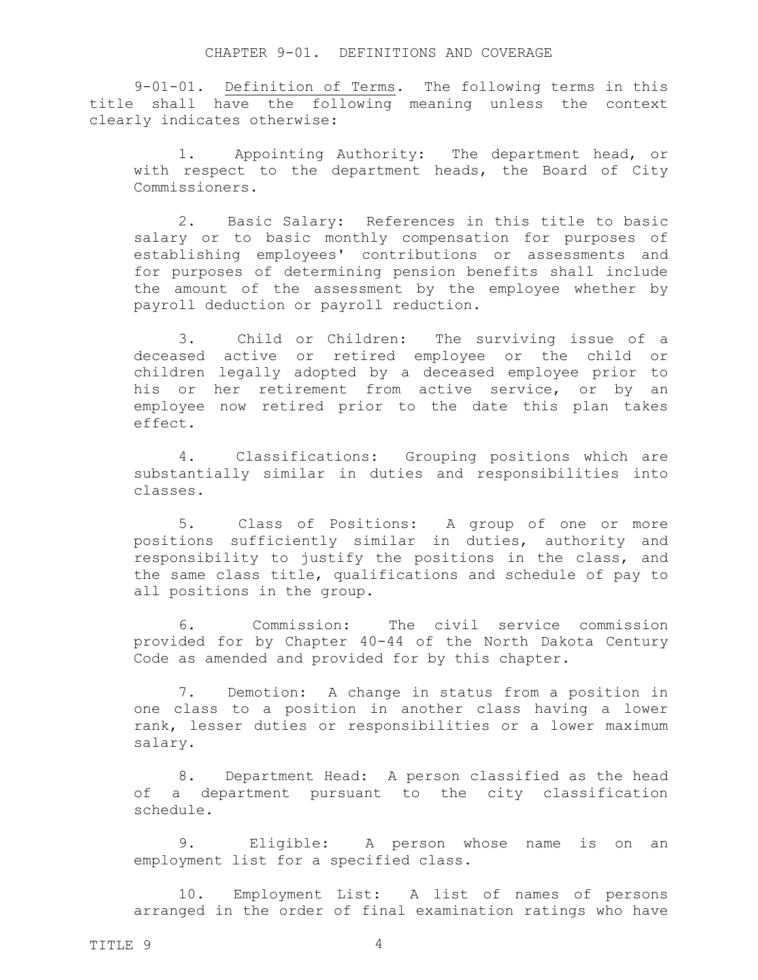#### <span id="page-3-2"></span><span id="page-3-1"></span><span id="page-3-0"></span>CHAPTER 9-01. DEFINITIONS AND COVERAGE

9-01-01. Definition of Terms. The following terms in this title shall have the following meaning unless the context clearly indicates otherwise:

1. Appointing Authority: The department head, or with respect to the department heads, the Board of City Commissioners.

<span id="page-3-3"></span>2. Basic Salary: References in this title to basic salary or to basic monthly compensation for purposes of establishing employees' contributions or assessments and for purposes of determining pension benefits shall include the amount of the assessment by the employee whether by payroll deduction or payroll reduction.

<span id="page-3-4"></span>3. Child or Children: The surviving issue of a deceased active or retired employee or the child or children legally adopted by a deceased employee prior to his or her retirement from active service, or by an employee now retired prior to the date this plan takes effect.

<span id="page-3-5"></span>4. Classifications: Grouping positions which are substantially similar in duties and responsibilities into classes.

<span id="page-3-6"></span>5. Class of Positions: A group of one or more positions sufficiently similar in duties, authority and responsibility to justify the positions in the class, and the same class title, qualifications and schedule of pay to all positions in the group.

<span id="page-3-7"></span>6. Commission: The civil service commission provided for by Chapter 40-44 of the North Dakota Century Code as amended and provided for by this chapter.

<span id="page-3-8"></span>7. Demotion: A change in status from a position in one class to a position in another class having a lower rank, lesser duties or responsibilities or a lower maximum salary.

<span id="page-3-9"></span>8. Department Head: A person classified as the head of a department pursuant to the city classification schedule.

<span id="page-3-10"></span>9. Eligible: A person whose name is on an employment list for a specified class.

<span id="page-3-11"></span>10. Employment List: A list of names of persons arranged in the order of final examination ratings who have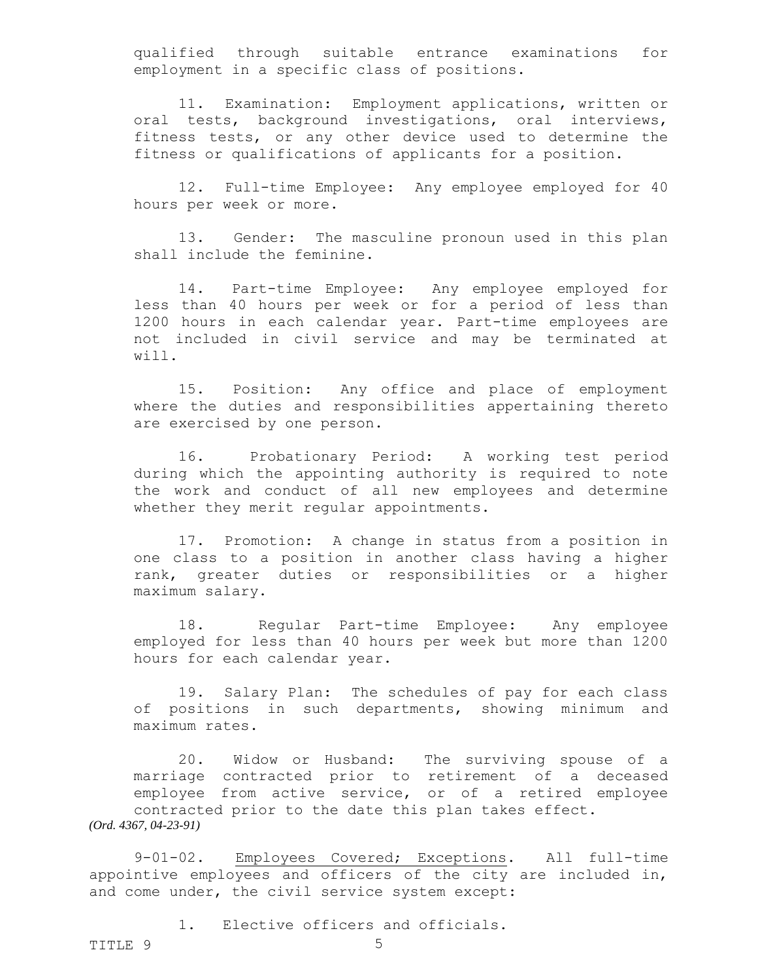qualified through suitable entrance examinations for employment in a specific class of positions.

<span id="page-4-0"></span>11. Examination: Employment applications, written or oral tests, background investigations, oral interviews, fitness tests, or any other device used to determine the fitness or qualifications of applicants for a position.

<span id="page-4-1"></span>12. Full-time Employee: Any employee employed for 40 hours per week or more.

<span id="page-4-2"></span>13. Gender: The masculine pronoun used in this plan shall include the feminine.

<span id="page-4-3"></span>14. Part-time Employee: Any employee employed for less than 40 hours per week or for a period of less than 1200 hours in each calendar year. Part-time employees are not included in civil service and may be terminated at will.

<span id="page-4-4"></span>15. Position: Any office and place of employment where the duties and responsibilities appertaining thereto are exercised by one person.

<span id="page-4-5"></span>16. Probationary Period: A working test period during which the appointing authority is required to note the work and conduct of all new employees and determine whether they merit regular appointments.

<span id="page-4-6"></span>17. Promotion: A change in status from a position in one class to a position in another class having a higher rank, greater duties or responsibilities or a higher maximum salary.

<span id="page-4-7"></span>18. Regular Part-time Employee: Any employee employed for less than 40 hours per week but more than 1200 hours for each calendar year.

<span id="page-4-9"></span><span id="page-4-8"></span>19. Salary Plan: The schedules of pay for each class of positions in such departments, showing minimum and maximum rates.

20. Widow or Husband: The surviving spouse of a marriage contracted prior to retirement of a deceased employee from active service, or of a retired employee contracted prior to the date this plan takes effect. *(Ord. 4367, 04-23-91)*

9-01-02. Employees Covered; Exceptions. All full-time appointive employees and officers of the city are included in, and come under, the civil service system except:

<span id="page-4-10"></span>1. Elective officers and officials.

TITLE 9 5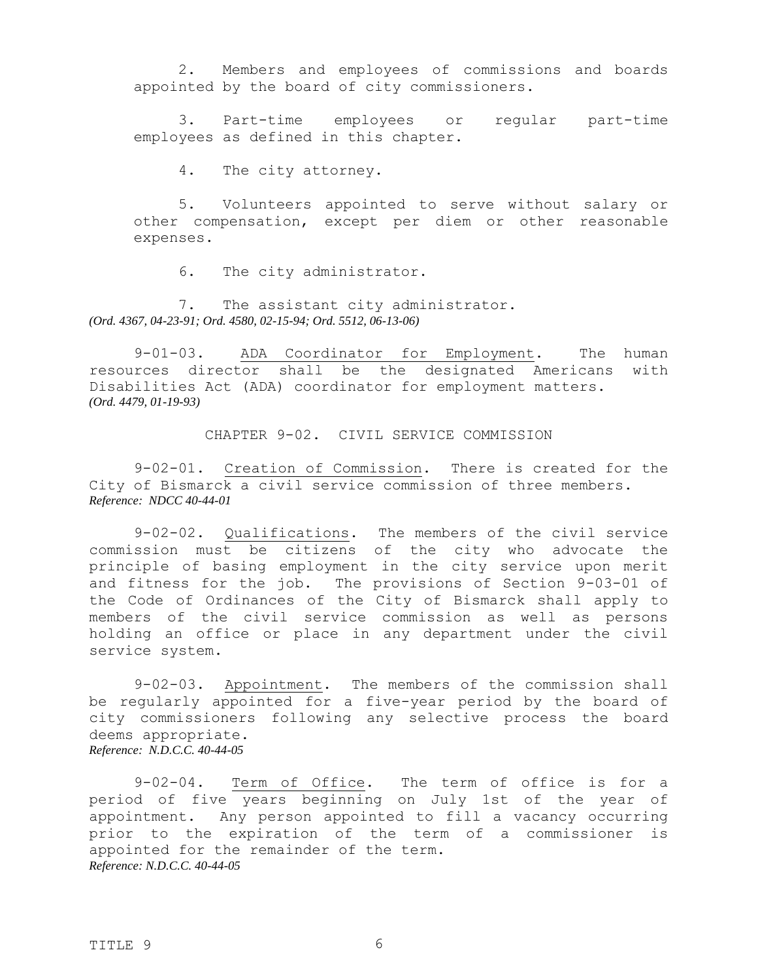2. Members and employees of commissions and boards appointed by the board of city commissioners.

3. Part-time employees or regular part-time employees as defined in this chapter.

4. The city attorney.

5. Volunteers appointed to serve without salary or other compensation, except per diem or other reasonable expenses.

6. The city administrator.

7. The assistant city administrator. *(Ord. 4367, 04-23-91; Ord. 4580, 02-15-94; Ord. 5512, 06-13-06)*

9-01-03. ADA Coordinator for Employment. The human resources director shall be the designated Americans with Disabilities Act (ADA) coordinator for employment matters. *(Ord. 4479, 01-19-93)*

<span id="page-5-3"></span><span id="page-5-2"></span><span id="page-5-1"></span><span id="page-5-0"></span>CHAPTER 9-02. CIVIL SERVICE COMMISSION

9-02-01. Creation of Commission. There is created for the City of Bismarck a civil service commission of three members. *Reference: NDCC 40-44-01* 

9-02-02. Qualifications. The members of the civil service commission must be citizens of the city who advocate the principle of basing employment in the city service upon merit and fitness for the job. The provisions of Section 9-03-01 of the Code of Ordinances of the City of Bismarck shall apply to members of the civil service commission as well as persons holding an office or place in any department under the civil service system.

<span id="page-5-4"></span>9-02-03. Appointment. The members of the commission shall be regularly appointed for a five-year period by the board of city commissioners following any selective process the board deems appropriate. *Reference: N.D.C.C. 40-44-05* 

9-02-04. Term of Office. The term of office is for a period of five years beginning on July 1st of the year of appointment. Any person appointed to fill a vacancy occurring prior to the expiration of the term of a commissioner is appointed for the remainder of the term. *Reference: N.D.C.C. 40-44-05* 

<span id="page-5-5"></span>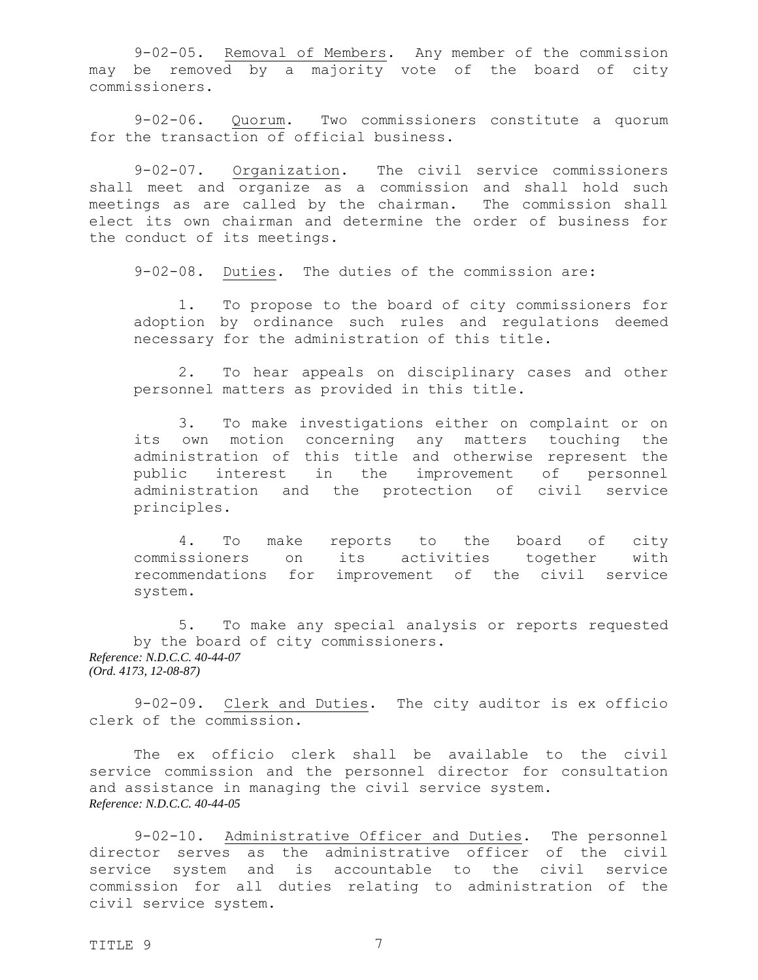<span id="page-6-0"></span>9-02-05. Removal of Members. Any member of the commission may be removed by a majority vote of the board of city commissioners.

<span id="page-6-1"></span>9-02-06. Quorum. Two commissioners constitute a quorum for the transaction of official business.

9-02-07. Organization. The civil service commissioners shall meet and organize as a commission and shall hold such meetings as are called by the chairman. The commission shall elect its own chairman and determine the order of business for the conduct of its meetings.

<span id="page-6-3"></span><span id="page-6-2"></span>9-02-08. Duties. The duties of the commission are:

1. To propose to the board of city commissioners for adoption by ordinance such rules and regulations deemed necessary for the administration of this title.

2. To hear appeals on disciplinary cases and other personnel matters as provided in this title.

3. To make investigations either on complaint or on its own motion concerning any matters touching the administration of this title and otherwise represent the public interest in the improvement of personnel administration and the protection of civil service principles.

4. To make reports to the board of city commissioners on its activities together with recommendations for improvement of the civil service system.

5. To make any special analysis or reports requested by the board of city commissioners. *Reference: N.D.C.C. 40-44-07 (Ord. 4173, 12-08-87)*

9-02-09. Clerk and Duties. The city auditor is ex officio clerk of the commission.

The ex officio clerk shall be available to the civil service commission and the personnel director for consultation and assistance in managing the civil service system. *Reference: N.D.C.C. 40-44-05* 

9-02-10. Administrative Officer and Duties. The personnel director serves as the administrative officer of the civil service system and is accountable to the civil service commission for all duties relating to administration of the civil service system.

<span id="page-6-5"></span><span id="page-6-4"></span>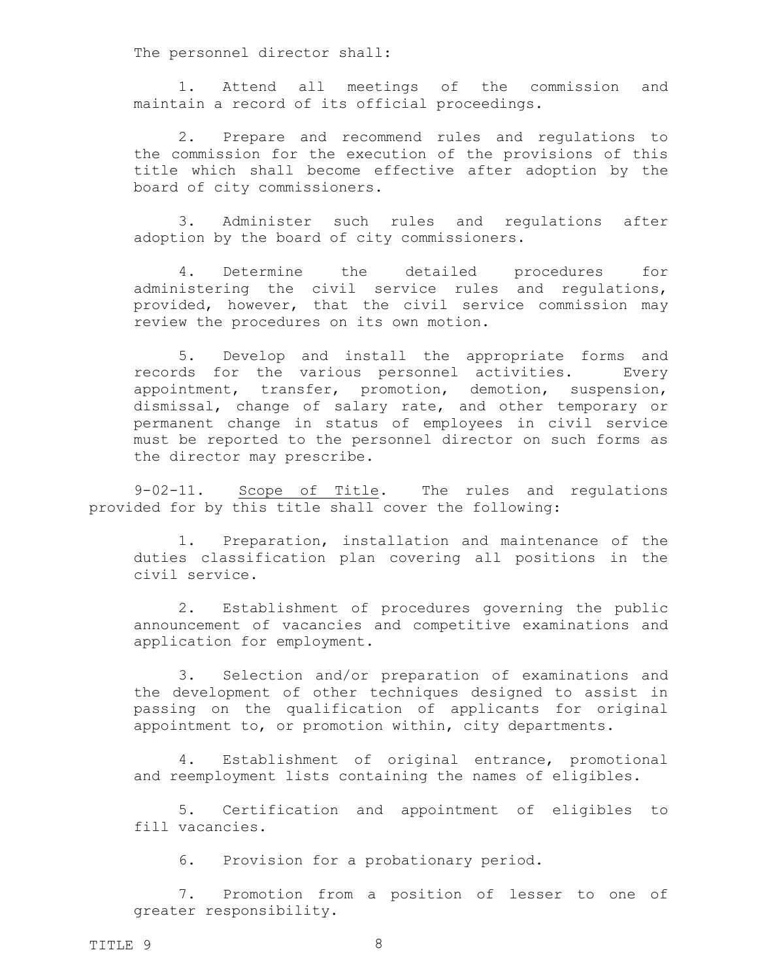The personnel director shall:

1. Attend all meetings of the commission and maintain a record of its official proceedings.

2. Prepare and recommend rules and regulations to the commission for the execution of the provisions of this title which shall become effective after adoption by the board of city commissioners.

3. Administer such rules and regulations after adoption by the board of city commissioners.

4. Determine the detailed procedures for administering the civil service rules and regulations, provided, however, that the civil service commission may review the procedures on its own motion.

5. Develop and install the appropriate forms and records for the various personnel activities. Every appointment, transfer, promotion, demotion, suspension, dismissal, change of salary rate, and other temporary or permanent change in status of employees in civil service must be reported to the personnel director on such forms as the director may prescribe.

9-02-11. Scope of Title. The rules and regulations provided for by this title shall cover the following:

<span id="page-7-0"></span>1. Preparation, installation and maintenance of the duties classification plan covering all positions in the civil service.

2. Establishment of procedures governing the public announcement of vacancies and competitive examinations and application for employment.

3. Selection and/or preparation of examinations and the development of other techniques designed to assist in passing on the qualification of applicants for original appointment to, or promotion within, city departments.

4. Establishment of original entrance, promotional and reemployment lists containing the names of eligibles.

5. Certification and appointment of eligibles to fill vacancies.

6. Provision for a probationary period.

7. Promotion from a position of lesser to one of greater responsibility.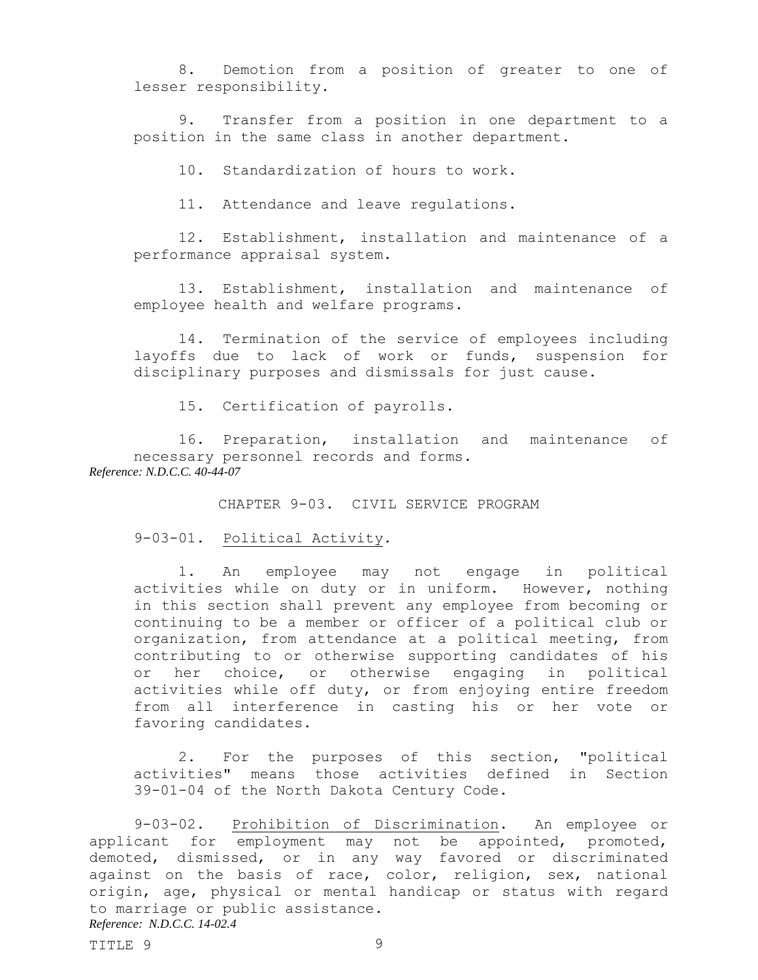8. Demotion from a position of greater to one of lesser responsibility.

9. Transfer from a position in one department to a position in the same class in another department.

10. Standardization of hours to work.

11. Attendance and leave regulations.

12. Establishment, installation and maintenance of a performance appraisal system.

13. Establishment, installation and maintenance of employee health and welfare programs.

14. Termination of the service of employees including layoffs due to lack of work or funds, suspension for disciplinary purposes and dismissals for just cause.

15. Certification of payrolls.

16. Preparation, installation and maintenance of necessary personnel records and forms. *Reference: N.D.C.C. 40-44-07* 

<span id="page-8-1"></span><span id="page-8-0"></span>CHAPTER 9-03. CIVIL SERVICE PROGRAM

## 9-03-01. Political Activity.

1. An employee may not engage in political activities while on duty or in uniform. However, nothing in this section shall prevent any employee from becoming or continuing to be a member or officer of a political club or organization, from attendance at a political meeting, from contributing to or otherwise supporting candidates of his or her choice, or otherwise engaging in political activities while off duty, or from enjoying entire freedom from all interference in casting his or her vote or favoring candidates.

<span id="page-8-2"></span>2. For the purposes of this section, "political activities" means those activities defined in Section 39-01-04 of the North Dakota Century Code.

9-03-02. Prohibition of Discrimination. An employee or applicant for employment may not be appointed, promoted, demoted, dismissed, or in any way favored or discriminated against on the basis of race, color, religion, sex, national origin, age, physical or mental handicap or status with regard to marriage or public assistance. *Reference: N.D.C.C. 14-02.4*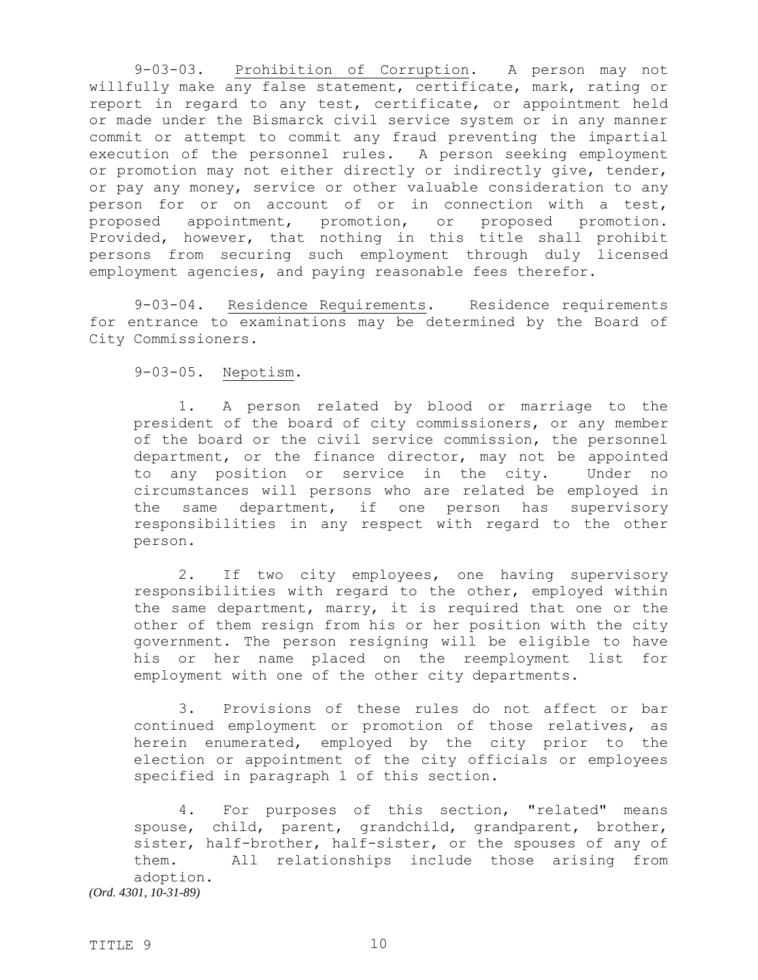<span id="page-9-0"></span>9-03-03. Prohibition of Corruption. A person may not willfully make any false statement, certificate, mark, rating or report in regard to any test, certificate, or appointment held or made under the Bismarck civil service system or in any manner commit or attempt to commit any fraud preventing the impartial execution of the personnel rules. A person seeking employment or promotion may not either directly or indirectly give, tender, or pay any money, service or other valuable consideration to any person for or on account of or in connection with a test, proposed appointment, promotion, or proposed promotion. Provided, however, that nothing in this title shall prohibit persons from securing such employment through duly licensed employment agencies, and paying reasonable fees therefor.

9-03-04. Residence Requirements. Residence requirements for entrance to examinations may be determined by the Board of City Commissioners.

<span id="page-9-2"></span><span id="page-9-1"></span>9-03-05. Nepotism.

1. A person related by blood or marriage to the president of the board of city commissioners, or any member of the board or the civil service commission, the personnel department, or the finance director, may not be appointed to any position or service in the city. Under no circumstances will persons who are related be employed in the same department, if one person has supervisory responsibilities in any respect with regard to the other person.

2. If two city employees, one having supervisory responsibilities with regard to the other, employed within the same department, marry, it is required that one or the other of them resign from his or her position with the city government. The person resigning will be eligible to have his or her name placed on the reemployment list for employment with one of the other city departments.

3. Provisions of these rules do not affect or bar continued employment or promotion of those relatives, as herein enumerated, employed by the city prior to the election or appointment of the city officials or employees specified in paragraph 1 of this section.

4. For purposes of this section, "related" means spouse, child, parent, grandchild, grandparent, brother, sister, half-brother, half-sister, or the spouses of any of them. All relationships include those arising from adoption. *(Ord. 4301, 10-31-89)*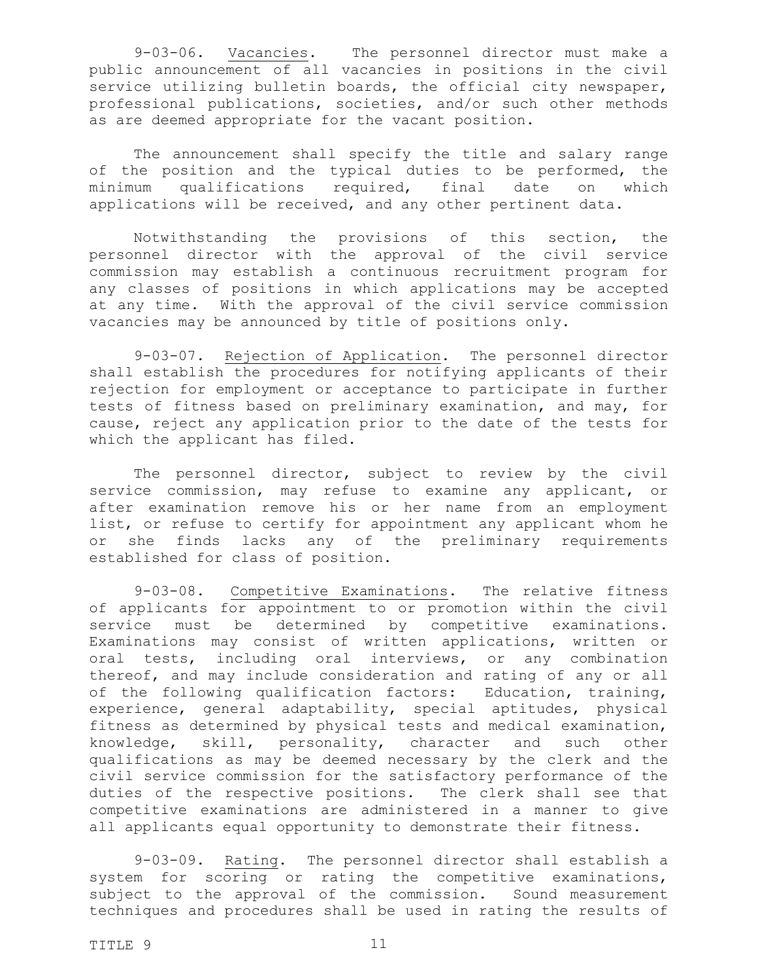<span id="page-10-0"></span>9-03-06. Vacancies. The personnel director must make a public announcement of all vacancies in positions in the civil service utilizing bulletin boards, the official city newspaper, professional publications, societies, and/or such other methods as are deemed appropriate for the vacant position.

The announcement shall specify the title and salary range of the position and the typical duties to be performed, the minimum qualifications required, final date on which applications will be received, and any other pertinent data.

Notwithstanding the provisions of this section, the personnel director with the approval of the civil service commission may establish a continuous recruitment program for any classes of positions in which applications may be accepted at any time. With the approval of the civil service commission vacancies may be announced by title of positions only.

<span id="page-10-1"></span>9-03-07. Rejection of Application. The personnel director shall establish the procedures for notifying applicants of their rejection for employment or acceptance to participate in further tests of fitness based on preliminary examination, and may, for cause, reject any application prior to the date of the tests for which the applicant has filed.

The personnel director, subject to review by the civil service commission, may refuse to examine any applicant, or after examination remove his or her name from an employment list, or refuse to certify for appointment any applicant whom he or she finds lacks any of the preliminary requirements established for class of position.

<span id="page-10-2"></span>9-03-08. Competitive Examinations. The relative fitness of applicants for appointment to or promotion within the civil service must be determined by competitive examinations. Examinations may consist of written applications, written or oral tests, including oral interviews, or any combination thereof, and may include consideration and rating of any or all of the following qualification factors: Education, training, experience, general adaptability, special aptitudes, physical fitness as determined by physical tests and medical examination, knowledge, skill, personality, character and such other qualifications as may be deemed necessary by the clerk and the civil service commission for the satisfactory performance of the duties of the respective positions. The clerk shall see that competitive examinations are administered in a manner to give all applicants equal opportunity to demonstrate their fitness.

<span id="page-10-3"></span>9-03-09. Rating. The personnel director shall establish a system for scoring or rating the competitive examinations, subject to the approval of the commission. Sound measurement techniques and procedures shall be used in rating the results of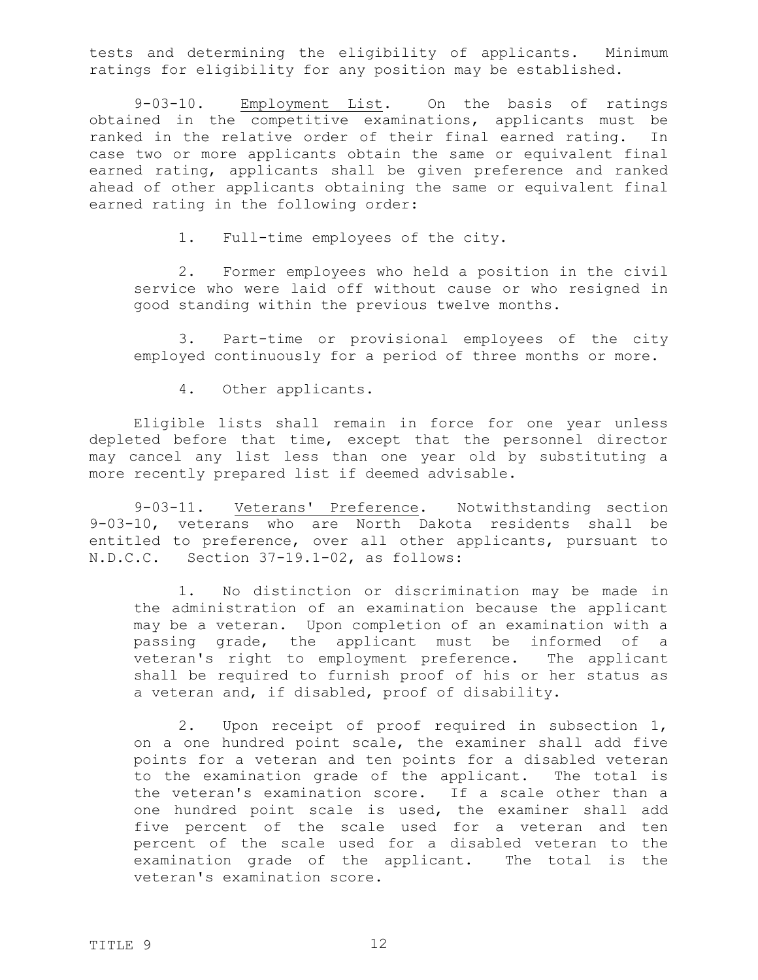tests and determining the eligibility of applicants. Minimum ratings for eligibility for any position may be established.

9-03-10. Employment List. On the basis of ratings obtained in the competitive examinations, applicants must be ranked in the relative order of their final earned rating. In case two or more applicants obtain the same or equivalent final earned rating, applicants shall be given preference and ranked ahead of other applicants obtaining the same or equivalent final earned rating in the following order:

<span id="page-11-0"></span>1. Full-time employees of the city.

2. Former employees who held a position in the civil service who were laid off without cause or who resigned in good standing within the previous twelve months.

3. Part-time or provisional employees of the city employed continuously for a period of three months or more.

<span id="page-11-1"></span>4. Other applicants.

Eligible lists shall remain in force for one year unless depleted before that time, except that the personnel director may cancel any list less than one year old by substituting a more recently prepared list if deemed advisable.

9-03-11. Veterans' Preference. Notwithstanding section 9-03-10, veterans who are North Dakota residents shall be entitled to preference, over all other applicants, pursuant to N.D.C.C. Section 37-19.1-02, as follows:

1. No distinction or discrimination may be made in the administration of an examination because the applicant may be a veteran. Upon completion of an examination with a passing grade, the applicant must be informed of a veteran's right to employment preference. The applicant shall be required to furnish proof of his or her status as a veteran and, if disabled, proof of disability.

2. Upon receipt of proof required in subsection 1, on a one hundred point scale, the examiner shall add five points for a veteran and ten points for a disabled veteran to the examination grade of the applicant. The total is the veteran's examination score. If a scale other than a one hundred point scale is used, the examiner shall add five percent of the scale used for a veteran and ten percent of the scale used for a disabled veteran to the examination grade of the applicant. The total is the veteran's examination score.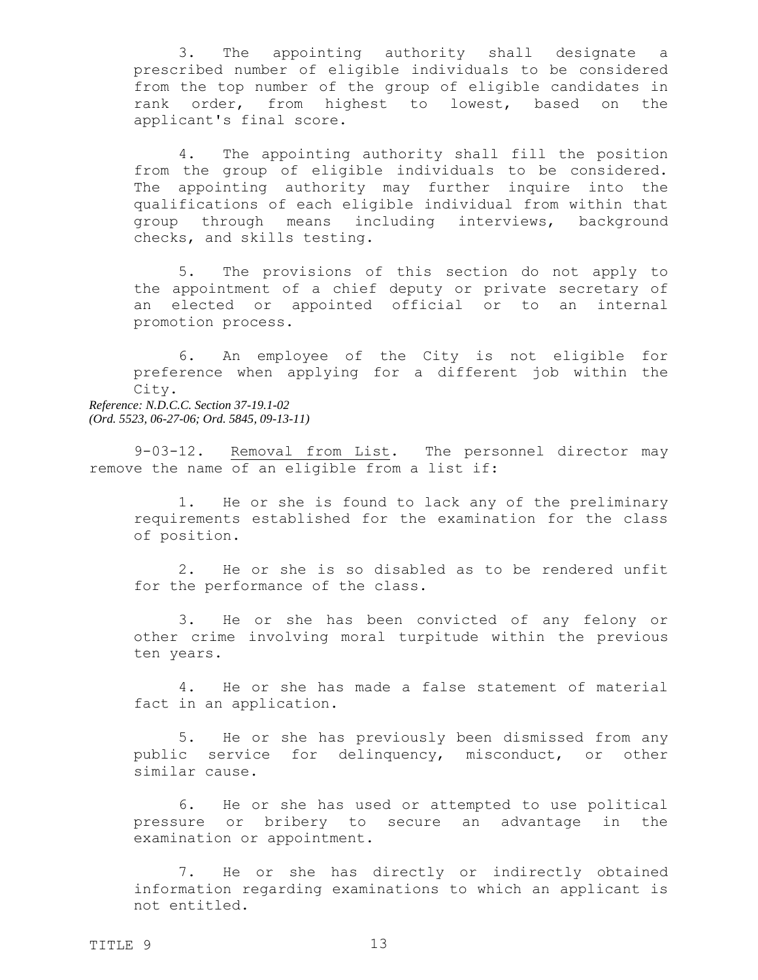3. The appointing authority shall designate a prescribed number of eligible individuals to be considered from the top number of the group of eligible candidates in rank order, from highest to lowest, based on the applicant's final score.

4. The appointing authority shall fill the position from the group of eligible individuals to be considered. The appointing authority may further inquire into the qualifications of each eligible individual from within that group through means including interviews, background checks, and skills testing.

5. The provisions of this section do not apply to the appointment of a chief deputy or private secretary of an elected or appointed official or to an internal promotion process.

6. An employee of the City is not eligible for preference when applying for a different job within the City. *Reference: N.D.C.C. Section 37-19.1-02 (Ord. 5523, 06-27-06; Ord. 5845, 09-13-11)*

9-03-12. Removal from List. The personnel director may remove the name of an eligible from a list if:

<span id="page-12-0"></span>1. He or she is found to lack any of the preliminary requirements established for the examination for the class of position.

2. He or she is so disabled as to be rendered unfit for the performance of the class.

3. He or she has been convicted of any felony or other crime involving moral turpitude within the previous ten years.

4. He or she has made a false statement of material fact in an application.

5. He or she has previously been dismissed from any public service for delinquency, misconduct, or other similar cause.

6. He or she has used or attempted to use political pressure or bribery to secure an advantage in the examination or appointment.

7. He or she has directly or indirectly obtained information regarding examinations to which an applicant is not entitled.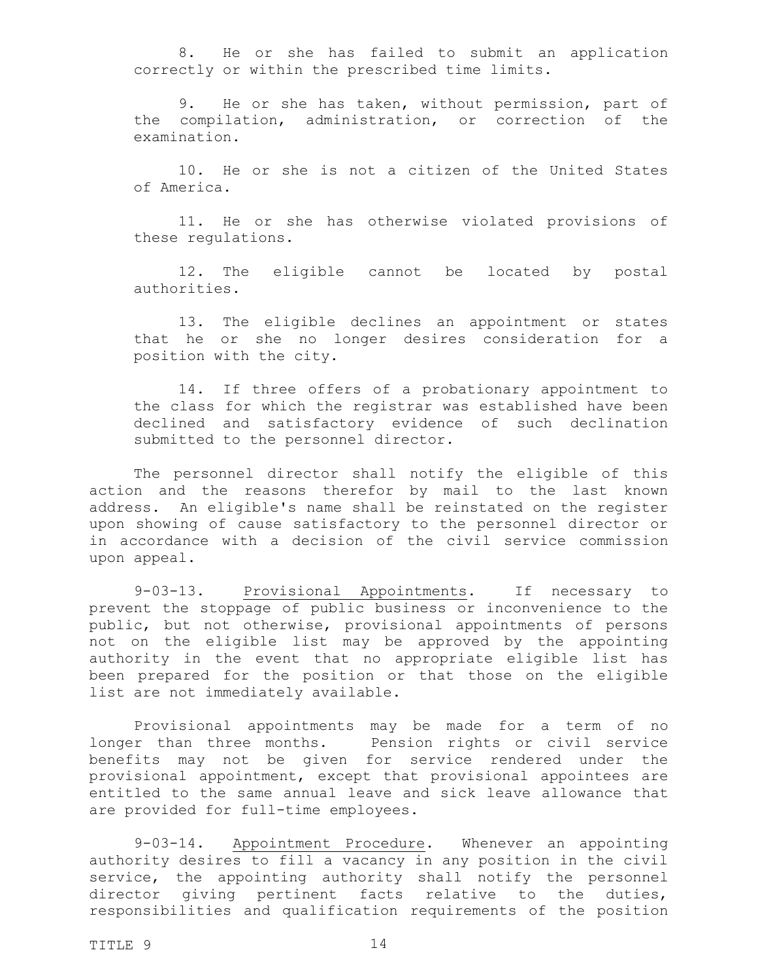8. He or she has failed to submit an application correctly or within the prescribed time limits.

9. He or she has taken, without permission, part of the compilation, administration, or correction of the examination.

10. He or she is not a citizen of the United States of America.

11. He or she has otherwise violated provisions of these regulations.

12. The eligible cannot be located by postal authorities.

13. The eligible declines an appointment or states that he or she no longer desires consideration for a position with the city.

14. If three offers of a probationary appointment to the class for which the registrar was established have been declined and satisfactory evidence of such declination submitted to the personnel director.

The personnel director shall notify the eligible of this action and the reasons therefor by mail to the last known address. An eligible's name shall be reinstated on the register upon showing of cause satisfactory to the personnel director or in accordance with a decision of the civil service commission upon appeal.

<span id="page-13-0"></span>9-03-13. Provisional Appointments. If necessary to prevent the stoppage of public business or inconvenience to the public, but not otherwise, provisional appointments of persons not on the eligible list may be approved by the appointing authority in the event that no appropriate eligible list has been prepared for the position or that those on the eligible list are not immediately available.

Provisional appointments may be made for a term of no longer than three months. Pension rights or civil service benefits may not be given for service rendered under the provisional appointment, except that provisional appointees are entitled to the same annual leave and sick leave allowance that are provided for full-time employees.

<span id="page-13-1"></span>9-03-14. Appointment Procedure. Whenever an appointing authority desires to fill a vacancy in any position in the civil service, the appointing authority shall notify the personnel director giving pertinent facts relative to the duties, responsibilities and qualification requirements of the position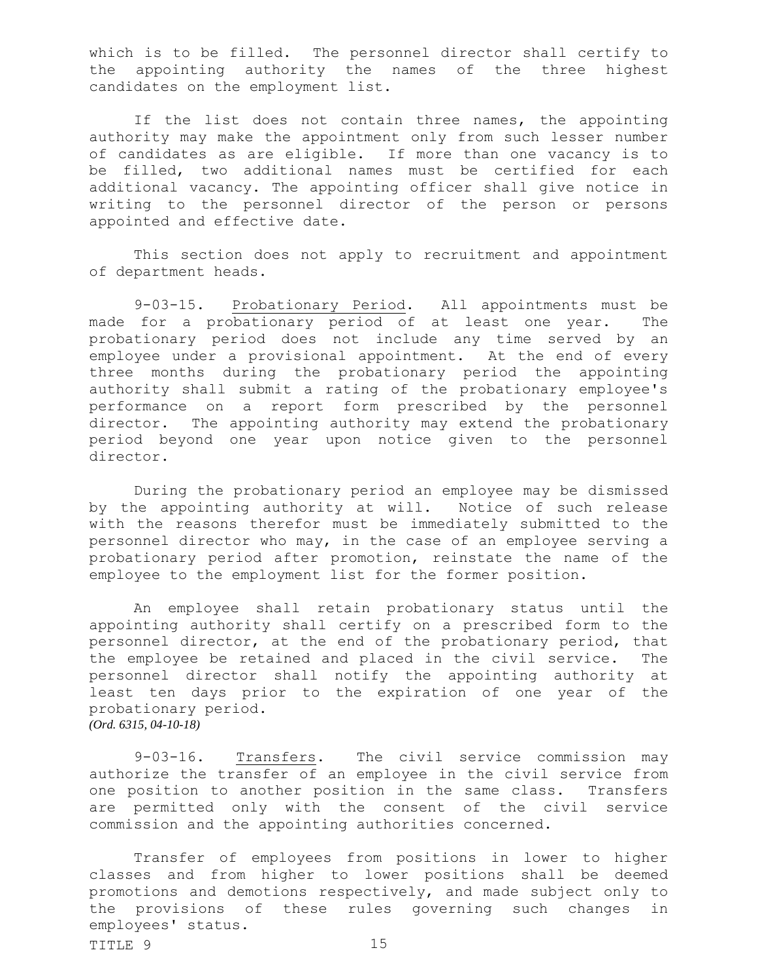which is to be filled. The personnel director shall certify to the appointing authority the names of the three highest candidates on the employment list.

If the list does not contain three names, the appointing authority may make the appointment only from such lesser number of candidates as are eligible. If more than one vacancy is to be filled, two additional names must be certified for each additional vacancy. The appointing officer shall give notice in writing to the personnel director of the person or persons appointed and effective date.

This section does not apply to recruitment and appointment of department heads.

<span id="page-14-0"></span>9-03-15. Probationary Period. All appointments must be made for a probationary period of at least one year. The probationary period does not include any time served by an employee under a provisional appointment. At the end of every three months during the probationary period the appointing authority shall submit a rating of the probationary employee's performance on a report form prescribed by the personnel director. The appointing authority may extend the probationary period beyond one year upon notice given to the personnel director.

During the probationary period an employee may be dismissed by the appointing authority at will. Notice of such release with the reasons therefor must be immediately submitted to the personnel director who may, in the case of an employee serving a probationary period after promotion, reinstate the name of the employee to the employment list for the former position.

An employee shall retain probationary status until the appointing authority shall certify on a prescribed form to the personnel director, at the end of the probationary period, that the employee be retained and placed in the civil service. The personnel director shall notify the appointing authority at least ten days prior to the expiration of one year of the probationary period. *(Ord. 6315, 04-10-18)*

<span id="page-14-1"></span>9-03-16. Transfers. The civil service commission may authorize the transfer of an employee in the civil service from one position to another position in the same class. Transfers are permitted only with the consent of the civil service commission and the appointing authorities concerned.

 $T$ TITLE 9 15 Transfer of employees from positions in lower to higher classes and from higher to lower positions shall be deemed promotions and demotions respectively, and made subject only to the provisions of these rules governing such changes in employees' status.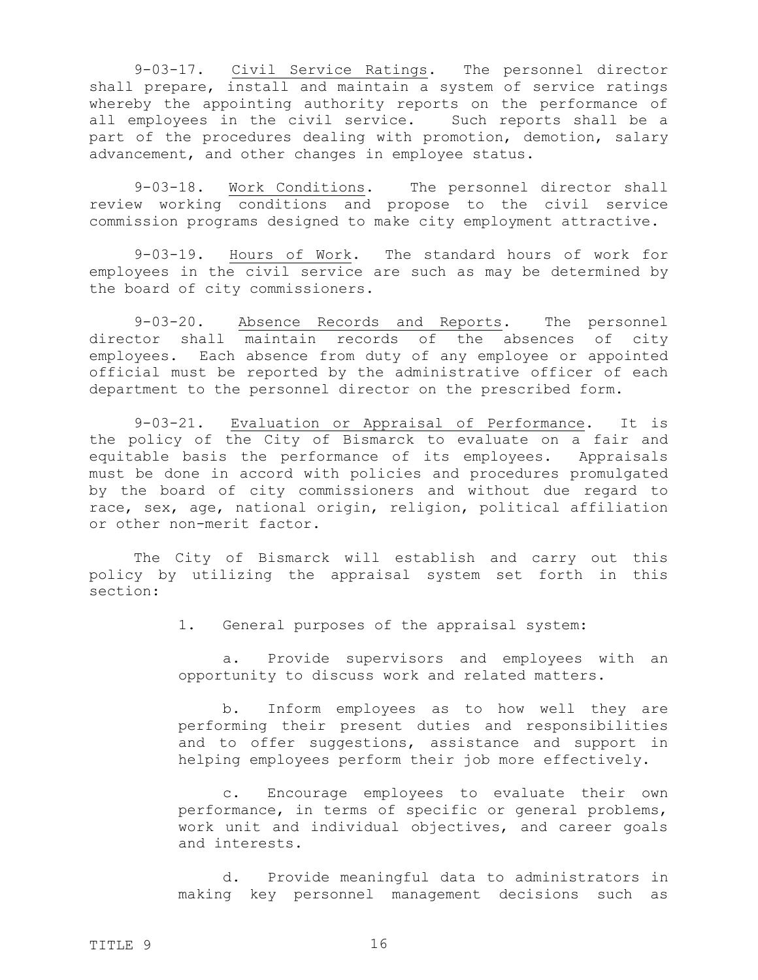<span id="page-15-0"></span>9-03-17. Civil Service Ratings. The personnel director shall prepare, install and maintain a system of service ratings whereby the appointing authority reports on the performance of all employees in the civil service. Such reports shall be a part of the procedures dealing with promotion, demotion, salary advancement, and other changes in employee status.

<span id="page-15-1"></span>9-03-18. Work Conditions. The personnel director shall review working conditions and propose to the civil service commission programs designed to make city employment attractive.

<span id="page-15-2"></span>9-03-19. Hours of Work. The standard hours of work for employees in the civil service are such as may be determined by the board of city commissioners.

<span id="page-15-3"></span>9-03-20. Absence Records and Reports. The personnel director shall maintain records of the absences of city employees. Each absence from duty of any employee or appointed official must be reported by the administrative officer of each department to the personnel director on the prescribed form.

9-03-21. Evaluation or Appraisal of Performance. It is the policy of the City of Bismarck to evaluate on a fair and equitable basis the performance of its employees. Appraisals must be done in accord with policies and procedures promulgated by the board of city commissioners and without due regard to race, sex, age, national origin, religion, political affiliation or other non-merit factor.

The City of Bismarck will establish and carry out this policy by utilizing the appraisal system set forth in this section:

<span id="page-15-4"></span>1. General purposes of the appraisal system:

a. Provide supervisors and employees with an opportunity to discuss work and related matters.

b. Inform employees as to how well they are performing their present duties and responsibilities and to offer suggestions, assistance and support in helping employees perform their job more effectively.

c. Encourage employees to evaluate their own performance, in terms of specific or general problems, work unit and individual objectives, and career goals and interests.

d. Provide meaningful data to administrators in making key personnel management decisions such as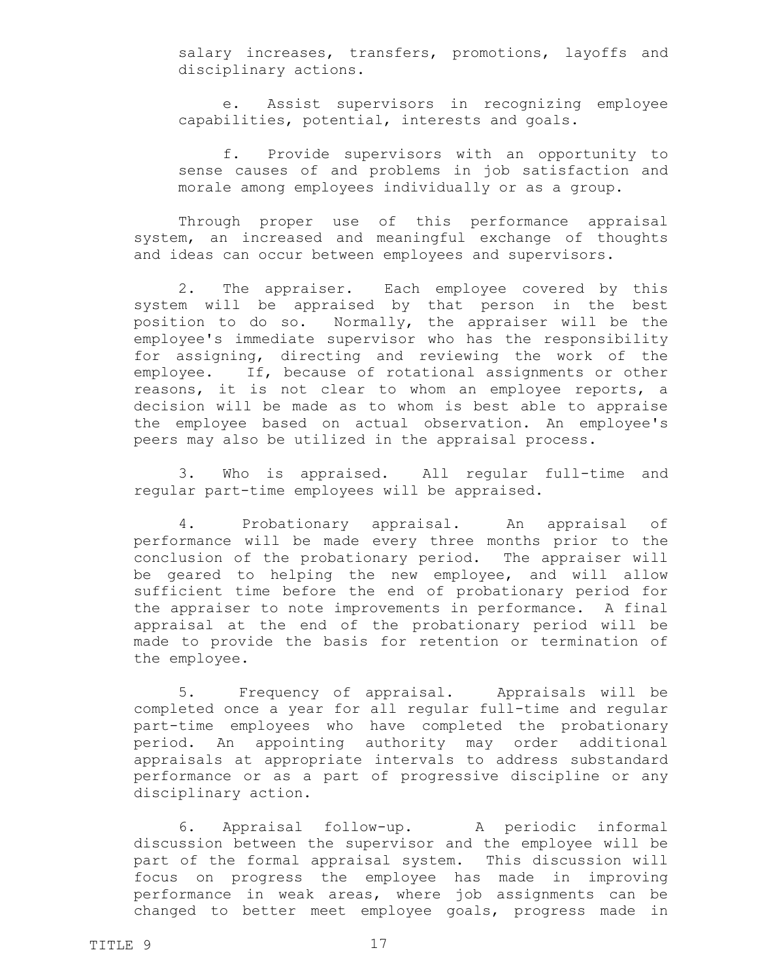salary increases, transfers, promotions, layoffs and disciplinary actions.

e. Assist supervisors in recognizing employee capabilities, potential, interests and goals.

f. Provide supervisors with an opportunity to sense causes of and problems in job satisfaction and morale among employees individually or as a group.

Through proper use of this performance appraisal system, an increased and meaningful exchange of thoughts and ideas can occur between employees and supervisors.

2. The appraiser. Each employee covered by this system will be appraised by that person in the best position to do so. Normally, the appraiser will be the employee's immediate supervisor who has the responsibility for assigning, directing and reviewing the work of the employee. If, because of rotational assignments or other reasons, it is not clear to whom an employee reports, a decision will be made as to whom is best able to appraise the employee based on actual observation. An employee's peers may also be utilized in the appraisal process.

3. Who is appraised. All regular full-time and regular part-time employees will be appraised.

4. Probationary appraisal. An appraisal of performance will be made every three months prior to the conclusion of the probationary period. The appraiser will be geared to helping the new employee, and will allow sufficient time before the end of probationary period for the appraiser to note improvements in performance. A final appraisal at the end of the probationary period will be made to provide the basis for retention or termination of the employee.

5. Frequency of appraisal. Appraisals will be completed once a year for all regular full-time and regular part-time employees who have completed the probationary period. An appointing authority may order additional appraisals at appropriate intervals to address substandard performance or as a part of progressive discipline or any disciplinary action.

6. Appraisal follow-up. A periodic informal discussion between the supervisor and the employee will be part of the formal appraisal system. This discussion will focus on progress the employee has made in improving performance in weak areas, where job assignments can be changed to better meet employee goals, progress made in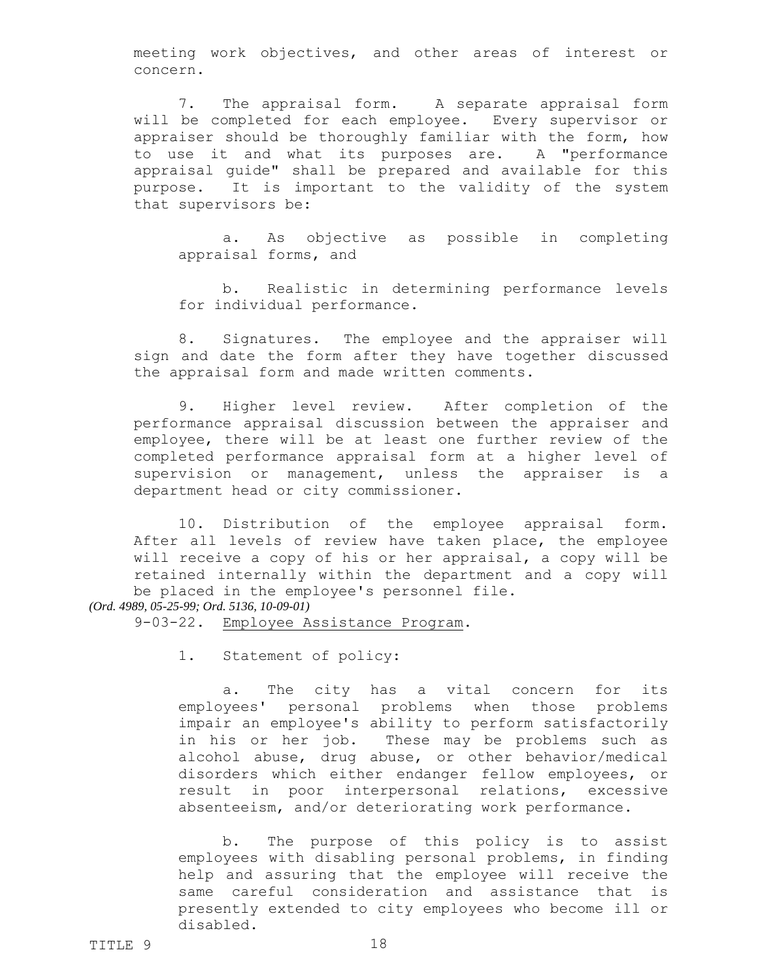meeting work objectives, and other areas of interest or concern.

7. The appraisal form. A separate appraisal form will be completed for each employee. Every supervisor or appraiser should be thoroughly familiar with the form, how to use it and what its purposes are. A "performance appraisal guide" shall be prepared and available for this purpose. It is important to the validity of the system that supervisors be:

a. As objective as possible in completing appraisal forms, and

b. Realistic in determining performance levels for individual performance.

8. Signatures. The employee and the appraiser will sign and date the form after they have together discussed the appraisal form and made written comments.

9. Higher level review. After completion of the performance appraisal discussion between the appraiser and employee, there will be at least one further review of the completed performance appraisal form at a higher level of supervision or management, unless the appraiser is a department head or city commissioner.

10. Distribution of the employee appraisal form. After all levels of review have taken place, the employee will receive a copy of his or her appraisal, a copy will be retained internally within the department and a copy will be placed in the employee's personnel file.

*(Ord. 4989, 05-25-99; Ord. 5136, 10-09-01)*

9-03-22. Employee Assistance Program.

<span id="page-17-1"></span><span id="page-17-0"></span>1. Statement of policy:

a. The city has a vital concern for its employees' personal problems when those problems impair an employee's ability to perform satisfactorily in his or her job. These may be problems such as alcohol abuse, drug abuse, or other behavior/medical disorders which either endanger fellow employees, or result in poor interpersonal relations, excessive absenteeism, and/or deteriorating work performance.

b. The purpose of this policy is to assist employees with disabling personal problems, in finding help and assuring that the employee will receive the same careful consideration and assistance that is presently extended to city employees who become ill or disabled.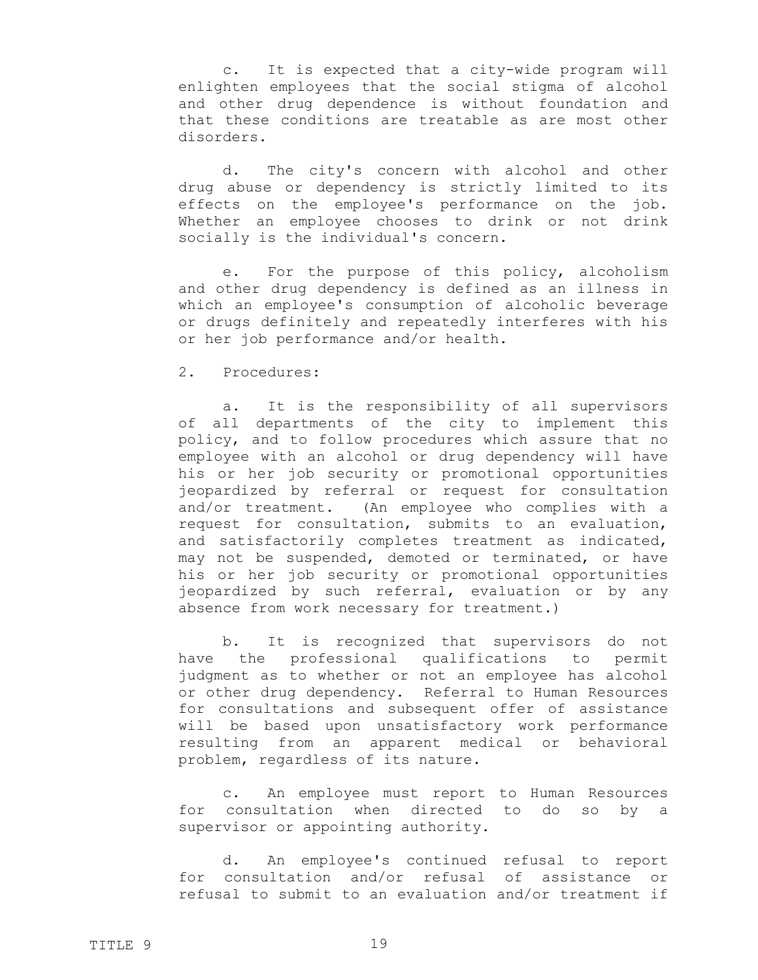c. It is expected that a city-wide program will enlighten employees that the social stigma of alcohol and other drug dependence is without foundation and that these conditions are treatable as are most other disorders.

d. The city's concern with alcohol and other drug abuse or dependency is strictly limited to its effects on the employee's performance on the job. Whether an employee chooses to drink or not drink socially is the individual's concern.

e. For the purpose of this policy, alcoholism and other drug dependency is defined as an illness in which an employee's consumption of alcoholic beverage or drugs definitely and repeatedly interferes with his or her job performance and/or health.

## <span id="page-18-0"></span>2. Procedures:

a. It is the responsibility of all supervisors of all departments of the city to implement this policy, and to follow procedures which assure that no employee with an alcohol or drug dependency will have his or her job security or promotional opportunities jeopardized by referral or request for consultation and/or treatment. (An employee who complies with a request for consultation, submits to an evaluation, and satisfactorily completes treatment as indicated, may not be suspended, demoted or terminated, or have his or her job security or promotional opportunities jeopardized by such referral, evaluation or by any absence from work necessary for treatment.)

b. It is recognized that supervisors do not have the professional qualifications to permit judgment as to whether or not an employee has alcohol or other drug dependency. Referral to Human Resources for consultations and subsequent offer of assistance will be based upon unsatisfactory work performance resulting from an apparent medical or behavioral problem, regardless of its nature.

c. An employee must report to Human Resources for consultation when directed to do so by a supervisor or appointing authority.

d. An employee's continued refusal to report for consultation and/or refusal of assistance or refusal to submit to an evaluation and/or treatment if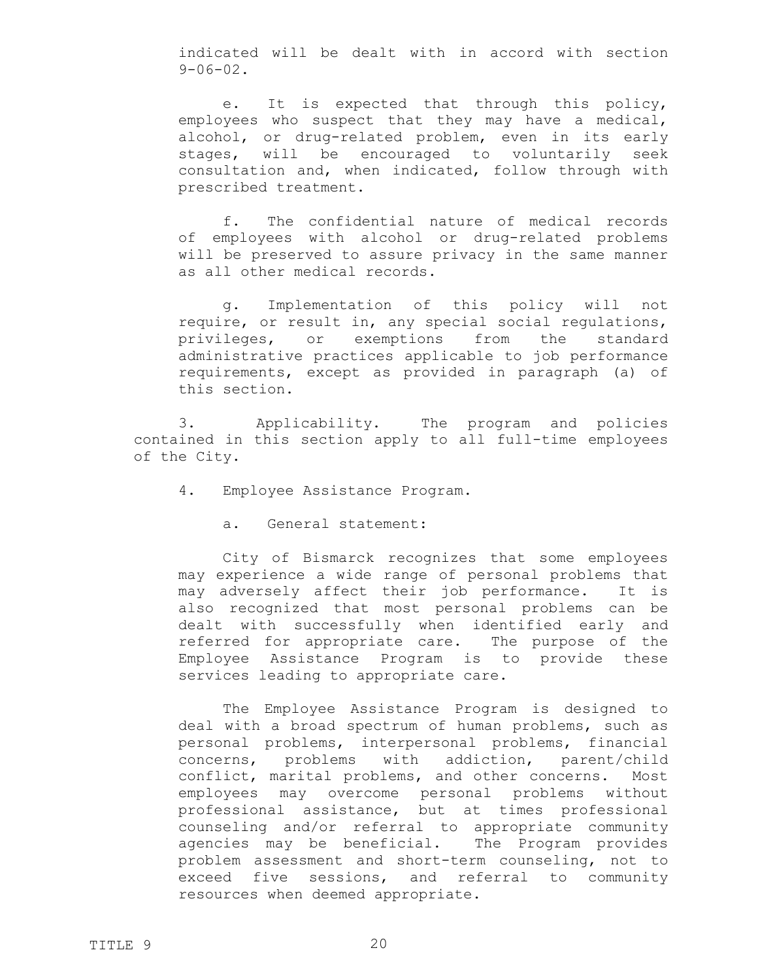indicated will be dealt with in accord with section  $9 - 06 - 02$ .

e. It is expected that through this policy, employees who suspect that they may have a medical, alcohol, or drug-related problem, even in its early stages, will be encouraged to voluntarily seek consultation and, when indicated, follow through with prescribed treatment.

f. The confidential nature of medical records of employees with alcohol or drug-related problems will be preserved to assure privacy in the same manner as all other medical records.

g. Implementation of this policy will not require, or result in, any special social regulations, privileges, or exemptions from the standard administrative practices applicable to job performance requirements, except as provided in paragraph (a) of this section.

3. Applicability. The program and policies contained in this section apply to all full-time employees of the City.

- <span id="page-19-1"></span><span id="page-19-0"></span>4. Employee Assistance Program.
	- a. General statement:

City of Bismarck recognizes that some employees may experience a wide range of personal problems that may adversely affect their job performance. It is also recognized that most personal problems can be dealt with successfully when identified early and referred for appropriate care. The purpose of the Employee Assistance Program is to provide these services leading to appropriate care.

The Employee Assistance Program is designed to deal with a broad spectrum of human problems, such as personal problems, interpersonal problems, financial concerns, problems with addiction, parent/child conflict, marital problems, and other concerns. Most employees may overcome personal problems without professional assistance, but at times professional counseling and/or referral to appropriate community agencies may be beneficial. The Program provides problem assessment and short-term counseling, not to exceed five sessions, and referral to community resources when deemed appropriate.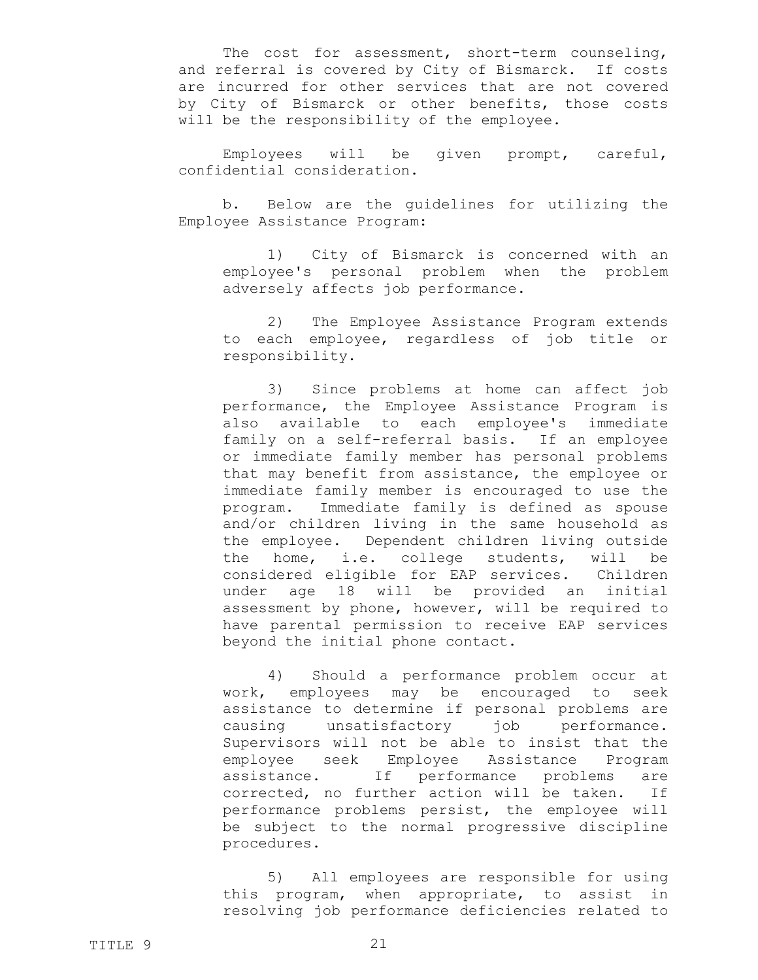The cost for assessment, short-term counseling, and referral is covered by City of Bismarck. If costs are incurred for other services that are not covered by City of Bismarck or other benefits, those costs will be the responsibility of the employee.

Employees will be given prompt, careful, confidential consideration.

b. Below are the guidelines for utilizing the Employee Assistance Program:

1) City of Bismarck is concerned with an employee's personal problem when the problem adversely affects job performance.

2) The Employee Assistance Program extends to each employee, regardless of job title or responsibility.

3) Since problems at home can affect job performance, the Employee Assistance Program is also available to each employee's immediate family on a self-referral basis. If an employee or immediate family member has personal problems that may benefit from assistance, the employee or immediate family member is encouraged to use the program. Immediate family is defined as spouse and/or children living in the same household as the employee. Dependent children living outside the home, i.e. college students, will be considered eligible for EAP services. Children under age 18 will be provided an initial assessment by phone, however, will be required to have parental permission to receive EAP services beyond the initial phone contact.

4) Should a performance problem occur at work, employees may be encouraged to seek assistance to determine if personal problems are causing unsatisfactory job performance. Supervisors will not be able to insist that the employee seek Employee Assistance Program assistance. If performance problems are corrected, no further action will be taken. If performance problems persist, the employee will be subject to the normal progressive discipline procedures.

5) All employees are responsible for using this program, when appropriate, to assist in resolving job performance deficiencies related to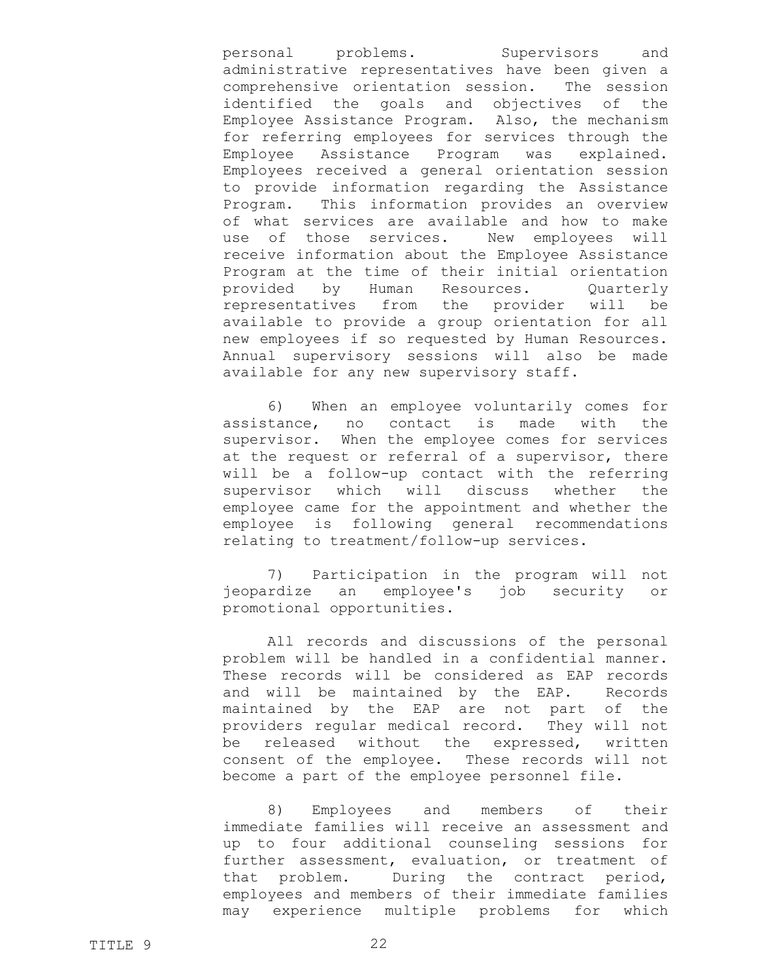personal problems. Supervisors and administrative representatives have been given a comprehensive orientation session. The session identified the goals and objectives of the Employee Assistance Program. Also, the mechanism for referring employees for services through the Employee Assistance Program was explained. Employees received a general orientation session to provide information regarding the Assistance Program. This information provides an overview of what services are available and how to make use of those services. New employees will receive information about the Employee Assistance Program at the time of their initial orientation provided by Human Resources. Quarterly representatives from the provider will be available to provide a group orientation for all new employees if so requested by Human Resources. Annual supervisory sessions will also be made available for any new supervisory staff.

6) When an employee voluntarily comes for assistance, no contact is made with the supervisor. When the employee comes for services at the request or referral of a supervisor, there will be a follow-up contact with the referring supervisor which will discuss whether the employee came for the appointment and whether the employee is following general recommendations relating to treatment/follow-up services.

7) Participation in the program will not jeopardize an employee's job security or promotional opportunities.

All records and discussions of the personal problem will be handled in a confidential manner. These records will be considered as EAP records and will be maintained by the EAP. Records maintained by the EAP are not part of the providers regular medical record. They will not be released without the expressed, written consent of the employee. These records will not become a part of the employee personnel file.

8) Employees and members of their immediate families will receive an assessment and up to four additional counseling sessions for further assessment, evaluation, or treatment of that problem. During the contract period, employees and members of their immediate families may experience multiple problems for which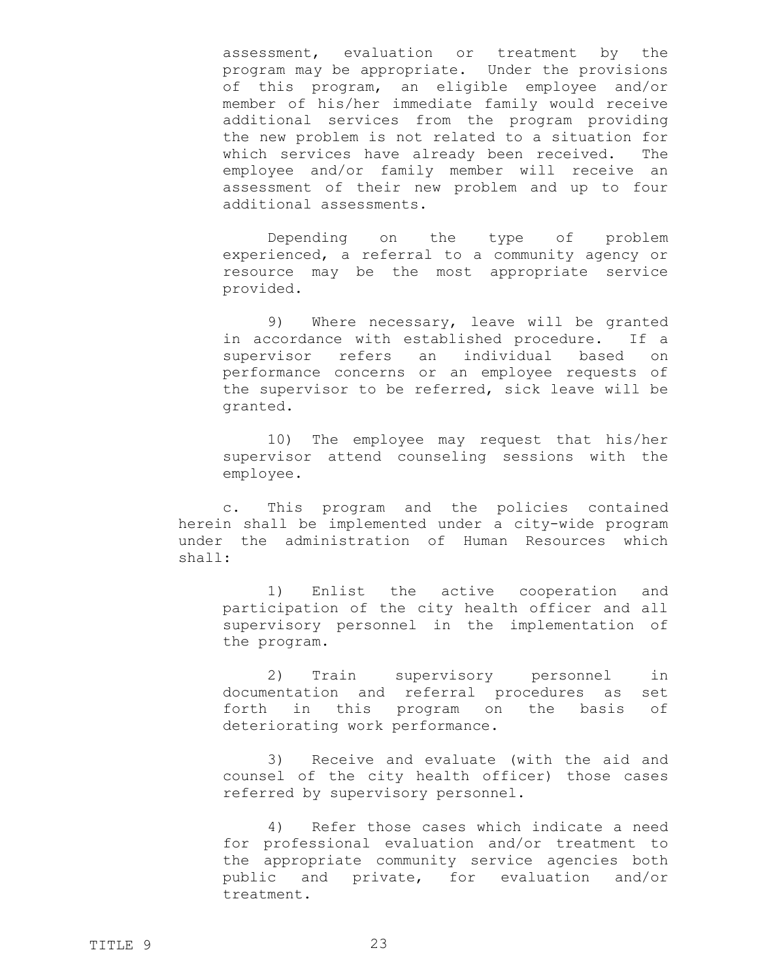assessment, evaluation or treatment by the program may be appropriate. Under the provisions of this program, an eligible employee and/or member of his/her immediate family would receive additional services from the program providing the new problem is not related to a situation for which services have already been received. The employee and/or family member will receive an assessment of their new problem and up to four additional assessments.

Depending on the type of problem experienced, a referral to a community agency or resource may be the most appropriate service provided.

9) Where necessary, leave will be granted in accordance with established procedure. If a supervisor refers an individual based on performance concerns or an employee requests of the supervisor to be referred, sick leave will be granted.

10) The employee may request that his/her supervisor attend counseling sessions with the employee.

c. This program and the policies contained herein shall be implemented under a city-wide program under the administration of Human Resources which shall:

1) Enlist the active cooperation and participation of the city health officer and all supervisory personnel in the implementation of the program.

2) Train supervisory personnel in documentation and referral procedures as set forth in this program on the basis of deteriorating work performance.

3) Receive and evaluate (with the aid and counsel of the city health officer) those cases referred by supervisory personnel.

4) Refer those cases which indicate a need for professional evaluation and/or treatment to the appropriate community service agencies both public and private, for evaluation and/or treatment.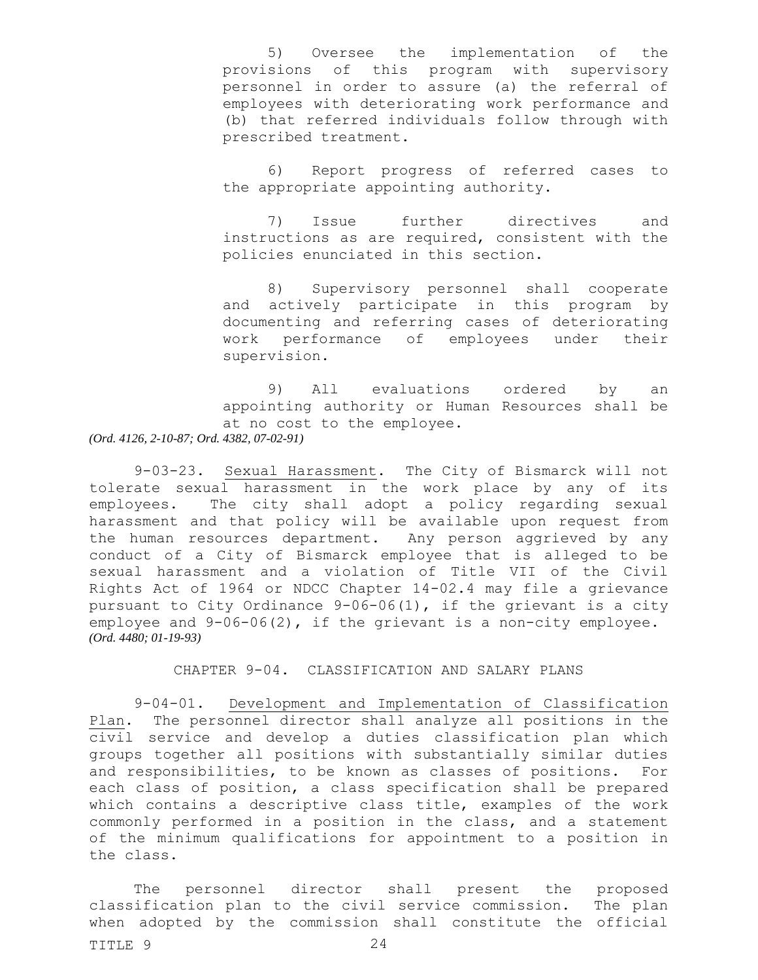5) Oversee the implementation of the provisions of this program with supervisory personnel in order to assure (a) the referral of employees with deteriorating work performance and (b) that referred individuals follow through with prescribed treatment.

6) Report progress of referred cases to the appropriate appointing authority.

7) Issue further directives and instructions as are required, consistent with the policies enunciated in this section.

<span id="page-23-0"></span>8) Supervisory personnel shall cooperate and actively participate in this program by documenting and referring cases of deteriorating work performance of employees under their supervision.

9) All evaluations ordered by an appointing authority or Human Resources shall be at no cost to the employee. *(Ord. 4126, 2-10-87; Ord. 4382, 07-02-91)*

9-03-23. Sexual Harassment. The City of Bismarck will not tolerate sexual harassment in the work place by any of its employees. The city shall adopt a policy regarding sexual harassment and that policy will be available upon request from the human resources department. Any person aggrieved by any conduct of a City of Bismarck employee that is alleged to be sexual harassment and a violation of Title VII of the Civil Rights Act of 1964 or NDCC Chapter 14-02.4 may file a grievance pursuant to City Ordinance 9-06-06(1), if the grievant is a city employee and 9-06-06(2), if the grievant is a non-city employee. *(Ord. 4480; 01-19-93)*

<span id="page-23-1"></span>CHAPTER 9-04. CLASSIFICATION AND SALARY PLANS

<span id="page-23-2"></span>9-04-01. Development and Implementation of Classification Plan. The personnel director shall analyze all positions in the civil service and develop a duties classification plan which groups together all positions with substantially similar duties and responsibilities, to be known as classes of positions. For each class of position, a class specification shall be prepared which contains a descriptive class title, examples of the work commonly performed in a position in the class, and a statement of the minimum qualifications for appointment to a position in the class.

TITLE 9 24 The personnel director shall present the proposed classification plan to the civil service commission. The plan when adopted by the commission shall constitute the official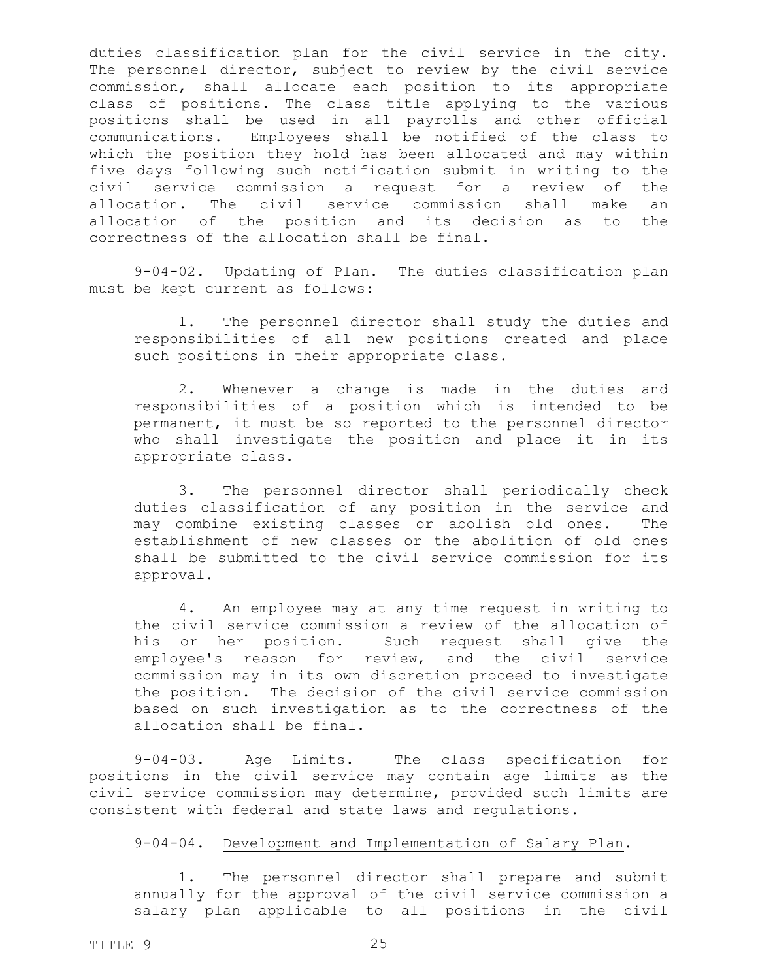duties classification plan for the civil service in the city. The personnel director, subject to review by the civil service commission, shall allocate each position to its appropriate class of positions. The class title applying to the various positions shall be used in all payrolls and other official communications. Employees shall be notified of the class to which the position they hold has been allocated and may within five days following such notification submit in writing to the civil service commission a request for a review of the allocation. The civil service commission shall make an allocation of the position and its decision as to the correctness of the allocation shall be final.

9-04-02. Updating of Plan. The duties classification plan must be kept current as follows:

<span id="page-24-0"></span>1. The personnel director shall study the duties and responsibilities of all new positions created and place such positions in their appropriate class.

2. Whenever a change is made in the duties and responsibilities of a position which is intended to be permanent, it must be so reported to the personnel director who shall investigate the position and place it in its appropriate class.

3. The personnel director shall periodically check duties classification of any position in the service and may combine existing classes or abolish old ones. The establishment of new classes or the abolition of old ones shall be submitted to the civil service commission for its approval.

4. An employee may at any time request in writing to the civil service commission a review of the allocation of his or her position. Such request shall give the employee's reason for review, and the civil service commission may in its own discretion proceed to investigate the position. The decision of the civil service commission based on such investigation as to the correctness of the allocation shall be final.

9-04-03. Age Limits. The class specification for positions in the civil service may contain age limits as the civil service commission may determine, provided such limits are consistent with federal and state laws and regulations.

<span id="page-24-2"></span><span id="page-24-1"></span>9-04-04. Development and Implementation of Salary Plan.

1. The personnel director shall prepare and submit annually for the approval of the civil service commission a salary plan applicable to all positions in the civil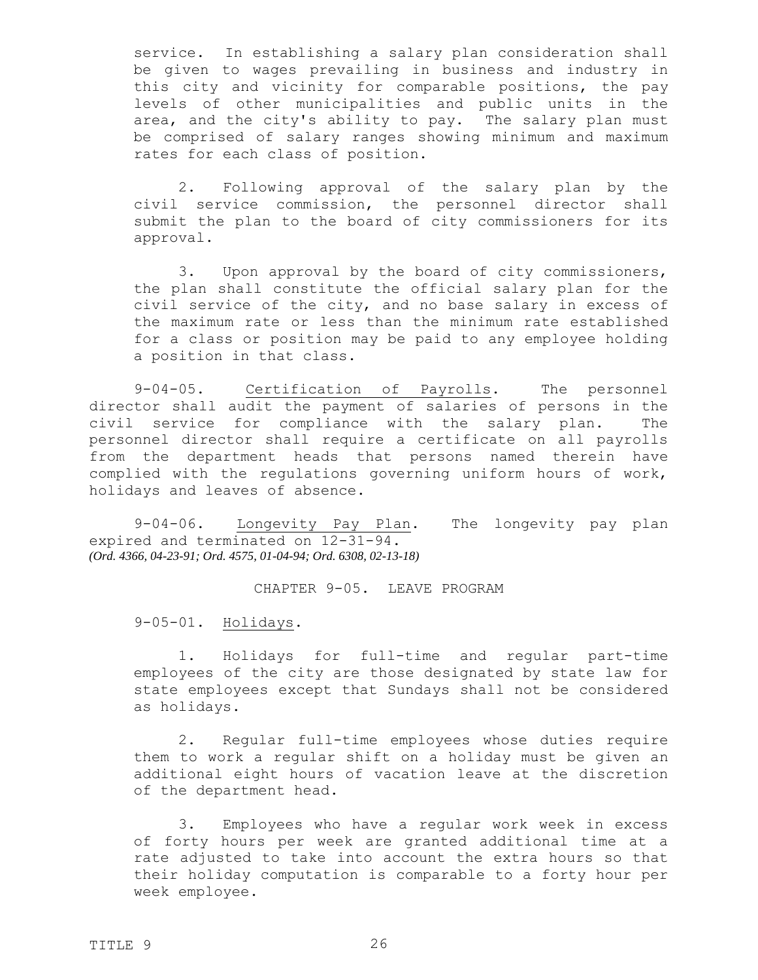service. In establishing a salary plan consideration shall be given to wages prevailing in business and industry in this city and vicinity for comparable positions, the pay levels of other municipalities and public units in the area, and the city's ability to pay. The salary plan must be comprised of salary ranges showing minimum and maximum rates for each class of position.

2. Following approval of the salary plan by the civil service commission, the personnel director shall submit the plan to the board of city commissioners for its approval.

3. Upon approval by the board of city commissioners, the plan shall constitute the official salary plan for the civil service of the city, and no base salary in excess of the maximum rate or less than the minimum rate established for a class or position may be paid to any employee holding a position in that class.

9-04-05. Certification of Payrolls. The personnel director shall audit the payment of salaries of persons in the civil service for compliance with the salary plan. The personnel director shall require a certificate on all payrolls from the department heads that persons named therein have complied with the regulations governing uniform hours of work, holidays and leaves of absence.

9-04-06. Longevity Pay Plan. The longevity pay plan expired and terminated on 12-31-94. *(Ord. 4366, 04-23-91; Ord. 4575, 01-04-94; Ord. 6308, 02-13-18)*

<span id="page-25-3"></span><span id="page-25-2"></span><span id="page-25-1"></span><span id="page-25-0"></span>CHAPTER 9-05. LEAVE PROGRAM

9-05-01. Holidays.

1. Holidays for full-time and regular part-time employees of the city are those designated by state law for state employees except that Sundays shall not be considered as holidays.

2. Regular full-time employees whose duties require them to work a regular shift on a holiday must be given an additional eight hours of vacation leave at the discretion of the department head.

3. Employees who have a regular work week in excess of forty hours per week are granted additional time at a rate adjusted to take into account the extra hours so that their holiday computation is comparable to a forty hour per week employee.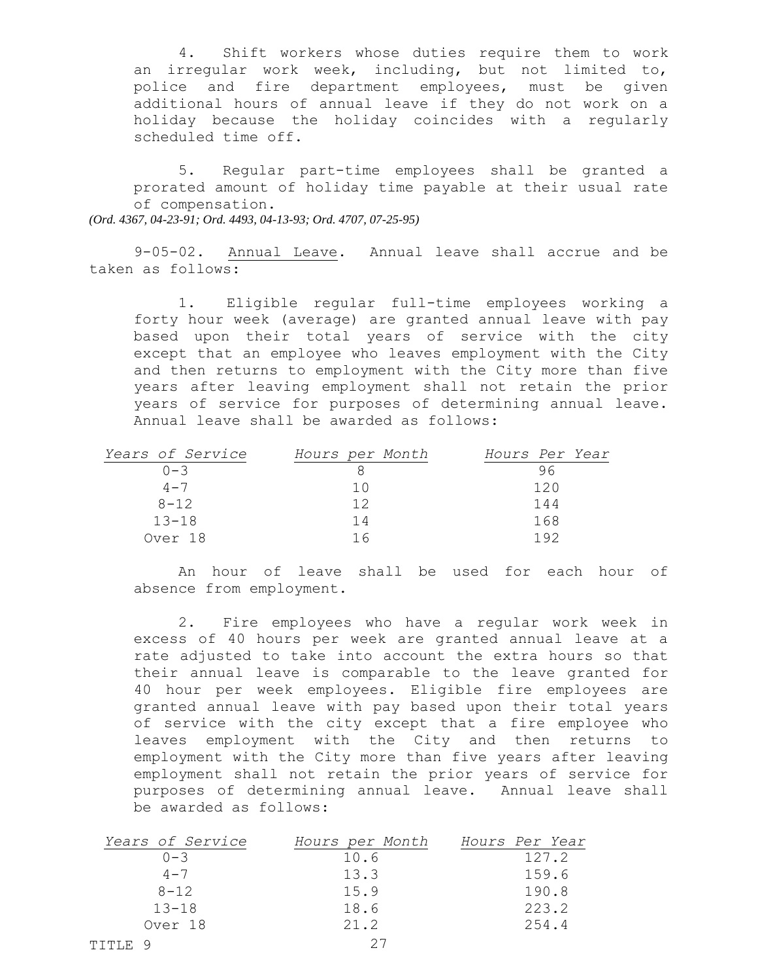4. Shift workers whose duties require them to work an irregular work week, including, but not limited to, police and fire department employees, must be given additional hours of annual leave if they do not work on a holiday because the holiday coincides with a regularly scheduled time off.

5. Regular part-time employees shall be granted a prorated amount of holiday time payable at their usual rate of compensation.

*(Ord. 4367, 04-23-91; Ord. 4493, 04-13-93; Ord. 4707, 07-25-95)*

9-05-02. Annual Leave. Annual leave shall accrue and be taken as follows:

<span id="page-26-0"></span>1. Eligible regular full-time employees working a forty hour week (average) are granted annual leave with pay based upon their total years of service with the city except that an employee who leaves employment with the City and then returns to employment with the City more than five years after leaving employment shall not retain the prior years of service for purposes of determining annual leave. Annual leave shall be awarded as follows:

| Years of Service | Hours per Month                                 | Hours Per Year |
|------------------|-------------------------------------------------|----------------|
| $0 - 3$          |                                                 | 96             |
| $4 - 7$          | $\left( \begin{array}{c} 1 \end{array} \right)$ | 120            |
| $8 - 12$         | 12                                              | 144            |
| $13 - 18$        | 14                                              | 168            |
| Over 18          |                                                 | 1 9 2          |

An hour of leave shall be used for each hour of absence from employment.

2. Fire employees who have a regular work week in excess of 40 hours per week are granted annual leave at a rate adjusted to take into account the extra hours so that their annual leave is comparable to the leave granted for 40 hour per week employees. Eligible fire employees are granted annual leave with pay based upon their total years of service with the city except that a fire employee who leaves employment with the City and then returns to employment with the City more than five years after leaving employment shall not retain the prior years of service for purposes of determining annual leave. Annual leave shall be awarded as follows:

|         | Years of Service | Hours per Month | Hours Per Year |
|---------|------------------|-----------------|----------------|
|         | $() - 3$         | 10.6            | 127.2          |
|         | $4 - 7$          | 13.3            | 159.6          |
|         | $8 - 12$         | 15.9            | 190.8          |
|         | $13 - 18$        | 18.6            | 223.2          |
|         | Over 18          | 21.2            | 254.4          |
| TITLE 9 |                  |                 |                |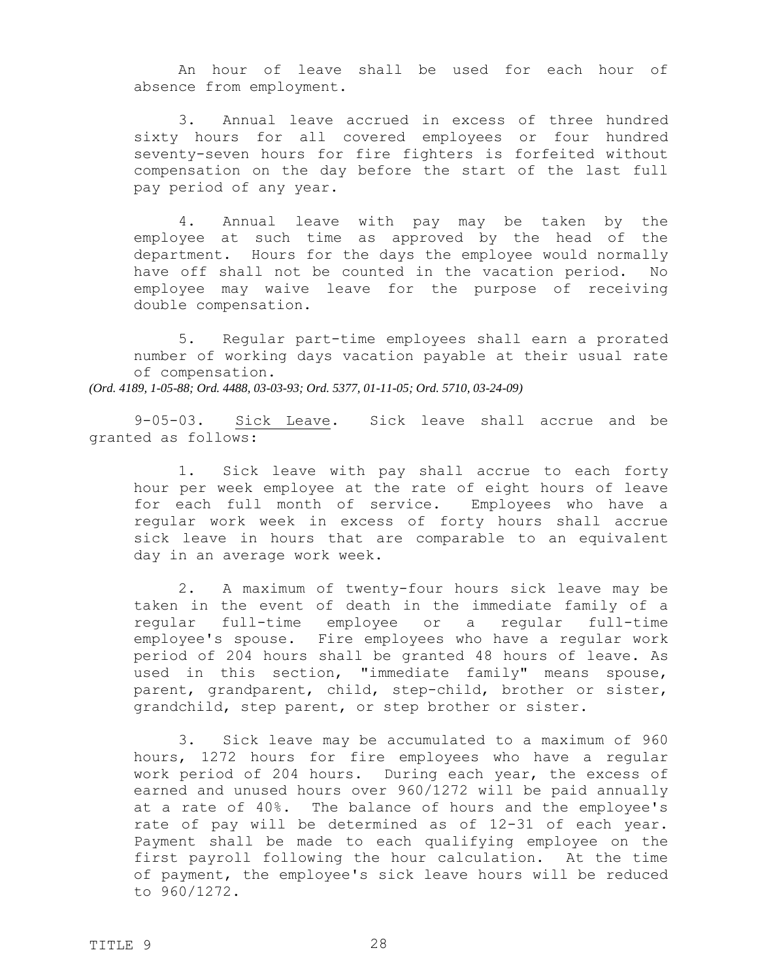An hour of leave shall be used for each hour of absence from employment.

3. Annual leave accrued in excess of three hundred sixty hours for all covered employees or four hundred seventy-seven hours for fire fighters is forfeited without compensation on the day before the start of the last full pay period of any year.

4. Annual leave with pay may be taken by the employee at such time as approved by the head of the department. Hours for the days the employee would normally have off shall not be counted in the vacation period. No employee may waive leave for the purpose of receiving double compensation.

5. Regular part-time employees shall earn a prorated number of working days vacation payable at their usual rate of compensation. *(Ord. 4189, 1-05-88; Ord. 4488, 03-03-93; Ord. 5377, 01-11-05; Ord. 5710, 03-24-09)*

9-05-03. Sick Leave. Sick leave shall accrue and be granted as follows:

<span id="page-27-0"></span>1. Sick leave with pay shall accrue to each forty hour per week employee at the rate of eight hours of leave for each full month of service. Employees who have a regular work week in excess of forty hours shall accrue sick leave in hours that are comparable to an equivalent day in an average work week.

2. A maximum of twenty-four hours sick leave may be taken in the event of death in the immediate family of a regular full-time employee or a regular full-time employee's spouse. Fire employees who have a regular work period of 204 hours shall be granted 48 hours of leave. As used in this section, "immediate family" means spouse, parent, grandparent, child, step-child, brother or sister, grandchild, step parent, or step brother or sister.

3. Sick leave may be accumulated to a maximum of 960 hours, 1272 hours for fire employees who have a regular work period of 204 hours. During each year, the excess of earned and unused hours over 960/1272 will be paid annually at a rate of 40%. The balance of hours and the employee's rate of pay will be determined as of 12-31 of each year. Payment shall be made to each qualifying employee on the first payroll following the hour calculation. At the time of payment, the employee's sick leave hours will be reduced to 960/1272.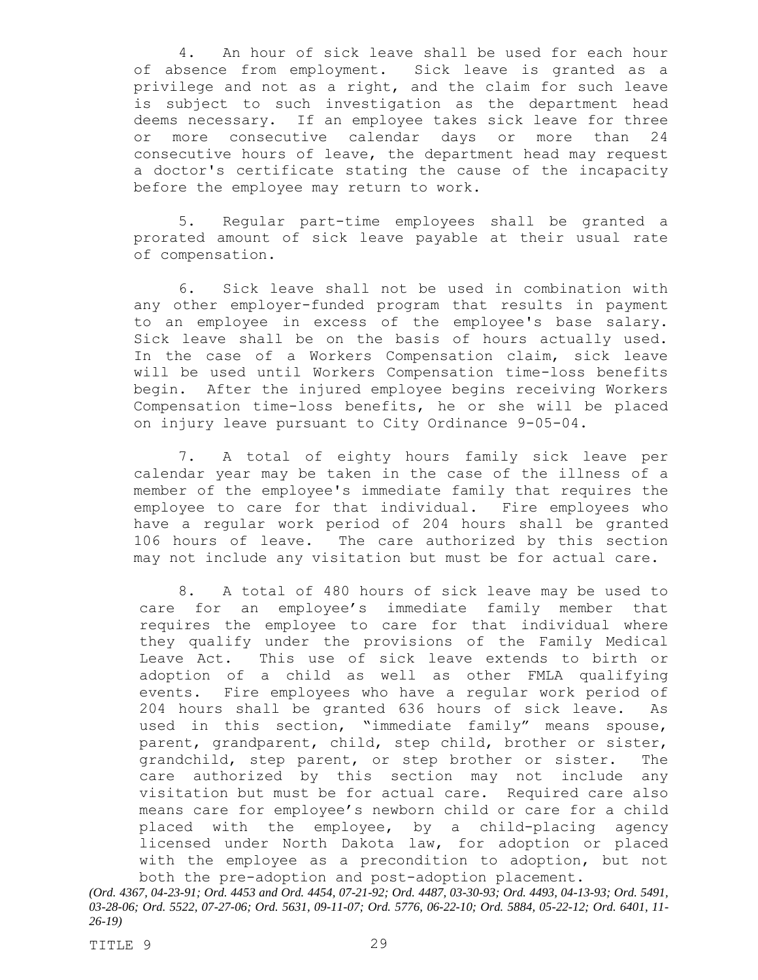4. An hour of sick leave shall be used for each hour of absence from employment. Sick leave is granted as a privilege and not as a right, and the claim for such leave is subject to such investigation as the department head deems necessary. If an employee takes sick leave for three or more consecutive calendar days or more than 24 consecutive hours of leave, the department head may request a doctor's certificate stating the cause of the incapacity before the employee may return to work.

5. Regular part-time employees shall be granted a prorated amount of sick leave payable at their usual rate of compensation.

6. Sick leave shall not be used in combination with any other employer-funded program that results in payment to an employee in excess of the employee's base salary. Sick leave shall be on the basis of hours actually used. In the case of a Workers Compensation claim, sick leave will be used until Workers Compensation time-loss benefits begin. After the injured employee begins receiving Workers Compensation time-loss benefits, he or she will be placed on injury leave pursuant to City Ordinance 9-05-04.

7. A total of eighty hours family sick leave per calendar year may be taken in the case of the illness of a member of the employee's immediate family that requires the employee to care for that individual. Fire employees who have a regular work period of 204 hours shall be granted 106 hours of leave. The care authorized by this section may not include any visitation but must be for actual care.

8. A total of 480 hours of sick leave may be used to care for an employee's immediate family member that requires the employee to care for that individual where they qualify under the provisions of the Family Medical Leave Act. This use of sick leave extends to birth or adoption of a child as well as other FMLA qualifying events. Fire employees who have a regular work period of 204 hours shall be granted 636 hours of sick leave. As used in this section, "immediate family" means spouse, parent, grandparent, child, step child, brother or sister, grandchild, step parent, or step brother or sister. The care authorized by this section may not include any visitation but must be for actual care. Required care also means care for employee's newborn child or care for a child placed with the employee, by a child-placing agency licensed under North Dakota law, for adoption or placed with the employee as a precondition to adoption, but not both the pre-adoption and post-adoption placement.

*<sup>(</sup>Ord. 4367, 04-23-91; Ord. 4453 and Ord. 4454, 07-21-92; Ord. 4487, 03-30-93; Ord. 4493, 04-13-93; Ord. 5491, 03-28-06; Ord. 5522, 07-27-06; Ord. 5631, 09-11-07; Ord. 5776, 06-22-10; Ord. 5884, 05-22-12; Ord. 6401, 11- 26-19)*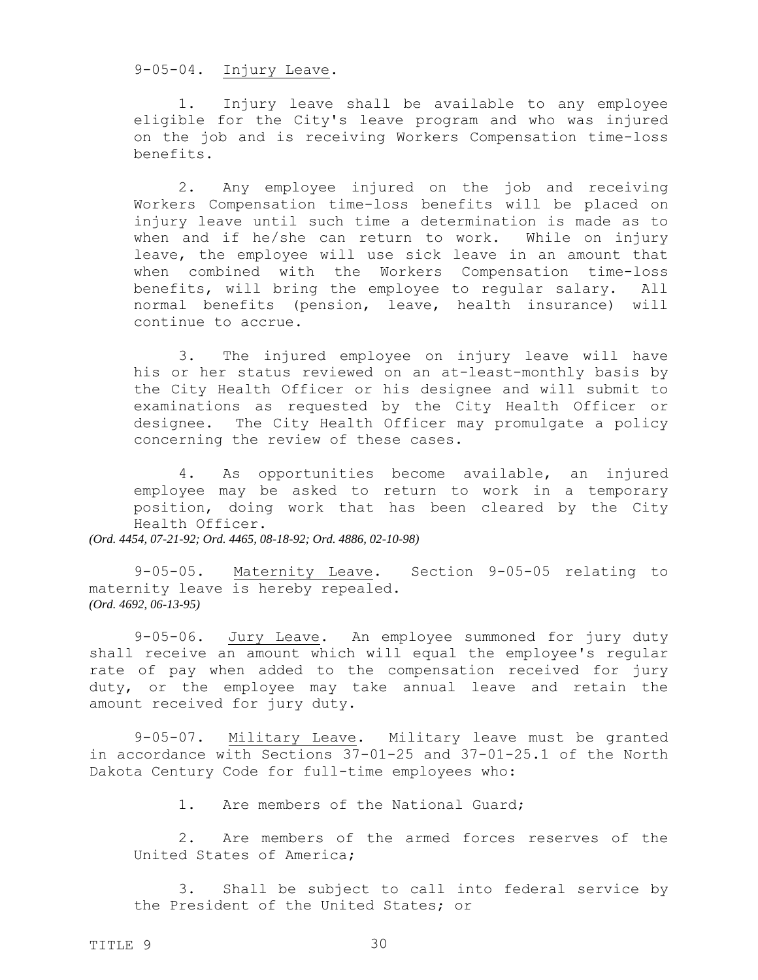<span id="page-29-0"></span>9-05-04. Injury Leave.

1. Injury leave shall be available to any employee eligible for the City's leave program and who was injured on the job and is receiving Workers Compensation time-loss benefits.

2. Any employee injured on the job and receiving Workers Compensation time-loss benefits will be placed on injury leave until such time a determination is made as to when and if he/she can return to work. While on injury leave, the employee will use sick leave in an amount that when combined with the Workers Compensation time-loss benefits, will bring the employee to regular salary. All normal benefits (pension, leave, health insurance) will continue to accrue.

3. The injured employee on injury leave will have his or her status reviewed on an at-least-monthly basis by the City Health Officer or his designee and will submit to examinations as requested by the City Health Officer or designee. The City Health Officer may promulgate a policy concerning the review of these cases.

<span id="page-29-1"></span>4. As opportunities become available, an injured employee may be asked to return to work in a temporary position, doing work that has been cleared by the City Health Officer.

*(Ord. 4454, 07-21-92; Ord. 4465, 08-18-92; Ord. 4886, 02-10-98)*

9-05-05. Maternity Leave. Section 9-05-05 relating to maternity leave is hereby repealed. *(Ord. 4692, 06-13-95)*

9-05-06. Jury Leave. An employee summoned for jury duty shall receive an amount which will equal the employee's regular rate of pay when added to the compensation received for jury duty, or the employee may take annual leave and retain the amount received for jury duty.

9-05-07. Military Leave. Military leave must be granted in accordance with Sections 37-01-25 and 37-01-25.1 of the North Dakota Century Code for full-time employees who:

<span id="page-29-3"></span><span id="page-29-2"></span>1. Are members of the National Guard;

2. Are members of the armed forces reserves of the United States of America;

3. Shall be subject to call into federal service by the President of the United States; or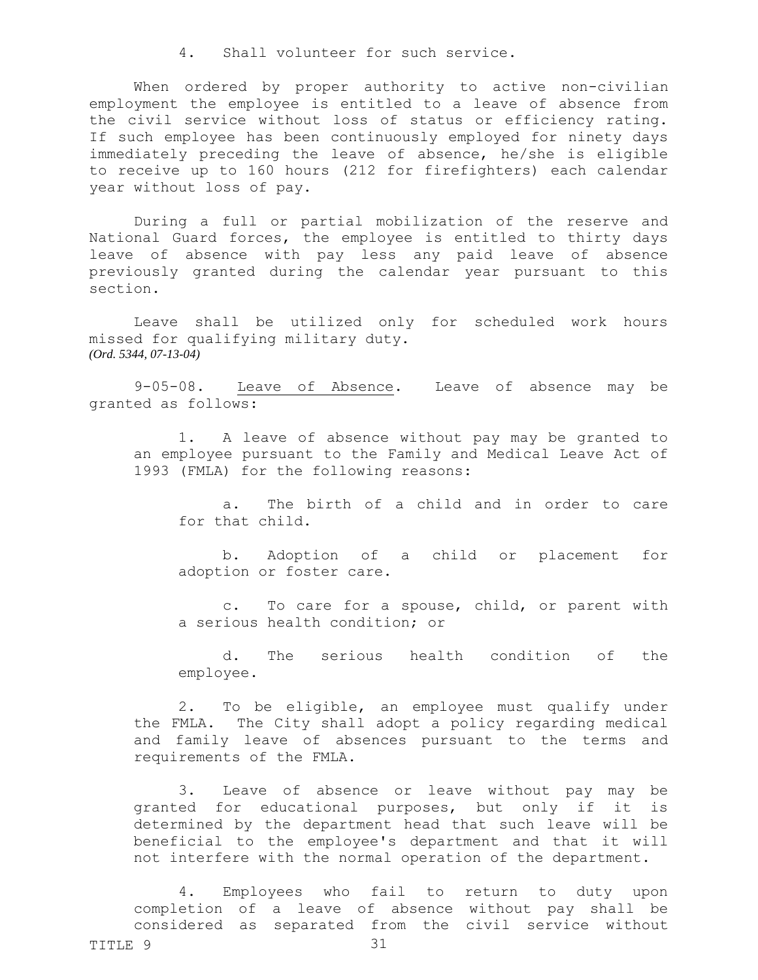4. Shall volunteer for such service.

When ordered by proper authority to active non-civilian employment the employee is entitled to a leave of absence from the civil service without loss of status or efficiency rating. If such employee has been continuously employed for ninety days immediately preceding the leave of absence, he/she is eligible to receive up to 160 hours (212 for firefighters) each calendar year without loss of pay.

During a full or partial mobilization of the reserve and National Guard forces, the employee is entitled to thirty days leave of absence with pay less any paid leave of absence previously granted during the calendar year pursuant to this section.

Leave shall be utilized only for scheduled work hours missed for qualifying military duty. *(Ord. 5344, 07-13-04)*

9-05-08. Leave of Absence. Leave of absence may be granted as follows:

1. A leave of absence without pay may be granted to an employee pursuant to the Family and Medical Leave Act of 1993 (FMLA) for the following reasons:

<span id="page-30-0"></span>a. The birth of a child and in order to care for that child.

b. Adoption of a child or placement for adoption or foster care.

c. To care for a spouse, child, or parent with a serious health condition; or

d. The serious health condition of the employee.

2. To be eligible, an employee must qualify under the FMLA. The City shall adopt a policy regarding medical and family leave of absences pursuant to the terms and requirements of the FMLA.

3. Leave of absence or leave without pay may be granted for educational purposes, but only if it is determined by the department head that such leave will be beneficial to the employee's department and that it will not interfere with the normal operation of the department.

4. Employees who fail to return to duty upon completion of a leave of absence without pay shall be considered as separated from the civil service without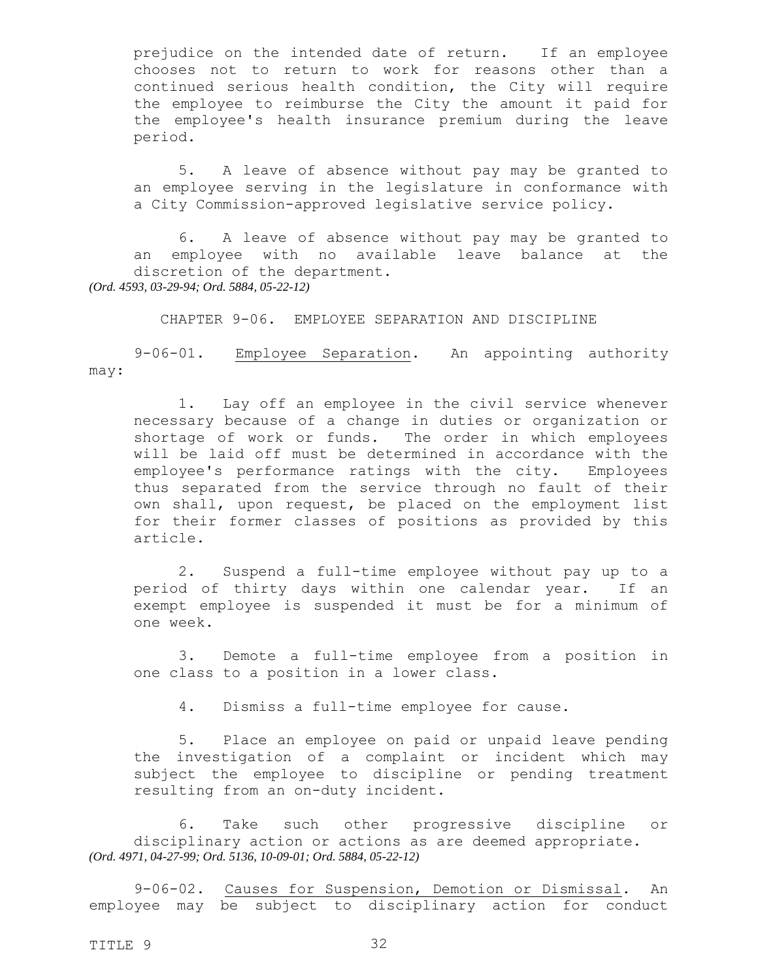prejudice on the intended date of return. If an employee chooses not to return to work for reasons other than a continued serious health condition, the City will require the employee to reimburse the City the amount it paid for the employee's health insurance premium during the leave period.

5. A leave of absence without pay may be granted to an employee serving in the legislature in conformance with a City Commission-approved legislative service policy.

6. A leave of absence without pay may be granted to an employee with no available leave balance at the discretion of the department. *(Ord. 4593, 03-29-94; Ord. 5884, 05-22-12)*

CHAPTER 9-06. EMPLOYEE SEPARATION AND DISCIPLINE

<span id="page-31-1"></span><span id="page-31-0"></span>

9-06-01. Employee Separation. An appointing authority may:

1. Lay off an employee in the civil service whenever necessary because of a change in duties or organization or shortage of work or funds. The order in which employees will be laid off must be determined in accordance with the employee's performance ratings with the city. Employees thus separated from the service through no fault of their own shall, upon request, be placed on the employment list for their former classes of positions as provided by this article.

2. Suspend a full-time employee without pay up to a period of thirty days within one calendar year. If an exempt employee is suspended it must be for a minimum of one week.

3. Demote a full-time employee from a position in one class to a position in a lower class.

<span id="page-31-2"></span>4. Dismiss a full-time employee for cause.

5. Place an employee on paid or unpaid leave pending the investigation of a complaint or incident which may subject the employee to discipline or pending treatment resulting from an on-duty incident.

6. Take such other progressive discipline or disciplinary action or actions as are deemed appropriate. *(Ord. 4971, 04-27-99; Ord. 5136, 10-09-01; Ord. 5884, 05-22-12)*

9-06-02. Causes for Suspension, Demotion or Dismissal. An employee may be subject to disciplinary action for conduct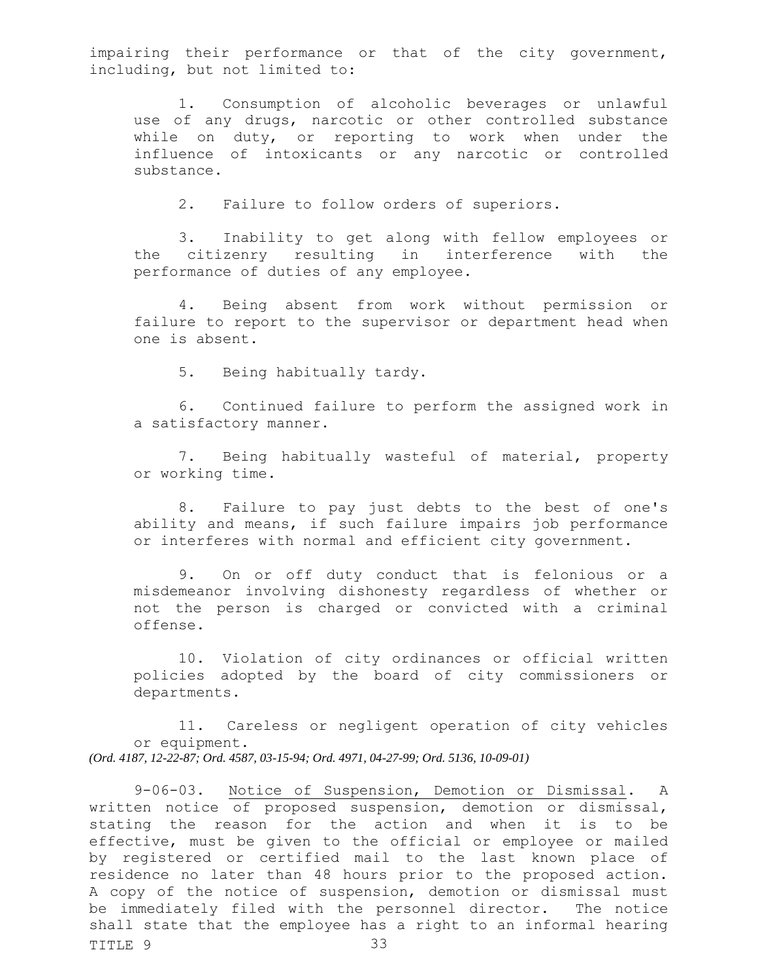impairing their performance or that of the city government, including, but not limited to:

1. Consumption of alcoholic beverages or unlawful use of any drugs, narcotic or other controlled substance while on duty, or reporting to work when under the influence of intoxicants or any narcotic or controlled substance.

2. Failure to follow orders of superiors.

3. Inability to get along with fellow employees or the citizenry resulting in interference with the performance of duties of any employee.

4. Being absent from work without permission or failure to report to the supervisor or department head when one is absent.

5. Being habitually tardy.

6. Continued failure to perform the assigned work in a satisfactory manner.

7. Being habitually wasteful of material, property or working time.

8. Failure to pay just debts to the best of one's ability and means, if such failure impairs job performance or interferes with normal and efficient city government.

9. On or off duty conduct that is felonious or a misdemeanor involving dishonesty regardless of whether or not the person is charged or convicted with a criminal offense.

<span id="page-32-0"></span>10. Violation of city ordinances or official written policies adopted by the board of city commissioners or departments.

11. Careless or negligent operation of city vehicles or equipment. *(Ord. 4187, 12-22-87; Ord. 4587, 03-15-94; Ord. 4971, 04-27-99; Ord. 5136, 10-09-01)*

TITLE 9 33 9-06-03. Notice of Suspension, Demotion or Dismissal. A written notice of proposed suspension, demotion or dismissal, stating the reason for the action and when it is to be effective, must be given to the official or employee or mailed by registered or certified mail to the last known place of residence no later than 48 hours prior to the proposed action. A copy of the notice of suspension, demotion or dismissal must be immediately filed with the personnel director. The notice shall state that the employee has a right to an informal hearing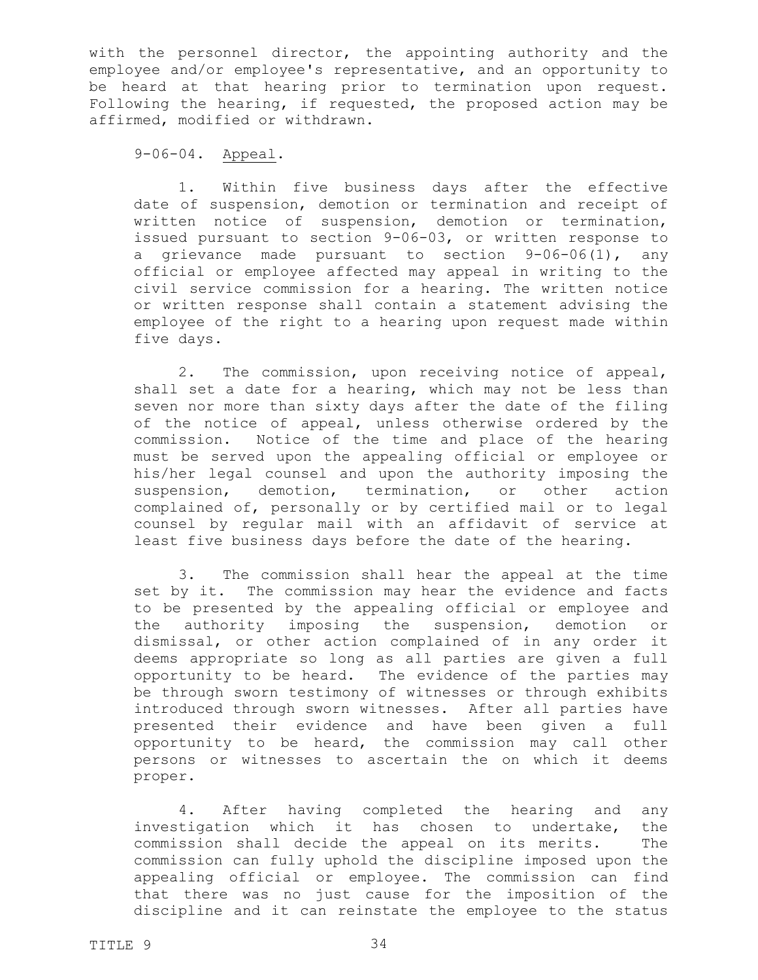with the personnel director, the appointing authority and the employee and/or employee's representative, and an opportunity to be heard at that hearing prior to termination upon request. Following the hearing, if requested, the proposed action may be affirmed, modified or withdrawn.

<span id="page-33-0"></span>9-06-04. Appeal.

1. Within five business days after the effective date of suspension, demotion or termination and receipt of written notice of suspension, demotion or termination, issued pursuant to section 9-06-03, or written response to a grievance made pursuant to section 9-06-06(1), any official or employee affected may appeal in writing to the civil service commission for a hearing. The written notice or written response shall contain a statement advising the employee of the right to a hearing upon request made within five days.

2. The commission, upon receiving notice of appeal, shall set a date for a hearing, which may not be less than seven nor more than sixty days after the date of the filing of the notice of appeal, unless otherwise ordered by the commission. Notice of the time and place of the hearing must be served upon the appealing official or employee or his/her legal counsel and upon the authority imposing the suspension, demotion, termination, or other action complained of, personally or by certified mail or to legal counsel by regular mail with an affidavit of service at least five business days before the date of the hearing.

3. The commission shall hear the appeal at the time set by it. The commission may hear the evidence and facts to be presented by the appealing official or employee and the authority imposing the suspension, demotion or dismissal, or other action complained of in any order it deems appropriate so long as all parties are given a full opportunity to be heard. The evidence of the parties may be through sworn testimony of witnesses or through exhibits introduced through sworn witnesses. After all parties have presented their evidence and have been given a full opportunity to be heard, the commission may call other persons or witnesses to ascertain the on which it deems proper.

4. After having completed the hearing and any investigation which it has chosen to undertake, the commission shall decide the appeal on its merits. The commission can fully uphold the discipline imposed upon the appealing official or employee. The commission can find that there was no just cause for the imposition of the discipline and it can reinstate the employee to the status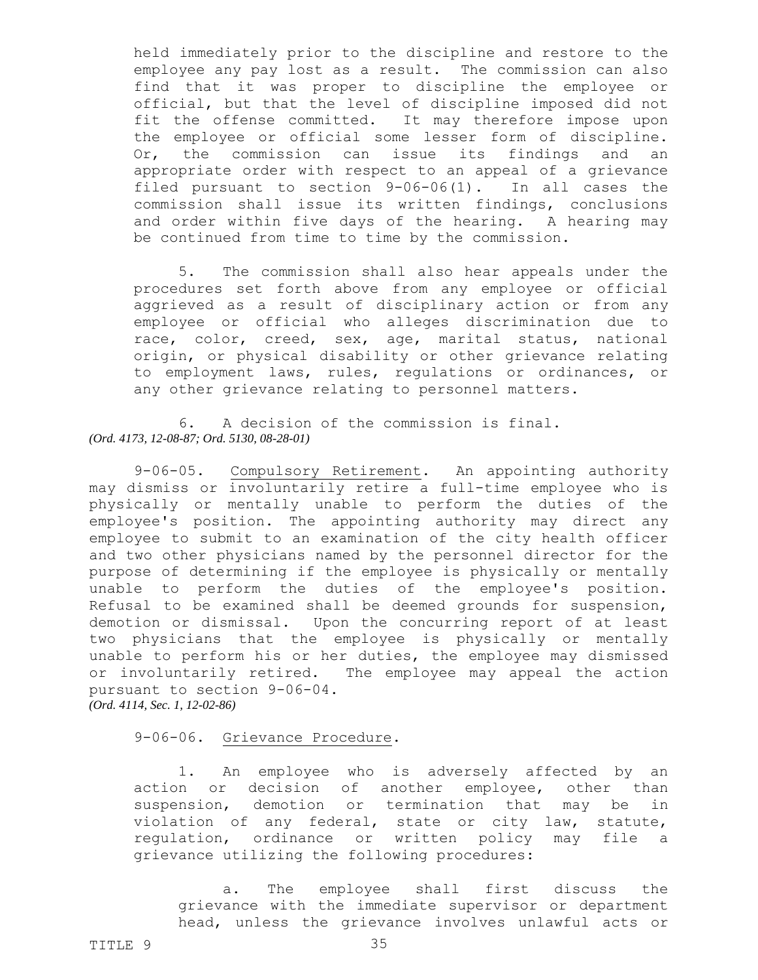held immediately prior to the discipline and restore to the employee any pay lost as a result. The commission can also find that it was proper to discipline the employee or official, but that the level of discipline imposed did not fit the offense committed. It may therefore impose upon the employee or official some lesser form of discipline. Or, the commission can issue its findings and an appropriate order with respect to an appeal of a grievance filed pursuant to section 9-06-06(1). In all cases the commission shall issue its written findings, conclusions and order within five days of the hearing. A hearing may be continued from time to time by the commission.

5. The commission shall also hear appeals under the procedures set forth above from any employee or official aggrieved as a result of disciplinary action or from any employee or official who alleges discrimination due to race, color, creed, sex, age, marital status, national origin, or physical disability or other grievance relating to employment laws, rules, regulations or ordinances, or any other grievance relating to personnel matters.

6. A decision of the commission is final. *(Ord. 4173, 12-08-87; Ord. 5130, 08-28-01)*

<span id="page-34-0"></span>9-06-05. Compulsory Retirement. An appointing authority may dismiss or involuntarily retire a full-time employee who is physically or mentally unable to perform the duties of the employee's position. The appointing authority may direct any employee to submit to an examination of the city health officer and two other physicians named by the personnel director for the purpose of determining if the employee is physically or mentally unable to perform the duties of the employee's position. Refusal to be examined shall be deemed grounds for suspension, demotion or dismissal. Upon the concurring report of at least two physicians that the employee is physically or mentally unable to perform his or her duties, the employee may dismissed or involuntarily retired. The employee may appeal the action pursuant to section 9-06-04. *(Ord. 4114, Sec. 1, 12-02-86)*

<span id="page-34-1"></span>9-06-06. Grievance Procedure.

1. An employee who is adversely affected by an action or decision of another employee, other than suspension, demotion or termination that may be in violation of any federal, state or city law, statute, regulation, ordinance or written policy may file a grievance utilizing the following procedures:

a. The employee shall first discuss the grievance with the immediate supervisor or department head, unless the grievance involves unlawful acts or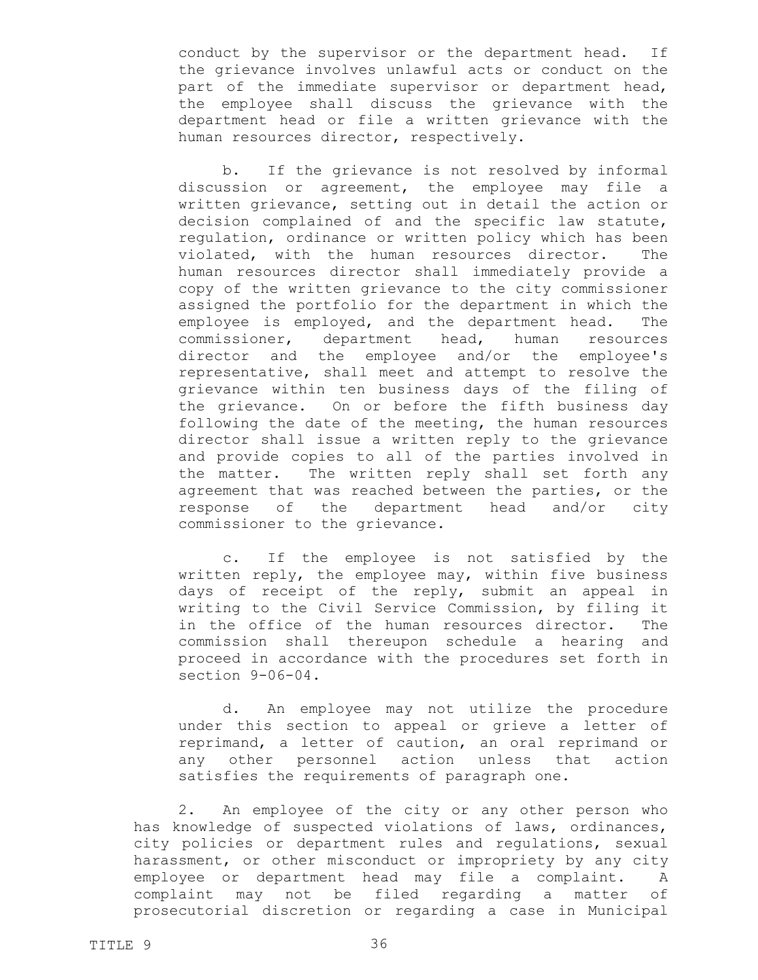conduct by the supervisor or the department head. If the grievance involves unlawful acts or conduct on the part of the immediate supervisor or department head, the employee shall discuss the grievance with the department head or file a written grievance with the human resources director, respectively.

b. If the grievance is not resolved by informal discussion or agreement, the employee may file a written grievance, setting out in detail the action or decision complained of and the specific law statute, regulation, ordinance or written policy which has been violated, with the human resources director. The human resources director shall immediately provide a copy of the written grievance to the city commissioner assigned the portfolio for the department in which the employee is employed, and the department head. The commissioner, department head, human resources director and the employee and/or the employee's representative, shall meet and attempt to resolve the grievance within ten business days of the filing of the grievance. On or before the fifth business day following the date of the meeting, the human resources director shall issue a written reply to the grievance and provide copies to all of the parties involved in the matter. The written reply shall set forth any agreement that was reached between the parties, or the response of the department head and/or city commissioner to the grievance.

c. If the employee is not satisfied by the written reply, the employee may, within five business days of receipt of the reply, submit an appeal in writing to the Civil Service Commission, by filing it in the office of the human resources director. The commission shall thereupon schedule a hearing and proceed in accordance with the procedures set forth in section 9-06-04.

d. An employee may not utilize the procedure under this section to appeal or grieve a letter of reprimand, a letter of caution, an oral reprimand or any other personnel action unless that action satisfies the requirements of paragraph one.

2. An employee of the city or any other person who has knowledge of suspected violations of laws, ordinances, city policies or department rules and regulations, sexual harassment, or other misconduct or impropriety by any city employee or department head may file a complaint. A complaint may not be filed regarding a matter of prosecutorial discretion or regarding a case in Municipal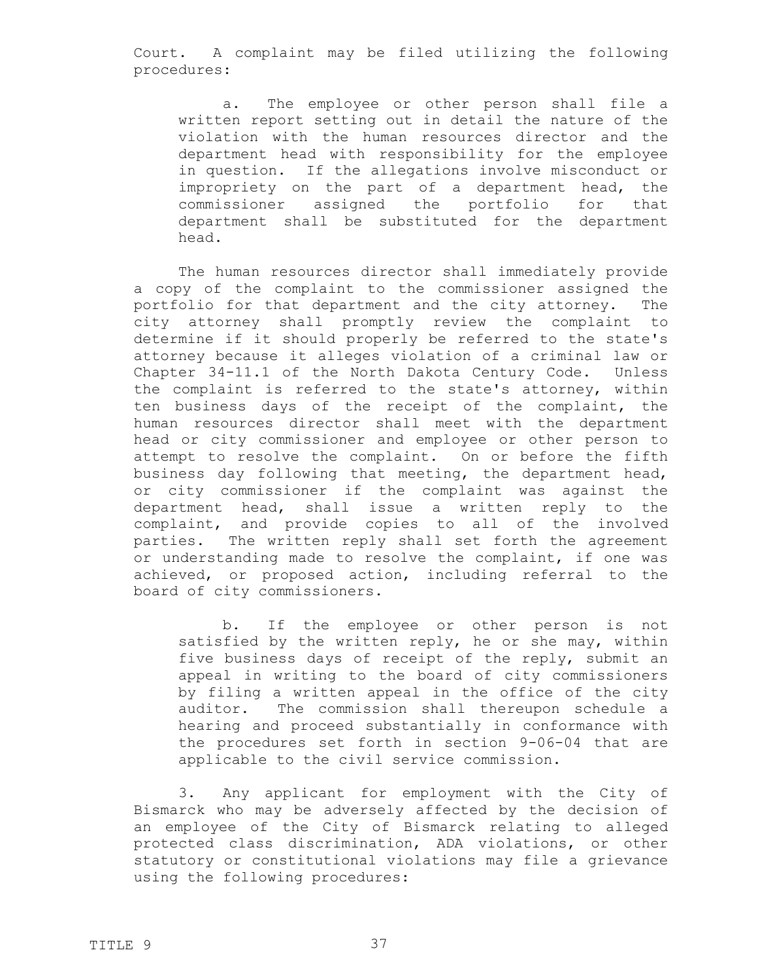Court. A complaint may be filed utilizing the following procedures:

a. The employee or other person shall file a written report setting out in detail the nature of the violation with the human resources director and the department head with responsibility for the employee in question. If the allegations involve misconduct or impropriety on the part of a department head, the commissioner assigned the portfolio for that department shall be substituted for the department head.

The human resources director shall immediately provide a copy of the complaint to the commissioner assigned the portfolio for that department and the city attorney. The city attorney shall promptly review the complaint to determine if it should properly be referred to the state's attorney because it alleges violation of a criminal law or Chapter 34-11.1 of the North Dakota Century Code. Unless the complaint is referred to the state's attorney, within ten business days of the receipt of the complaint, the human resources director shall meet with the department head or city commissioner and employee or other person to attempt to resolve the complaint. On or before the fifth business day following that meeting, the department head, or city commissioner if the complaint was against the department head, shall issue a written reply to the complaint, and provide copies to all of the involved parties. The written reply shall set forth the agreement or understanding made to resolve the complaint, if one was achieved, or proposed action, including referral to the board of city commissioners.

b. If the employee or other person is not satisfied by the written reply, he or she may, within five business days of receipt of the reply, submit an appeal in writing to the board of city commissioners by filing a written appeal in the office of the city auditor. The commission shall thereupon schedule a hearing and proceed substantially in conformance with the procedures set forth in section 9-06-04 that are applicable to the civil service commission.

3. Any applicant for employment with the City of Bismarck who may be adversely affected by the decision of an employee of the City of Bismarck relating to alleged protected class discrimination, ADA violations, or other statutory or constitutional violations may file a grievance using the following procedures: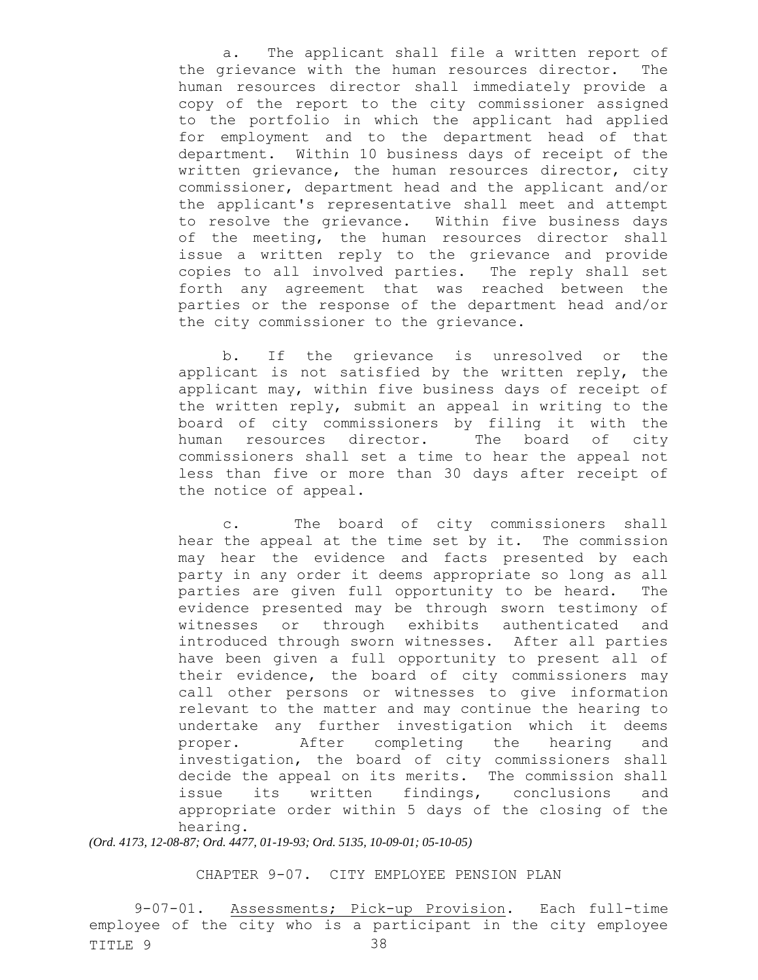a. The applicant shall file a written report of the grievance with the human resources director. The human resources director shall immediately provide a copy of the report to the city commissioner assigned to the portfolio in which the applicant had applied for employment and to the department head of that department. Within 10 business days of receipt of the written grievance, the human resources director, city commissioner, department head and the applicant and/or the applicant's representative shall meet and attempt to resolve the grievance. Within five business days of the meeting, the human resources director shall issue a written reply to the grievance and provide copies to all involved parties. The reply shall set forth any agreement that was reached between the parties or the response of the department head and/or the city commissioner to the grievance.

b. If the grievance is unresolved or the applicant is not satisfied by the written reply, the applicant may, within five business days of receipt of the written reply, submit an appeal in writing to the board of city commissioners by filing it with the human resources director. The board of city commissioners shall set a time to hear the appeal not less than five or more than 30 days after receipt of the notice of appeal.

c. The board of city commissioners shall hear the appeal at the time set by it. The commission may hear the evidence and facts presented by each party in any order it deems appropriate so long as all parties are given full opportunity to be heard. The evidence presented may be through sworn testimony of witnesses or through exhibits authenticated and introduced through sworn witnesses. After all parties have been given a full opportunity to present all of their evidence, the board of city commissioners may call other persons or witnesses to give information relevant to the matter and may continue the hearing to undertake any further investigation which it deems proper. After completing the hearing and investigation, the board of city commissioners shall decide the appeal on its merits. The commission shall issue its written findings, conclusions and appropriate order within 5 days of the closing of the hearing.

*(Ord. 4173, 12-08-87; Ord. 4477, 01-19-93; Ord. 5135, 10-09-01; 05-10-05)*

CHAPTER 9-07. CITY EMPLOYEE PENSION PLAN

TITLE 9 38 9-07-01. Assessments; Pick-up Provision. Each full-time employee of the city who is a participant in the city employee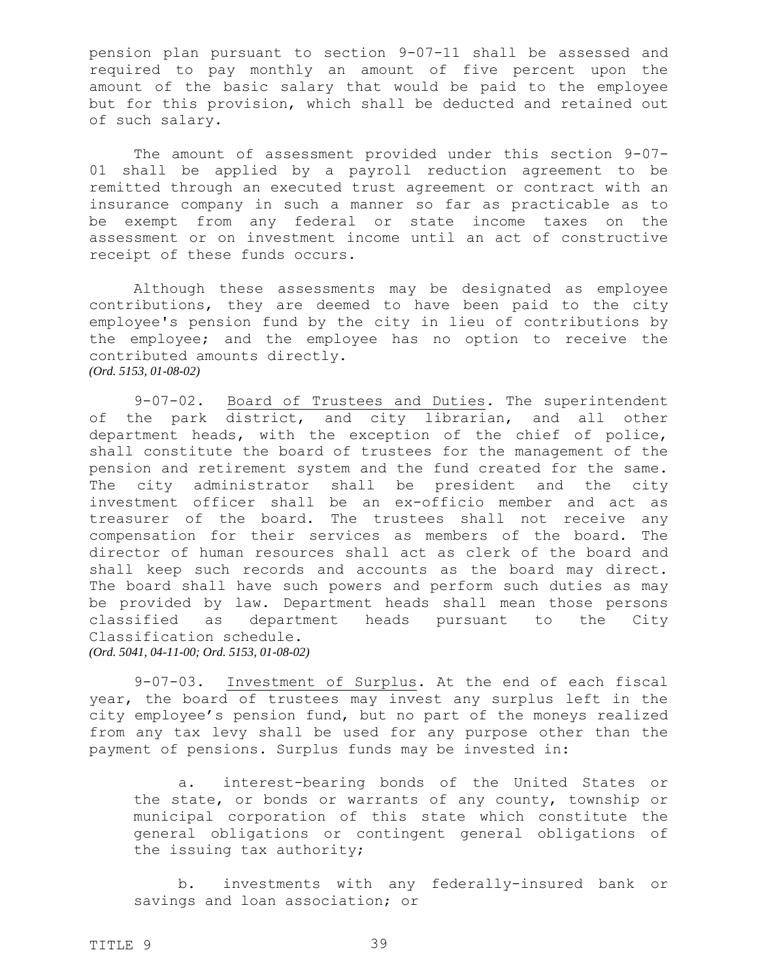pension plan pursuant to section 9-07-11 shall be assessed and required to pay monthly an amount of five percent upon the amount of the basic salary that would be paid to the employee but for this provision, which shall be deducted and retained out of such salary.

The amount of assessment provided under this section 9-07- 01 shall be applied by a payroll reduction agreement to be remitted through an executed trust agreement or contract with an insurance company in such a manner so far as practicable as to be exempt from any federal or state income taxes on the assessment or on investment income until an act of constructive receipt of these funds occurs.

Although these assessments may be designated as employee contributions, they are deemed to have been paid to the city employee's pension fund by the city in lieu of contributions by the employee; and the employee has no option to receive the contributed amounts directly. *(Ord. 5153, 01-08-02)*

9-07-02. Board of Trustees and Duties. The superintendent of the park district, and city librarian, and all other department heads, with the exception of the chief of police, shall constitute the board of trustees for the management of the pension and retirement system and the fund created for the same. The city administrator shall be president and the city investment officer shall be an ex-officio member and act as treasurer of the board. The trustees shall not receive any compensation for their services as members of the board. The director of human resources shall act as clerk of the board and shall keep such records and accounts as the board may direct. The board shall have such powers and perform such duties as may be provided by law. Department heads shall mean those persons classified as department heads pursuant to the City Classification schedule. *(Ord. 5041, 04-11-00; Ord. 5153, 01-08-02)*

9-07-03. Investment of Surplus. At the end of each fiscal year, the board of trustees may invest any surplus left in the city employee's pension fund, but no part of the moneys realized from any tax levy shall be used for any purpose other than the payment of pensions. Surplus funds may be invested in:

a. interest-bearing bonds of the United States or the state, or bonds or warrants of any county, township or municipal corporation of this state which constitute the general obligations or contingent general obligations of the issuing tax authority;

b. investments with any federally-insured bank or savings and loan association; or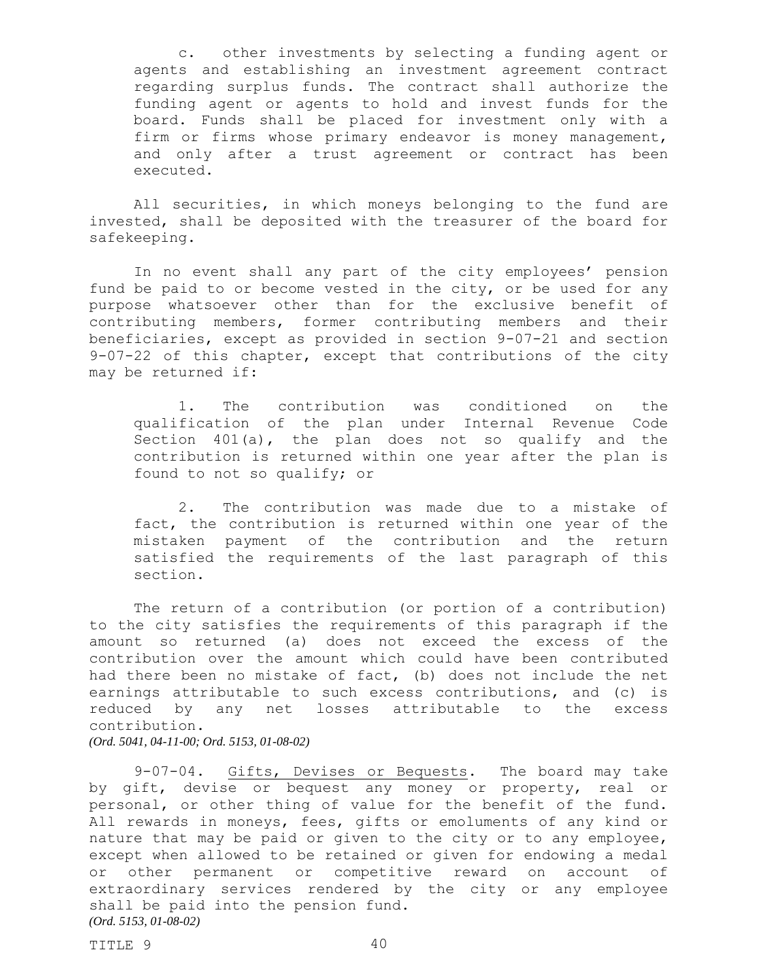c. other investments by selecting a funding agent or agents and establishing an investment agreement contract regarding surplus funds. The contract shall authorize the funding agent or agents to hold and invest funds for the board. Funds shall be placed for investment only with a firm or firms whose primary endeavor is money management, and only after a trust agreement or contract has been executed.

All securities, in which moneys belonging to the fund are invested, shall be deposited with the treasurer of the board for safekeeping.

In no event shall any part of the city employees' pension fund be paid to or become vested in the city, or be used for any purpose whatsoever other than for the exclusive benefit of contributing members, former contributing members and their beneficiaries, except as provided in section 9-07-21 and section 9-07-22 of this chapter, except that contributions of the city may be returned if:

1. The contribution was conditioned on the qualification of the plan under Internal Revenue Code Section 401(a), the plan does not so qualify and the contribution is returned within one year after the plan is found to not so qualify; or

2. The contribution was made due to a mistake of fact, the contribution is returned within one year of the mistaken payment of the contribution and the return satisfied the requirements of the last paragraph of this section.

The return of a contribution (or portion of a contribution) to the city satisfies the requirements of this paragraph if the amount so returned (a) does not exceed the excess of the contribution over the amount which could have been contributed had there been no mistake of fact, (b) does not include the net earnings attributable to such excess contributions, and (c) is reduced by any net losses attributable to the excess contribution.

*(Ord. 5041, 04-11-00; Ord. 5153, 01-08-02)*

9-07-04. Gifts, Devises or Bequests. The board may take by gift, devise or bequest any money or property, real or personal, or other thing of value for the benefit of the fund. All rewards in moneys, fees, gifts or emoluments of any kind or nature that may be paid or given to the city or to any employee, except when allowed to be retained or given for endowing a medal or other permanent or competitive reward on account of extraordinary services rendered by the city or any employee shall be paid into the pension fund. *(Ord. 5153, 01-08-02)*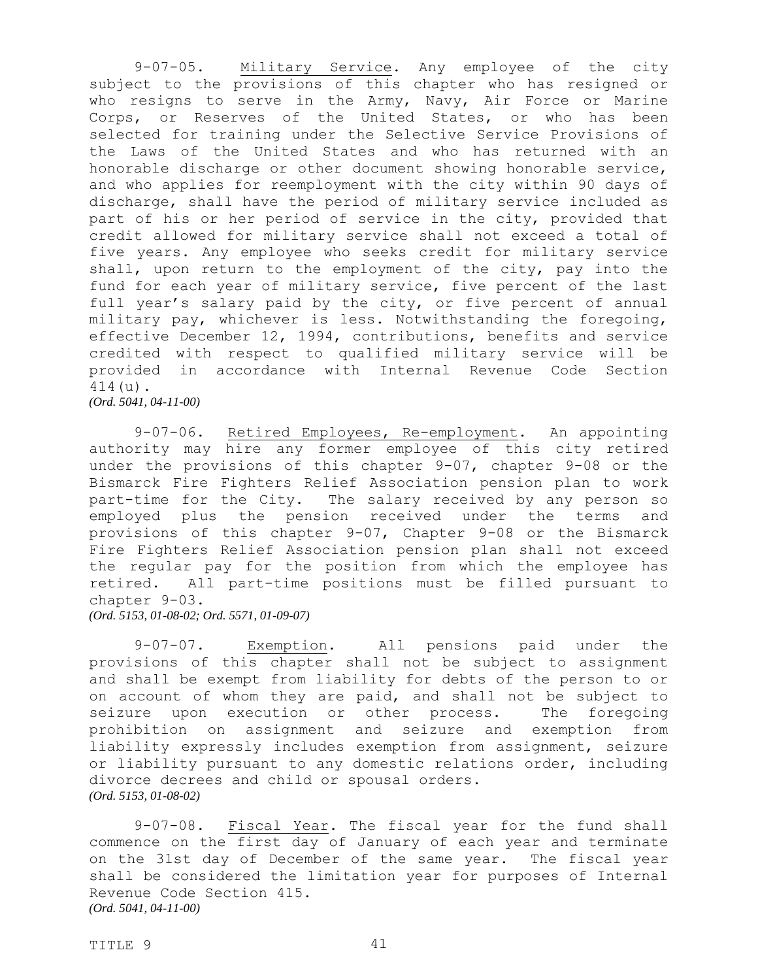9-07-05. Military Service. Any employee of the city subject to the provisions of this chapter who has resigned or who resigns to serve in the Army, Navy, Air Force or Marine Corps, or Reserves of the United States, or who has been selected for training under the Selective Service Provisions of the Laws of the United States and who has returned with an honorable discharge or other document showing honorable service, and who applies for reemployment with the city within 90 days of discharge, shall have the period of military service included as part of his or her period of service in the city, provided that credit allowed for military service shall not exceed a total of five years. Any employee who seeks credit for military service shall, upon return to the employment of the city, pay into the fund for each year of military service, five percent of the last full year's salary paid by the city, or five percent of annual military pay, whichever is less. Notwithstanding the foregoing, effective December 12, 1994, contributions, benefits and service credited with respect to qualified military service will be provided in accordance with Internal Revenue Code Section 414(u). *(Ord. 5041, 04-11-00)*

9-07-06. Retired Employees, Re-employment. An appointing authority may hire any former employee of this city retired under the provisions of this chapter 9-07, chapter 9-08 or the Bismarck Fire Fighters Relief Association pension plan to work part-time for the City. The salary received by any person so employed plus the pension received under the terms and provisions of this chapter 9-07, Chapter 9-08 or the Bismarck Fire Fighters Relief Association pension plan shall not exceed the regular pay for the position from which the employee has retired. All part-time positions must be filled pursuant to chapter 9-03.

*(Ord. 5153, 01-08-02; Ord. 5571, 01-09-07)*

9-07-07. Exemption. All pensions paid under the provisions of this chapter shall not be subject to assignment and shall be exempt from liability for debts of the person to or on account of whom they are paid, and shall not be subject to seizure upon execution or other process. The foregoing prohibition on assignment and seizure and exemption from liability expressly includes exemption from assignment, seizure or liability pursuant to any domestic relations order, including divorce decrees and child or spousal orders. *(Ord. 5153, 01-08-02)*

9-07-08. Fiscal Year. The fiscal year for the fund shall commence on the first day of January of each year and terminate on the 31st day of December of the same year. The fiscal year shall be considered the limitation year for purposes of Internal Revenue Code Section 415. *(Ord. 5041, 04-11-00)*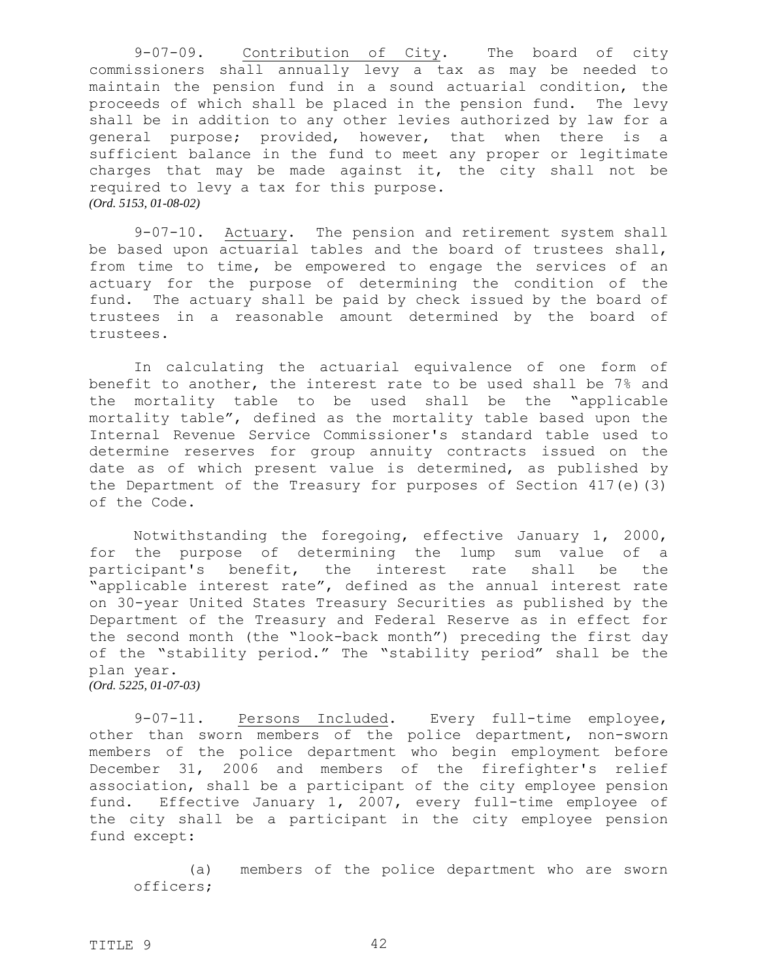9-07-09. Contribution of City. The board of city commissioners shall annually levy a tax as may be needed to maintain the pension fund in a sound actuarial condition, the proceeds of which shall be placed in the pension fund. The levy shall be in addition to any other levies authorized by law for a general purpose; provided, however, that when there is a sufficient balance in the fund to meet any proper or legitimate charges that may be made against it, the city shall not be required to levy a tax for this purpose. *(Ord. 5153, 01-08-02)*

9-07-10. Actuary. The pension and retirement system shall be based upon actuarial tables and the board of trustees shall, from time to time, be empowered to engage the services of an actuary for the purpose of determining the condition of the fund. The actuary shall be paid by check issued by the board of trustees in a reasonable amount determined by the board of trustees.

In calculating the actuarial equivalence of one form of benefit to another, the interest rate to be used shall be 7% and the mortality table to be used shall be the "applicable mortality table", defined as the mortality table based upon the Internal Revenue Service Commissioner's standard table used to determine reserves for group annuity contracts issued on the date as of which present value is determined, as published by the Department of the Treasury for purposes of Section 417(e)(3) of the Code.

Notwithstanding the foregoing, effective January 1, 2000, for the purpose of determining the lump sum value of a participant's benefit, the interest rate shall be the "applicable interest rate", defined as the annual interest rate on 30-year United States Treasury Securities as published by the Department of the Treasury and Federal Reserve as in effect for the second month (the "look-back month") preceding the first day of the "stability period." The "stability period" shall be the plan year. *(Ord. 5225, 01-07-03)*

9-07-11. Persons Included. Every full-time employee, other than sworn members of the police department, non-sworn members of the police department who begin employment before December 31, 2006 and members of the firefighter's relief association, shall be a participant of the city employee pension fund. Effective January 1, 2007, every full-time employee of the city shall be a participant in the city employee pension fund except:

(a) members of the police department who are sworn officers;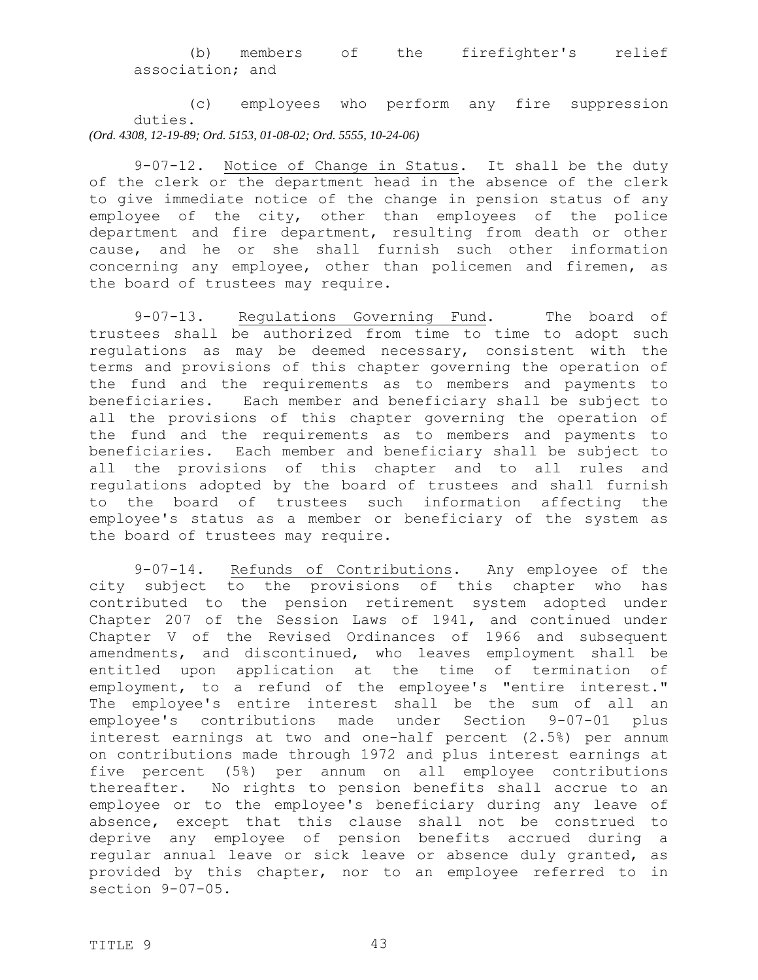## (b) members of the firefighter's relief association; and

(c) employees who perform any fire suppression duties. *(Ord. 4308, 12-19-89; Ord. 5153, 01-08-02; Ord. 5555, 10-24-06)*

9-07-12. Notice of Change in Status. It shall be the duty of the clerk or the department head in the absence of the clerk to give immediate notice of the change in pension status of any employee of the city, other than employees of the police department and fire department, resulting from death or other cause, and he or she shall furnish such other information concerning any employee, other than policemen and firemen, as the board of trustees may require.

9-07-13. Regulations Governing Fund. The board of trustees shall be authorized from time to time to adopt such regulations as may be deemed necessary, consistent with the terms and provisions of this chapter governing the operation of the fund and the requirements as to members and payments to beneficiaries. Each member and beneficiary shall be subject to all the provisions of this chapter governing the operation of the fund and the requirements as to members and payments to beneficiaries. Each member and beneficiary shall be subject to all the provisions of this chapter and to all rules and regulations adopted by the board of trustees and shall furnish to the board of trustees such information affecting the employee's status as a member or beneficiary of the system as the board of trustees may require.

9-07-14. Refunds of Contributions. Any employee of the city subject to the provisions of this chapter who has contributed to the pension retirement system adopted under Chapter 207 of the Session Laws of 1941, and continued under Chapter V of the Revised Ordinances of 1966 and subsequent amendments, and discontinued, who leaves employment shall be entitled upon application at the time of termination of employment, to a refund of the employee's "entire interest." The employee's entire interest shall be the sum of all an employee's contributions made under Section 9-07-01 plus interest earnings at two and one-half percent (2.5%) per annum on contributions made through 1972 and plus interest earnings at five percent (5%) per annum on all employee contributions thereafter. No rights to pension benefits shall accrue to an employee or to the employee's beneficiary during any leave of absence, except that this clause shall not be construed to deprive any employee of pension benefits accrued during a regular annual leave or sick leave or absence duly granted, as provided by this chapter, nor to an employee referred to in section 9-07-05.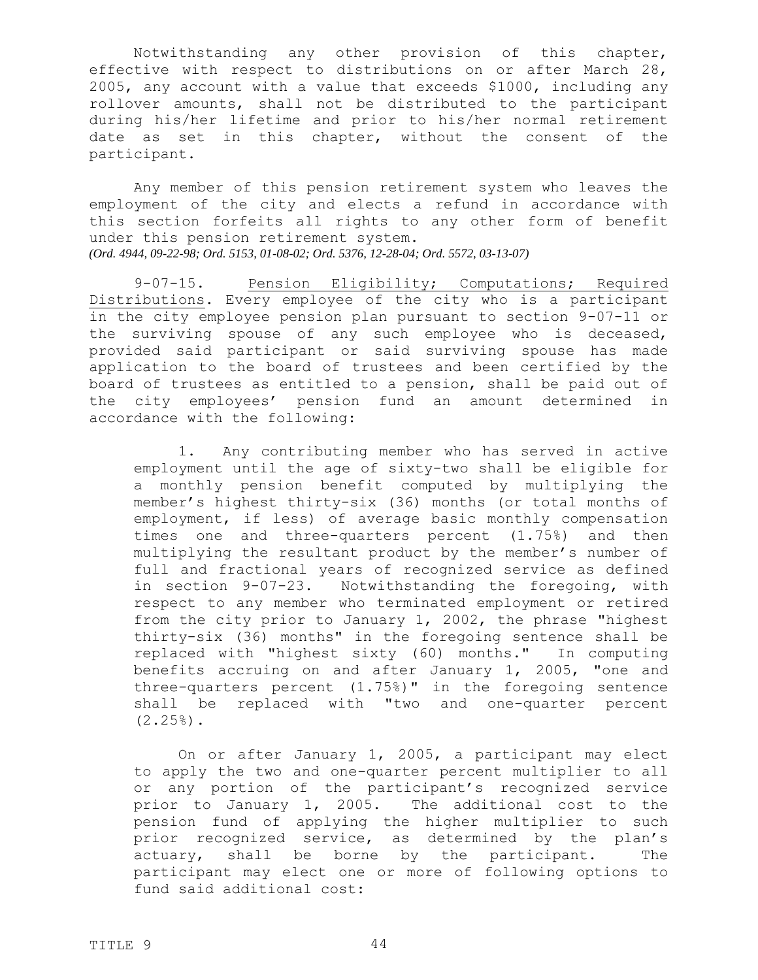Notwithstanding any other provision of this chapter, effective with respect to distributions on or after March 28, 2005, any account with a value that exceeds \$1000, including any rollover amounts, shall not be distributed to the participant during his/her lifetime and prior to his/her normal retirement date as set in this chapter, without the consent of the participant.

Any member of this pension retirement system who leaves the employment of the city and elects a refund in accordance with this section forfeits all rights to any other form of benefit under this pension retirement system. *(Ord. 4944, 09-22-98; Ord. 5153, 01-08-02; Ord. 5376, 12-28-04; Ord. 5572, 03-13-07)*

9-07-15. Pension Eligibility; Computations; Required Distributions. Every employee of the city who is a participant in the city employee pension plan pursuant to section 9-07-11 or the surviving spouse of any such employee who is deceased, provided said participant or said surviving spouse has made application to the board of trustees and been certified by the board of trustees as entitled to a pension, shall be paid out of the city employees' pension fund an amount determined in accordance with the following:

1. Any contributing member who has served in active employment until the age of sixty-two shall be eligible for a monthly pension benefit computed by multiplying the member's highest thirty-six (36) months (or total months of employment, if less) of average basic monthly compensation times one and three-quarters percent (1.75%) and then multiplying the resultant product by the member's number of full and fractional years of recognized service as defined in section 9-07-23. Notwithstanding the foregoing, with respect to any member who terminated employment or retired from the city prior to January 1, 2002, the phrase "highest thirty-six (36) months" in the foregoing sentence shall be replaced with "highest sixty (60) months." In computing benefits accruing on and after January 1, 2005, "one and three-quarters percent (1.75%)" in the foregoing sentence shall be replaced with "two and one-quarter percent  $(2.25%)$ .

On or after January 1, 2005, a participant may elect to apply the two and one-quarter percent multiplier to all or any portion of the participant's recognized service prior to January 1, 2005. The additional cost to the pension fund of applying the higher multiplier to such prior recognized service, as determined by the plan's actuary, shall be borne by the participant. The participant may elect one or more of following options to fund said additional cost: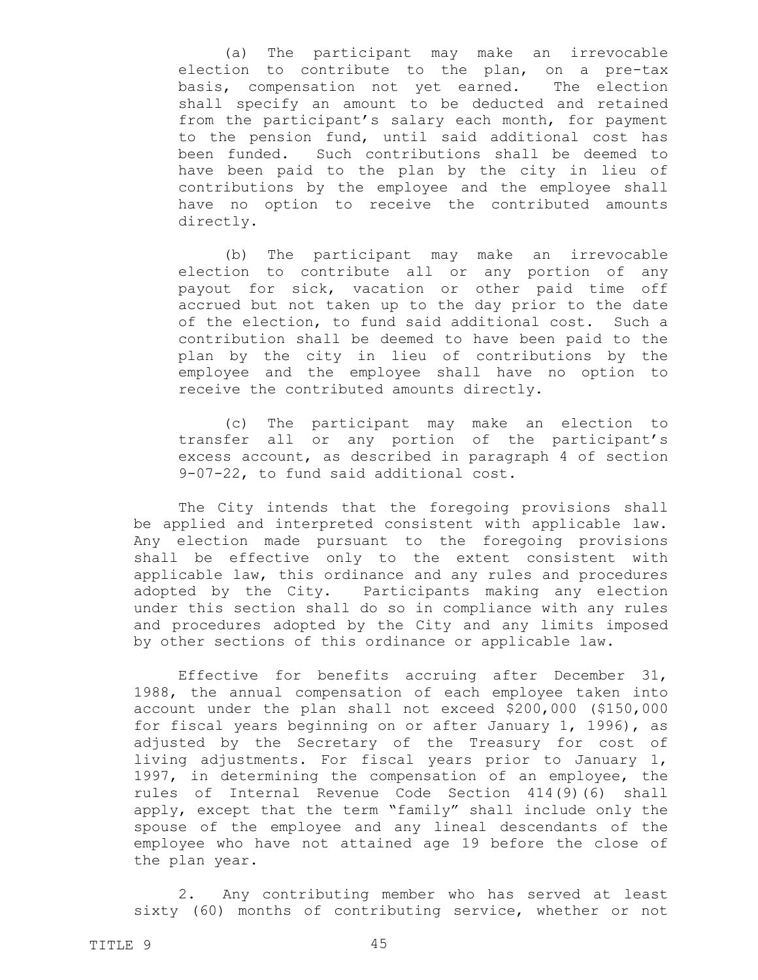(a) The participant may make an irrevocable election to contribute to the plan, on a pre-tax basis, compensation not yet earned. The election shall specify an amount to be deducted and retained from the participant's salary each month, for payment to the pension fund, until said additional cost has been funded. Such contributions shall be deemed to have been paid to the plan by the city in lieu of contributions by the employee and the employee shall have no option to receive the contributed amounts directly.

(b) The participant may make an irrevocable election to contribute all or any portion of any payout for sick, vacation or other paid time off accrued but not taken up to the day prior to the date of the election, to fund said additional cost. Such a contribution shall be deemed to have been paid to the plan by the city in lieu of contributions by the employee and the employee shall have no option to receive the contributed amounts directly.

(c) The participant may make an election to transfer all or any portion of the participant's excess account, as described in paragraph 4 of section 9-07-22, to fund said additional cost.

The City intends that the foregoing provisions shall be applied and interpreted consistent with applicable law. Any election made pursuant to the foregoing provisions shall be effective only to the extent consistent with applicable law, this ordinance and any rules and procedures adopted by the City. Participants making any election under this section shall do so in compliance with any rules and procedures adopted by the City and any limits imposed by other sections of this ordinance or applicable law.

Effective for benefits accruing after December 31, 1988, the annual compensation of each employee taken into account under the plan shall not exceed \$200,000 (\$150,000 for fiscal years beginning on or after January 1, 1996), as adjusted by the Secretary of the Treasury for cost of living adjustments. For fiscal years prior to January 1, 1997, in determining the compensation of an employee, the rules of Internal Revenue Code Section 414(9)(6) shall apply, except that the term "family" shall include only the spouse of the employee and any lineal descendants of the employee who have not attained age 19 before the close of the plan year.

2. Any contributing member who has served at least sixty (60) months of contributing service, whether or not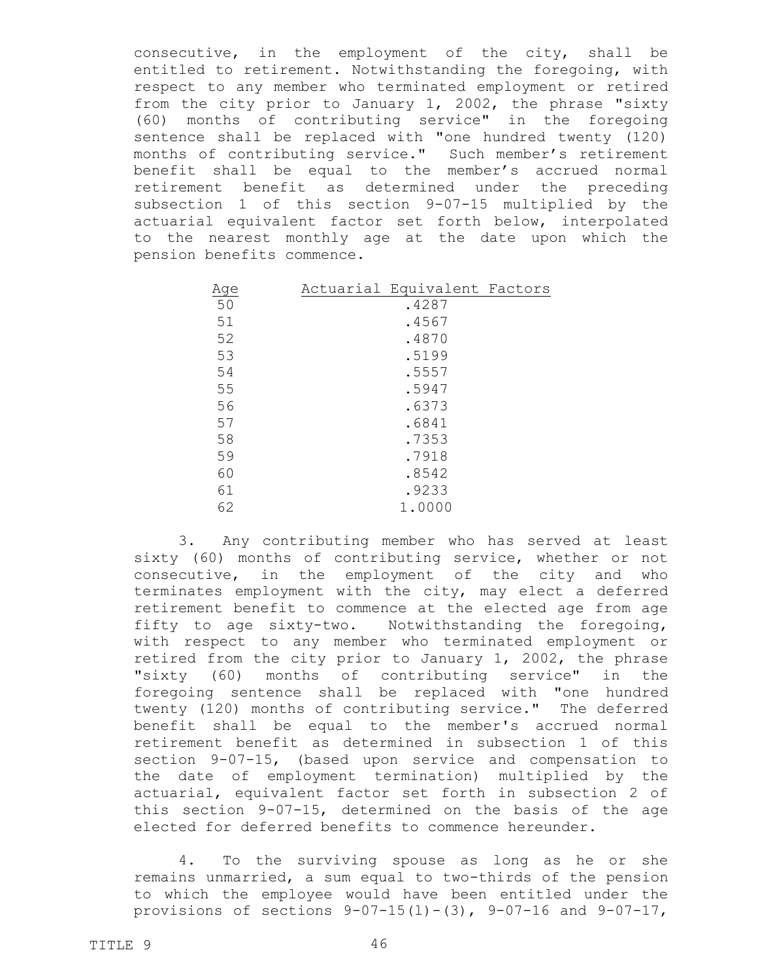consecutive, in the employment of the city, shall be entitled to retirement. Notwithstanding the foregoing, with respect to any member who terminated employment or retired from the city prior to January 1, 2002, the phrase "sixty (60) months of contributing service" in the foregoing sentence shall be replaced with "one hundred twenty (120) months of contributing service." Such member's retirement benefit shall be equal to the member's accrued normal retirement benefit as determined under the preceding subsection 1 of this section 9-07-15 multiplied by the actuarial equivalent factor set forth below, interpolated to the nearest monthly age at the date upon which the pension benefits commence.

| Age | Actuarial Equivalent Factors |  |
|-----|------------------------------|--|
| 50  | .4287                        |  |
| 51  | .4567                        |  |
| 52  | .4870                        |  |
| 53  | .5199                        |  |
| 54  | .5557                        |  |
| 55  | .5947                        |  |
| 56  | .6373                        |  |
| 57  | .6841                        |  |
| 58  | .7353                        |  |
| 59  | .7918                        |  |
| 60  | .8542                        |  |
| 61  | .9233                        |  |
| 62  | 1.0000                       |  |

3. Any contributing member who has served at least sixty (60) months of contributing service, whether or not consecutive, in the employment of the city and who terminates employment with the city, may elect a deferred retirement benefit to commence at the elected age from age fifty to age sixty-two. Notwithstanding the foregoing, with respect to any member who terminated employment or retired from the city prior to January 1, 2002, the phrase "sixty (60) months of contributing service" in the foregoing sentence shall be replaced with "one hundred twenty (120) months of contributing service." The deferred benefit shall be equal to the member's accrued normal retirement benefit as determined in subsection 1 of this section 9-07-15, (based upon service and compensation to the date of employment termination) multiplied by the actuarial, equivalent factor set forth in subsection 2 of this section 9-07-15, determined on the basis of the age elected for deferred benefits to commence hereunder.

4. To the surviving spouse as long as he or she remains unmarried, a sum equal to two-thirds of the pension to which the employee would have been entitled under the provisions of sections  $9-07-15(1)-(3)$ ,  $9-07-16$  and  $9-07-17$ ,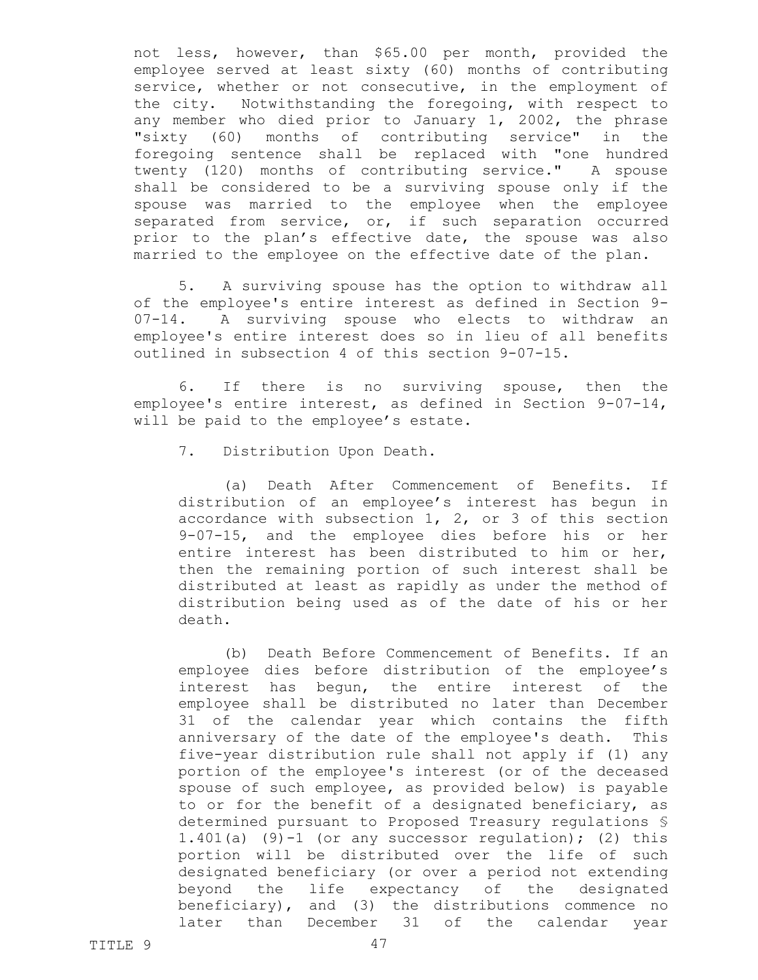not less, however, than \$65.00 per month, provided the employee served at least sixty (60) months of contributing service, whether or not consecutive, in the employment of the city. Notwithstanding the foregoing, with respect to any member who died prior to January 1, 2002, the phrase "sixty (60) months of contributing service" in the foregoing sentence shall be replaced with "one hundred twenty (120) months of contributing service." A spouse shall be considered to be a surviving spouse only if the spouse was married to the employee when the employee separated from service, or, if such separation occurred prior to the plan's effective date, the spouse was also married to the employee on the effective date of the plan.

5. A surviving spouse has the option to withdraw all of the employee's entire interest as defined in Section 9- 07-14. A surviving spouse who elects to withdraw an employee's entire interest does so in lieu of all benefits outlined in subsection 4 of this section 9-07-15.

6. If there is no surviving spouse, then the employee's entire interest, as defined in Section 9-07-14, will be paid to the employee's estate.

7. Distribution Upon Death.

(a) Death After Commencement of Benefits. If distribution of an employee's interest has begun in accordance with subsection 1, 2, or 3 of this section 9-07-15, and the employee dies before his or her entire interest has been distributed to him or her, then the remaining portion of such interest shall be distributed at least as rapidly as under the method of distribution being used as of the date of his or her death.

(b) Death Before Commencement of Benefits. If an employee dies before distribution of the employee's interest has begun, the entire interest of the employee shall be distributed no later than December 31 of the calendar year which contains the fifth anniversary of the date of the employee's death. This five-year distribution rule shall not apply if (1) any portion of the employee's interest (or of the deceased spouse of such employee, as provided below) is payable to or for the benefit of a designated beneficiary, as determined pursuant to Proposed Treasury regulations § 1.401(a)  $(9)$ -1 (or any successor regulation); (2) this portion will be distributed over the life of such designated beneficiary (or over a period not extending beyond the life expectancy of the designated beneficiary), and (3) the distributions commence no later than December 31 of the calendar year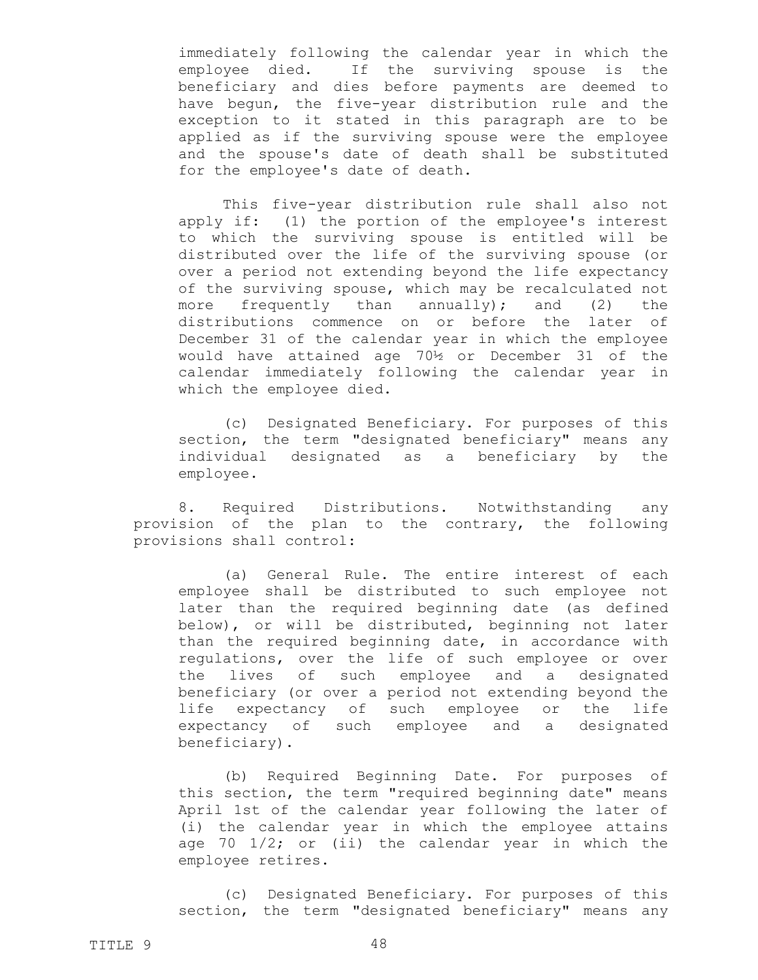immediately following the calendar year in which the employee died. If the surviving spouse is the beneficiary and dies before payments are deemed to have begun, the five-year distribution rule and the exception to it stated in this paragraph are to be applied as if the surviving spouse were the employee and the spouse's date of death shall be substituted for the employee's date of death.

This five-year distribution rule shall also not apply if: (1) the portion of the employee's interest to which the surviving spouse is entitled will be distributed over the life of the surviving spouse (or over a period not extending beyond the life expectancy of the surviving spouse, which may be recalculated not more frequently than annually); and (2) the distributions commence on or before the later of December 31 of the calendar year in which the employee would have attained age 70½ or December 31 of the calendar immediately following the calendar year in which the employee died.

(c) Designated Beneficiary. For purposes of this section, the term "designated beneficiary" means any individual designated as a beneficiary by the employee.

8. Required Distributions. Notwithstanding any provision of the plan to the contrary, the following provisions shall control:

(a) General Rule. The entire interest of each employee shall be distributed to such employee not later than the required beginning date (as defined below), or will be distributed, beginning not later than the required beginning date, in accordance with regulations, over the life of such employee or over the lives of such employee and a designated beneficiary (or over a period not extending beyond the life expectancy of such employee or the life expectancy of such employee and a designated beneficiary).

(b) Required Beginning Date. For purposes of this section, the term "required beginning date" means April 1st of the calendar year following the later of (i) the calendar year in which the employee attains age 70 1/2; or (ii) the calendar year in which the employee retires.

(c) Designated Beneficiary. For purposes of this section, the term "designated beneficiary" means any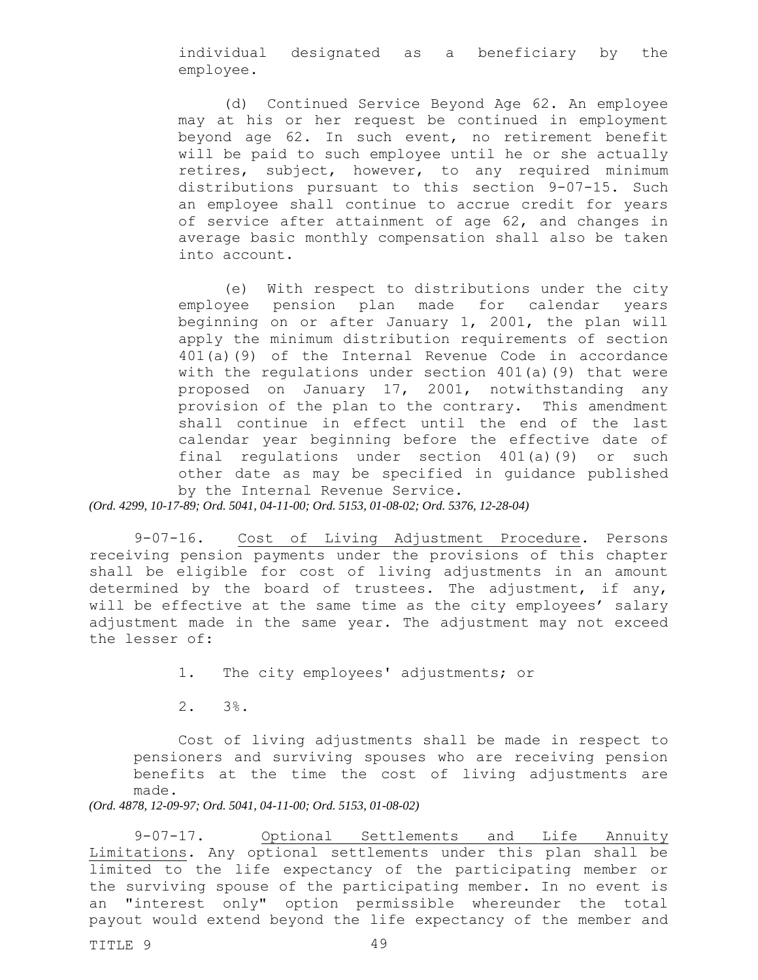individual designated as a beneficiary by the employee.

(d) Continued Service Beyond Age 62. An employee may at his or her request be continued in employment beyond age 62. In such event, no retirement benefit will be paid to such employee until he or she actually retires, subject, however, to any required minimum distributions pursuant to this section 9-07-15. Such an employee shall continue to accrue credit for years of service after attainment of age 62, and changes in average basic monthly compensation shall also be taken into account.

(e) With respect to distributions under the city employee pension plan made for calendar years beginning on or after January 1, 2001, the plan will apply the minimum distribution requirements of section 401(a)(9) of the Internal Revenue Code in accordance with the regulations under section 401(a)(9) that were proposed on January 17, 2001, notwithstanding any provision of the plan to the contrary. This amendment shall continue in effect until the end of the last calendar year beginning before the effective date of final regulations under section 401(a)(9) or such other date as may be specified in guidance published by the Internal Revenue Service.

*(Ord. 4299, 10-17-89; Ord. 5041, 04-11-00; Ord. 5153, 01-08-02; Ord. 5376, 12-28-04)*

9-07-16. Cost of Living Adjustment Procedure. Persons receiving pension payments under the provisions of this chapter shall be eligible for cost of living adjustments in an amount determined by the board of trustees. The adjustment, if any, will be effective at the same time as the city employees' salary adjustment made in the same year. The adjustment may not exceed the lesser of:

1. The city employees' adjustments; or

2. 3%.

Cost of living adjustments shall be made in respect to pensioners and surviving spouses who are receiving pension benefits at the time the cost of living adjustments are made.

*(Ord. 4878, 12-09-97; Ord. 5041, 04-11-00; Ord. 5153, 01-08-02)*

9-07-17. Optional Settlements and Life Annuity Limitations. Any optional settlements under this plan shall be limited to the life expectancy of the participating member or the surviving spouse of the participating member. In no event is an "interest only" option permissible whereunder the total payout would extend beyond the life expectancy of the member and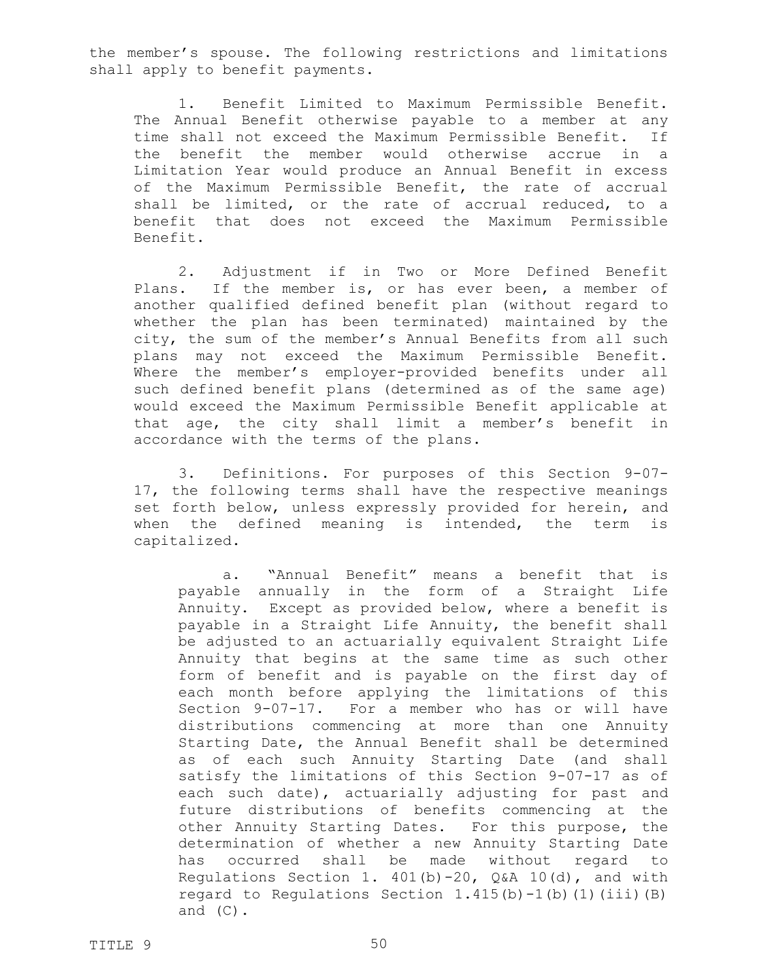the member's spouse. The following restrictions and limitations shall apply to benefit payments.

1. Benefit Limited to Maximum Permissible Benefit. The Annual Benefit otherwise payable to a member at any time shall not exceed the Maximum Permissible Benefit. If the benefit the member would otherwise accrue in a Limitation Year would produce an Annual Benefit in excess of the Maximum Permissible Benefit, the rate of accrual shall be limited, or the rate of accrual reduced, to a benefit that does not exceed the Maximum Permissible Benefit.

2. Adjustment if in Two or More Defined Benefit Plans. If the member is, or has ever been, a member of another qualified defined benefit plan (without regard to whether the plan has been terminated) maintained by the city, the sum of the member's Annual Benefits from all such plans may not exceed the Maximum Permissible Benefit. Where the member's employer-provided benefits under all such defined benefit plans (determined as of the same age) would exceed the Maximum Permissible Benefit applicable at that age, the city shall limit a member's benefit in accordance with the terms of the plans.

3. Definitions. For purposes of this Section 9-07- 17, the following terms shall have the respective meanings set forth below, unless expressly provided for herein, and when the defined meaning is intended, the term is capitalized.

a. "Annual Benefit" means a benefit that is payable annually in the form of a Straight Life Annuity. Except as provided below, where a benefit is payable in a Straight Life Annuity, the benefit shall be adjusted to an actuarially equivalent Straight Life Annuity that begins at the same time as such other form of benefit and is payable on the first day of each month before applying the limitations of this Section 9-07-17. For a member who has or will have distributions commencing at more than one Annuity Starting Date, the Annual Benefit shall be determined as of each such Annuity Starting Date (and shall satisfy the limitations of this Section 9-07-17 as of each such date), actuarially adjusting for past and future distributions of benefits commencing at the other Annuity Starting Dates. For this purpose, the determination of whether a new Annuity Starting Date has occurred shall be made without regard to Regulations Section 1.  $401(b)$ -20, Q&A 10(d), and with regard to Regulations Section  $1.415(b) - 1(b)$  (1)(iii)(B) and (C).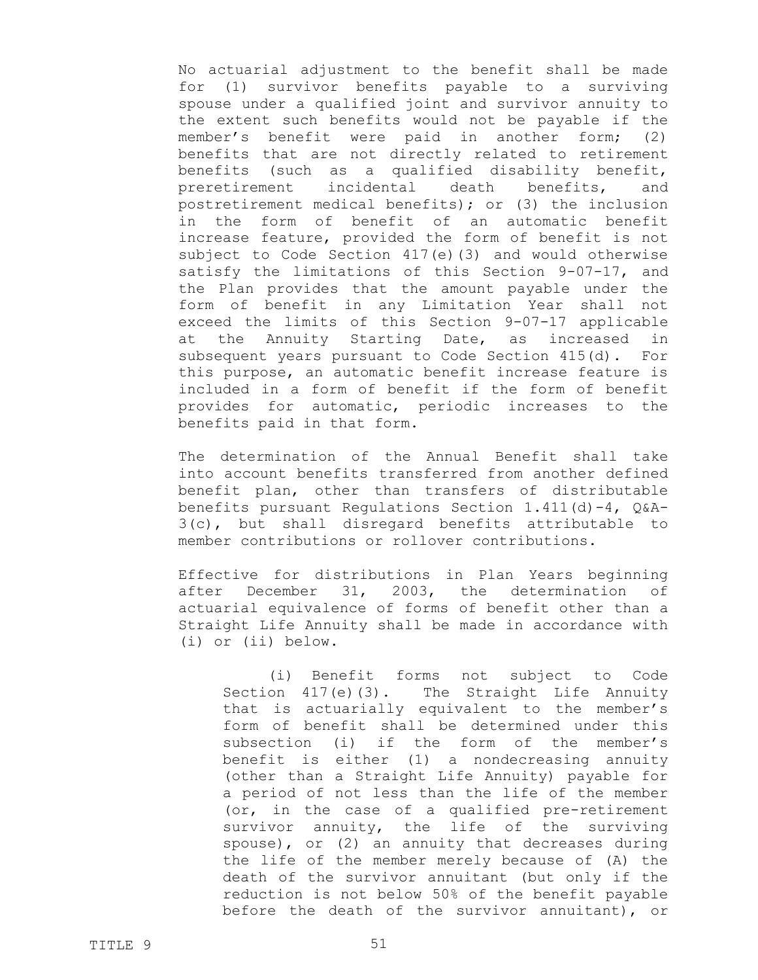No actuarial adjustment to the benefit shall be made for (1) survivor benefits payable to a surviving spouse under a qualified joint and survivor annuity to the extent such benefits would not be payable if the member's benefit were paid in another form; (2) benefits that are not directly related to retirement benefits (such as a qualified disability benefit, preretirement incidental death benefits, and postretirement medical benefits); or (3) the inclusion in the form of benefit of an automatic benefit increase feature, provided the form of benefit is not subject to Code Section 417(e)(3) and would otherwise satisfy the limitations of this Section 9-07-17, and the Plan provides that the amount payable under the form of benefit in any Limitation Year shall not exceed the limits of this Section 9-07-17 applicable at the Annuity Starting Date, as increased in subsequent years pursuant to Code Section 415(d). For this purpose, an automatic benefit increase feature is included in a form of benefit if the form of benefit provides for automatic, periodic increases to the benefits paid in that form.

The determination of the Annual Benefit shall take into account benefits transferred from another defined benefit plan, other than transfers of distributable benefits pursuant Requlations Section  $1.411(d) - 4$ ,  $Q & A -$ 3(c), but shall disregard benefits attributable to member contributions or rollover contributions.

Effective for distributions in Plan Years beginning after December 31, 2003, the determination of actuarial equivalence of forms of benefit other than a Straight Life Annuity shall be made in accordance with (i) or (ii) below.

(i) Benefit forms not subject to Code Section 417(e)(3). The Straight Life Annuity that is actuarially equivalent to the member's form of benefit shall be determined under this subsection (i) if the form of the member's benefit is either (1) a nondecreasing annuity (other than a Straight Life Annuity) payable for a period of not less than the life of the member (or, in the case of a qualified pre-retirement survivor annuity, the life of the surviving spouse), or (2) an annuity that decreases during the life of the member merely because of (A) the death of the survivor annuitant (but only if the reduction is not below 50% of the benefit payable before the death of the survivor annuitant), or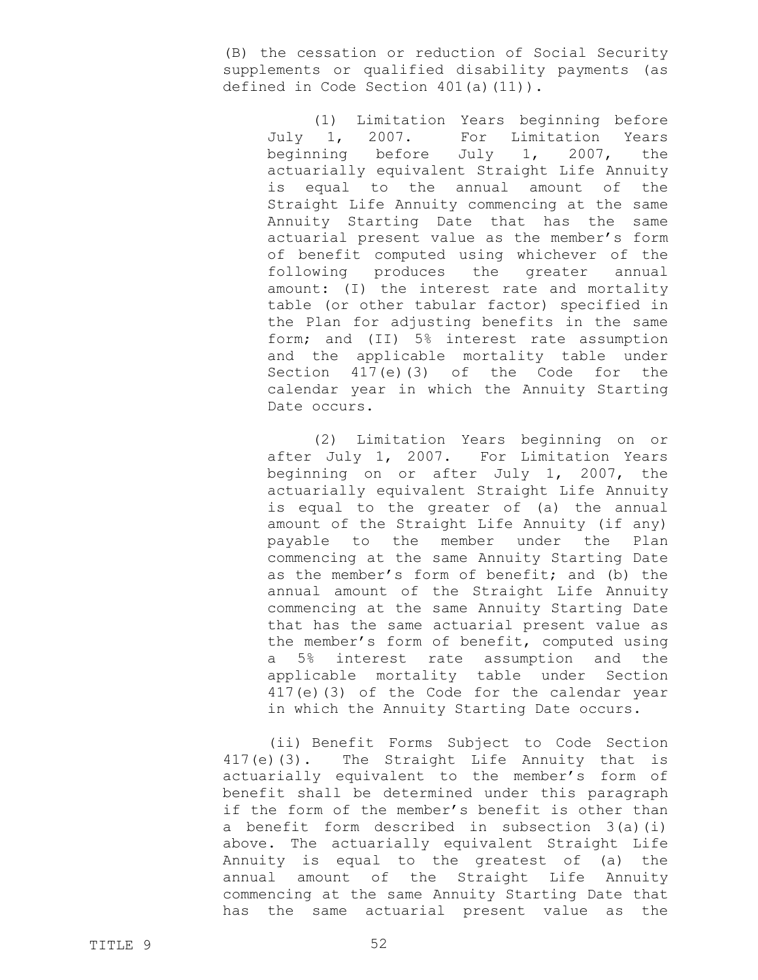(B) the cessation or reduction of Social Security supplements or qualified disability payments (as defined in Code Section 401(a)(11)).

(1) Limitation Years beginning before July 1, 2007. For Limitation Years beginning before July 1, 2007, the actuarially equivalent Straight Life Annuity is equal to the annual amount of the Straight Life Annuity commencing at the same Annuity Starting Date that has the same actuarial present value as the member's form of benefit computed using whichever of the following produces the greater annual amount: (I) the interest rate and mortality table (or other tabular factor) specified in the Plan for adjusting benefits in the same form; and (II) 5% interest rate assumption and the applicable mortality table under Section 417(e)(3) of the Code for the calendar year in which the Annuity Starting Date occurs.

(2) Limitation Years beginning on or after July 1, 2007. For Limitation Years beginning on or after July 1, 2007, the actuarially equivalent Straight Life Annuity is equal to the greater of (a) the annual amount of the Straight Life Annuity (if any) payable to the member under the Plan commencing at the same Annuity Starting Date as the member's form of benefit; and (b) the annual amount of the Straight Life Annuity commencing at the same Annuity Starting Date that has the same actuarial present value as the member's form of benefit, computed using a 5% interest rate assumption and the applicable mortality table under Section 417(e)(3) of the Code for the calendar year in which the Annuity Starting Date occurs.

(ii) Benefit Forms Subject to Code Section 417(e)(3). The Straight Life Annuity that is actuarially equivalent to the member's form of benefit shall be determined under this paragraph if the form of the member's benefit is other than a benefit form described in subsection 3(a)(i) above. The actuarially equivalent Straight Life Annuity is equal to the greatest of (a) the annual amount of the Straight Life Annuity commencing at the same Annuity Starting Date that has the same actuarial present value as the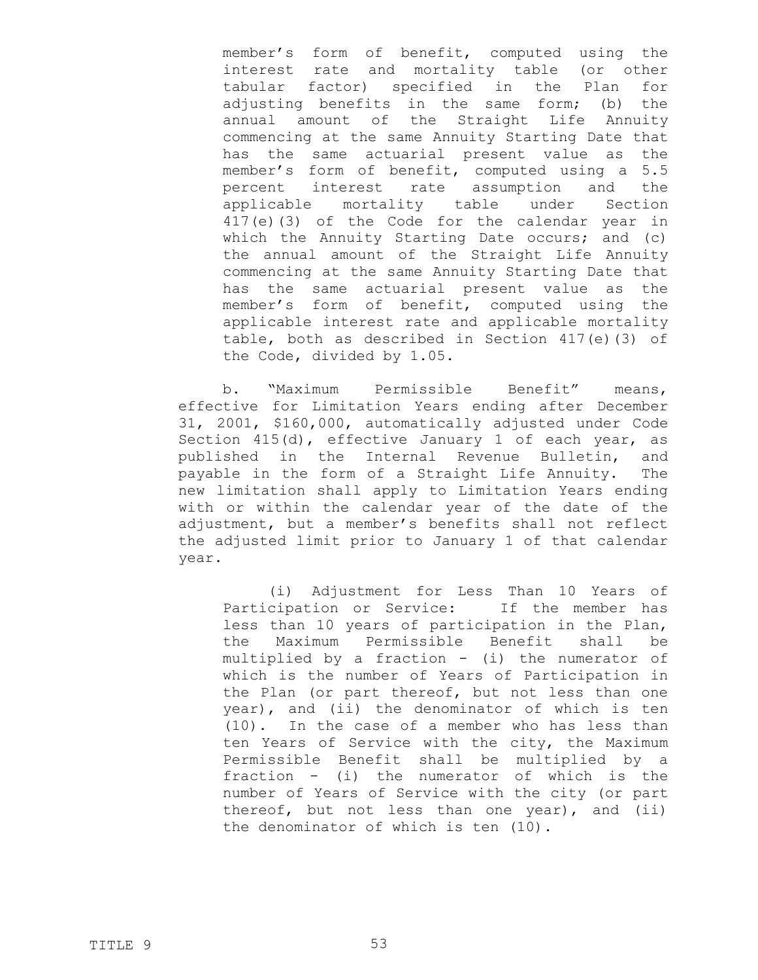member's form of benefit, computed using the interest rate and mortality table (or other tabular factor) specified in the Plan for adjusting benefits in the same form; (b) the annual amount of the Straight Life Annuity commencing at the same Annuity Starting Date that has the same actuarial present value as the member's form of benefit, computed using a 5.5 percent interest rate assumption and the applicable mortality table under Section 417(e)(3) of the Code for the calendar year in which the Annuity Starting Date occurs; and (c) the annual amount of the Straight Life Annuity commencing at the same Annuity Starting Date that has the same actuarial present value as the member's form of benefit, computed using the applicable interest rate and applicable mortality table, both as described in Section 417(e)(3) of the Code, divided by 1.05.

b. "Maximum Permissible Benefit" means, effective for Limitation Years ending after December 31, 2001, \$160,000, automatically adjusted under Code Section 415(d), effective January 1 of each year, as published in the Internal Revenue Bulletin, and payable in the form of a Straight Life Annuity. The new limitation shall apply to Limitation Years ending with or within the calendar year of the date of the adjustment, but a member's benefits shall not reflect the adjusted limit prior to January 1 of that calendar year.

(i) Adjustment for Less Than 10 Years of Participation or Service: If the member has less than 10 years of participation in the Plan, the Maximum Permissible Benefit shall be multiplied by a fraction - (i) the numerator of which is the number of Years of Participation in the Plan (or part thereof, but not less than one year), and (ii) the denominator of which is ten (10). In the case of a member who has less than ten Years of Service with the city, the Maximum Permissible Benefit shall be multiplied by a fraction - (i) the numerator of which is the number of Years of Service with the city (or part thereof, but not less than one year), and (ii) the denominator of which is ten (10).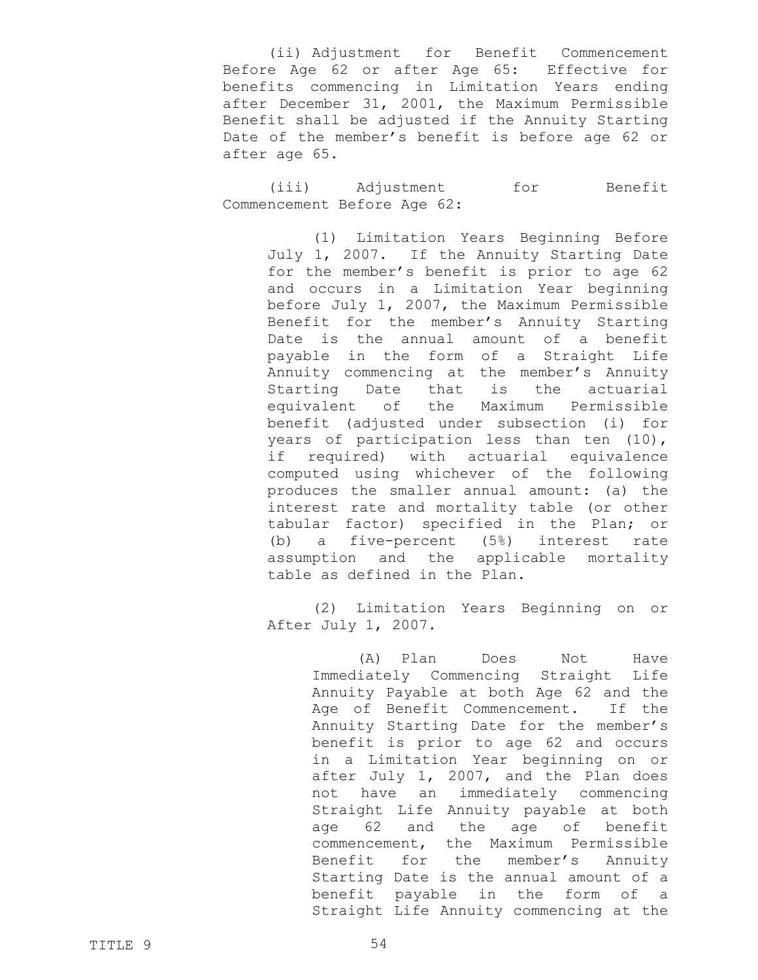(ii) Adjustment for Benefit Commencement Before Age 62 or after Age 65: Effective for benefits commencing in Limitation Years ending after December 31, 2001, the Maximum Permissible Benefit shall be adjusted if the Annuity Starting Date of the member's benefit is before age 62 or after age 65.

(iii) Adjustment for Benefit Commencement Before Age 62:

(1) Limitation Years Beginning Before July 1, 2007. If the Annuity Starting Date for the member's benefit is prior to age 62 and occurs in a Limitation Year beginning before July 1, 2007, the Maximum Permissible Benefit for the member's Annuity Starting Date is the annual amount of a benefit payable in the form of a Straight Life Annuity commencing at the member's Annuity Starting Date that is the actuarial equivalent of the Maximum Permissible benefit (adjusted under subsection (i) for years of participation less than ten (10), if required) with actuarial equivalence computed using whichever of the following produces the smaller annual amount: (a) the interest rate and mortality table (or other tabular factor) specified in the Plan; or (b) a five-percent (5%) interest rate assumption and the applicable mortality table as defined in the Plan.

(2) Limitation Years Beginning on or After July 1, 2007.

> (A) Plan Does Not Have Immediately Commencing Straight Life Annuity Payable at both Age 62 and the Age of Benefit Commencement. If the Annuity Starting Date for the member's benefit is prior to age 62 and occurs in a Limitation Year beginning on or after July 1, 2007, and the Plan does not have an immediately commencing Straight Life Annuity payable at both age 62 and the age of benefit commencement, the Maximum Permissible Benefit for the member's Annuity Starting Date is the annual amount of a benefit payable in the form of a Straight Life Annuity commencing at the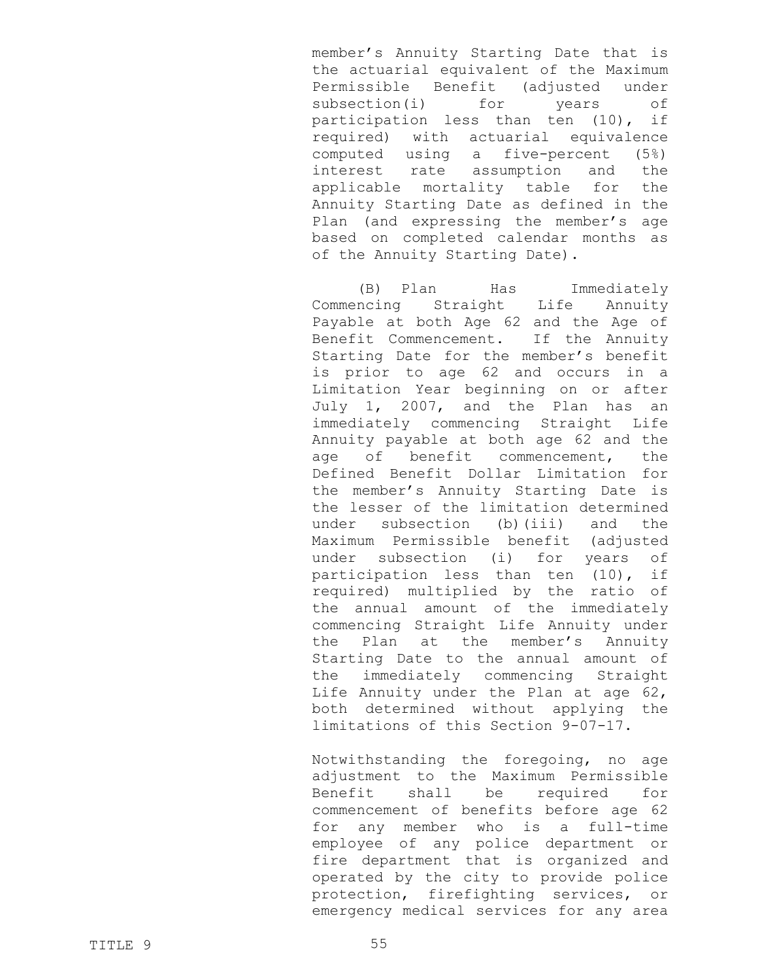member's Annuity Starting Date that is the actuarial equivalent of the Maximum Permissible Benefit (adjusted under subsection(i) for years of participation less than ten (10), if required) with actuarial equivalence computed using a five-percent (5%) interest rate assumption and the applicable mortality table for the Annuity Starting Date as defined in the Plan (and expressing the member's age based on completed calendar months as of the Annuity Starting Date).

(B) Plan Has Immediately Commencing Straight Life Annuity Payable at both Age 62 and the Age of Benefit Commencement. If the Annuity Starting Date for the member's benefit is prior to age 62 and occurs in a Limitation Year beginning on or after July 1, 2007, and the Plan has an immediately commencing Straight Life Annuity payable at both age 62 and the age of benefit commencement, the Defined Benefit Dollar Limitation for the member's Annuity Starting Date is the lesser of the limitation determined under subsection (b)(iii) and the Maximum Permissible benefit (adjusted under subsection (i) for years of participation less than ten (10), if required) multiplied by the ratio of the annual amount of the immediately commencing Straight Life Annuity under the Plan at the member's Annuity Starting Date to the annual amount of the immediately commencing Straight Life Annuity under the Plan at age 62, both determined without applying the limitations of this Section 9-07-17.

Notwithstanding the foregoing, no age adjustment to the Maximum Permissible Benefit shall be required for commencement of benefits before age 62 for any member who is a full-time employee of any police department or fire department that is organized and operated by the city to provide police protection, firefighting services, or emergency medical services for any area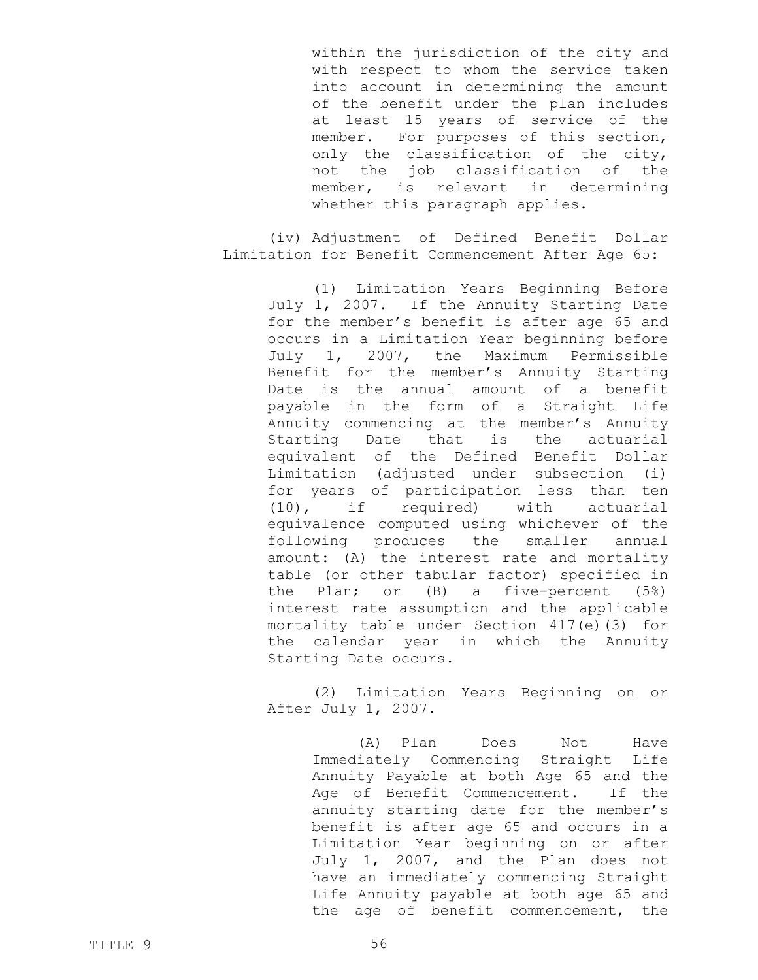within the jurisdiction of the city and with respect to whom the service taken into account in determining the amount of the benefit under the plan includes at least 15 years of service of the member. For purposes of this section, only the classification of the city, not the job classification of the member, is relevant in determining whether this paragraph applies.

(iv) Adjustment of Defined Benefit Dollar Limitation for Benefit Commencement After Age 65:

(1) Limitation Years Beginning Before July 1, 2007. If the Annuity Starting Date for the member's benefit is after age 65 and occurs in a Limitation Year beginning before July 1, 2007, the Maximum Permissible Benefit for the member's Annuity Starting Date is the annual amount of a benefit payable in the form of a Straight Life Annuity commencing at the member's Annuity Starting Date that is the actuarial equivalent of the Defined Benefit Dollar Limitation (adjusted under subsection (i) for years of participation less than ten (10), if required) with actuarial equivalence computed using whichever of the following produces the smaller annual amount: (A) the interest rate and mortality table (or other tabular factor) specified in the Plan; or (B) a five-percent (5%) interest rate assumption and the applicable mortality table under Section 417(e)(3) for the calendar year in which the Annuity Starting Date occurs.

(2) Limitation Years Beginning on or After July 1, 2007.

> (A) Plan Does Not Have Immediately Commencing Straight Life Annuity Payable at both Age 65 and the Age of Benefit Commencement. If the annuity starting date for the member's benefit is after age 65 and occurs in a Limitation Year beginning on or after July 1, 2007, and the Plan does not have an immediately commencing Straight Life Annuity payable at both age 65 and the age of benefit commencement, the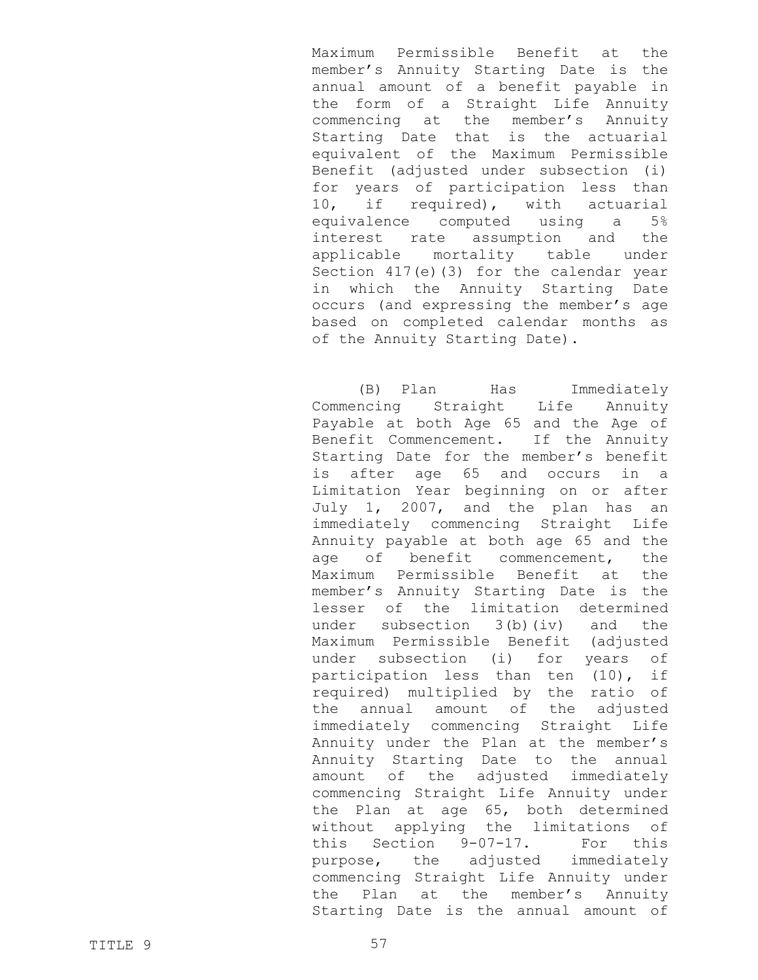Maximum Permissible Benefit at the member's Annuity Starting Date is the annual amount of a benefit payable in the form of a Straight Life Annuity commencing at the member's Annuity Starting Date that is the actuarial equivalent of the Maximum Permissible Benefit (adjusted under subsection (i) for years of participation less than 10, if required), with actuarial equivalence computed using a 5% interest rate assumption and the applicable mortality table under Section 417(e)(3) for the calendar year in which the Annuity Starting Date occurs (and expressing the member's age based on completed calendar months as of the Annuity Starting Date).

(B) Plan Has Immediately Commencing Straight Life Annuity Payable at both Age 65 and the Age of Benefit Commencement. If the Annuity Starting Date for the member's benefit is after age 65 and occurs in a Limitation Year beginning on or after July 1, 2007, and the plan has an immediately commencing Straight Life Annuity payable at both age 65 and the age of benefit commencement, the Maximum Permissible Benefit at the member's Annuity Starting Date is the lesser of the limitation determined under subsection 3(b)(iv) and the Maximum Permissible Benefit (adjusted under subsection (i) for years of participation less than ten (10), if required) multiplied by the ratio of the annual amount of the adjusted immediately commencing Straight Life Annuity under the Plan at the member's Annuity Starting Date to the annual amount of the adjusted immediately commencing Straight Life Annuity under the Plan at age 65, both determined without applying the limitations of this Section 9-07-17. For this purpose, the adjusted immediately commencing Straight Life Annuity under the Plan at the member's Annuity Starting Date is the annual amount of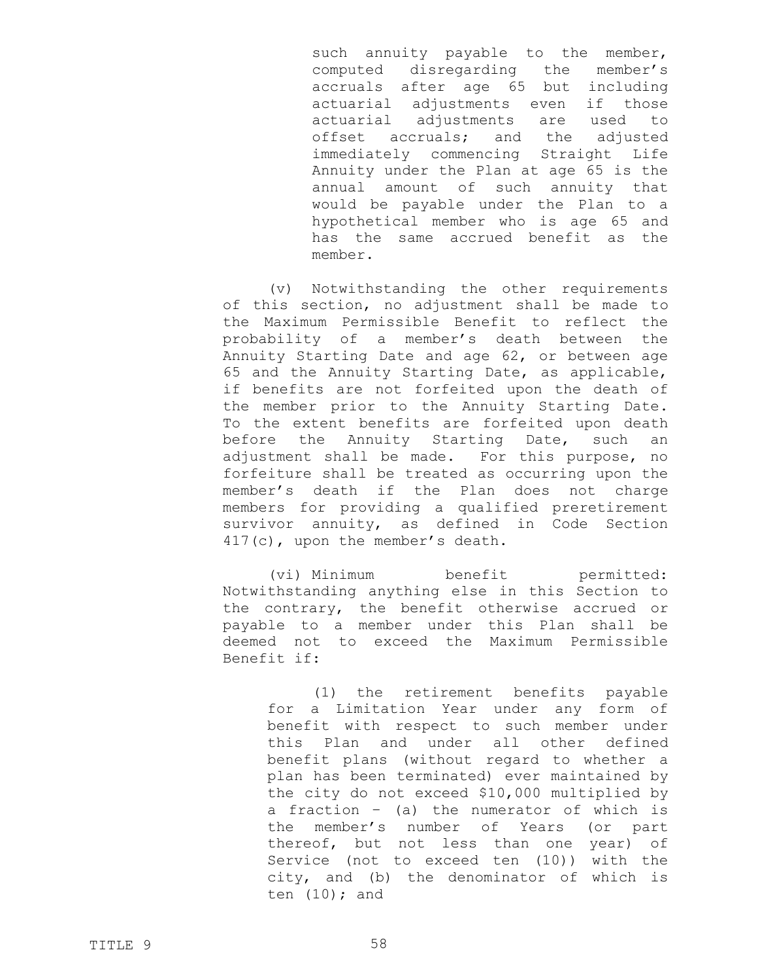such annuity payable to the member, computed disregarding the member's accruals after age 65 but including actuarial adjustments even if those actuarial adjustments are used to offset accruals; and the adjusted immediately commencing Straight Life Annuity under the Plan at age 65 is the annual amount of such annuity that would be payable under the Plan to a hypothetical member who is age 65 and has the same accrued benefit as the member.

(v) Notwithstanding the other requirements of this section, no adjustment shall be made to the Maximum Permissible Benefit to reflect the probability of a member's death between the Annuity Starting Date and age 62, or between age 65 and the Annuity Starting Date, as applicable, if benefits are not forfeited upon the death of the member prior to the Annuity Starting Date. To the extent benefits are forfeited upon death before the Annuity Starting Date, such an adjustment shall be made. For this purpose, no forfeiture shall be treated as occurring upon the member's death if the Plan does not charge members for providing a qualified preretirement survivor annuity, as defined in Code Section 417(c), upon the member's death.

(vi) Minimum benefit permitted: Notwithstanding anything else in this Section to the contrary, the benefit otherwise accrued or payable to a member under this Plan shall be deemed not to exceed the Maximum Permissible Benefit if:

(1) the retirement benefits payable for a Limitation Year under any form of benefit with respect to such member under this Plan and under all other defined benefit plans (without regard to whether a plan has been terminated) ever maintained by the city do not exceed \$10,000 multiplied by a fraction – (a) the numerator of which is the member's number of Years (or part thereof, but not less than one year) of Service (not to exceed ten (10)) with the city, and (b) the denominator of which is ten  $(10)$ ; and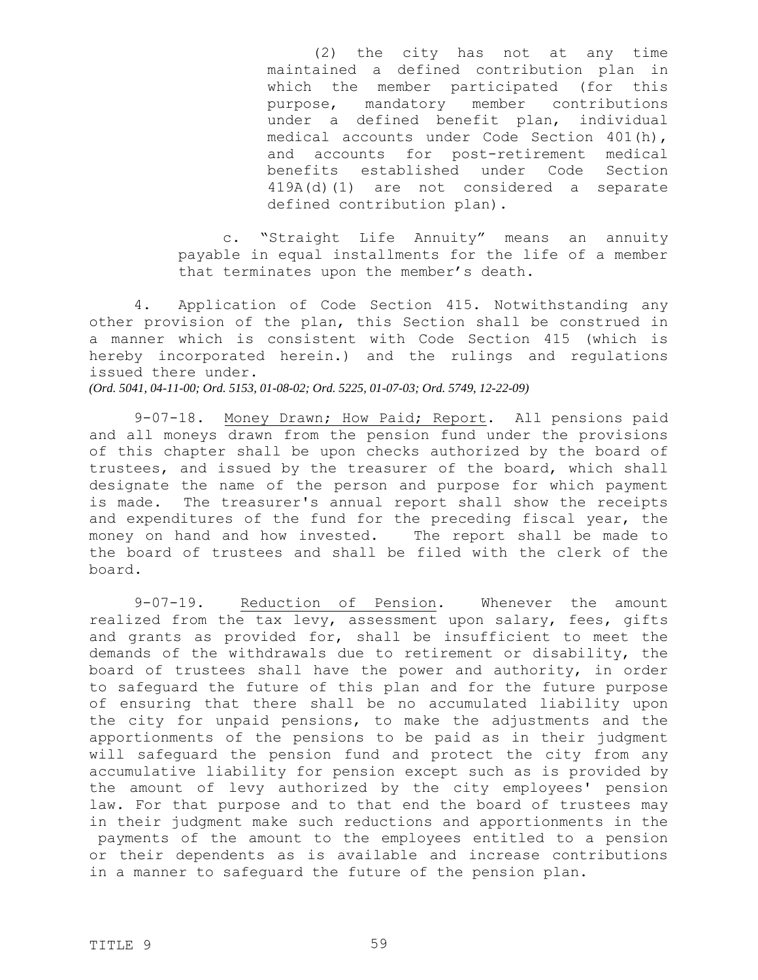(2) the city has not at any time maintained a defined contribution plan in which the member participated (for this purpose, mandatory member contributions under a defined benefit plan, individual medical accounts under Code Section 401(h), and accounts for post-retirement medical benefits established under Code Section 419A(d)(1) are not considered a separate defined contribution plan).

c. "Straight Life Annuity" means an annuity payable in equal installments for the life of a member that terminates upon the member's death.

4. Application of Code Section 415. Notwithstanding any other provision of the plan, this Section shall be construed in a manner which is consistent with Code Section 415 (which is hereby incorporated herein.) and the rulings and regulations issued there under.

*(Ord. 5041, 04-11-00; Ord. 5153, 01-08-02; Ord. 5225, 01-07-03; Ord. 5749, 12-22-09)*

9-07-18. Money Drawn; How Paid; Report. All pensions paid and all moneys drawn from the pension fund under the provisions of this chapter shall be upon checks authorized by the board of trustees, and issued by the treasurer of the board, which shall designate the name of the person and purpose for which payment is made. The treasurer's annual report shall show the receipts and expenditures of the fund for the preceding fiscal year, the money on hand and how invested. The report shall be made to the board of trustees and shall be filed with the clerk of the board.

9-07-19. Reduction of Pension. Whenever the amount realized from the tax levy, assessment upon salary, fees, gifts and grants as provided for, shall be insufficient to meet the demands of the withdrawals due to retirement or disability, the board of trustees shall have the power and authority, in order to safeguard the future of this plan and for the future purpose of ensuring that there shall be no accumulated liability upon the city for unpaid pensions, to make the adjustments and the apportionments of the pensions to be paid as in their judgment will safeguard the pension fund and protect the city from any accumulative liability for pension except such as is provided by the amount of levy authorized by the city employees' pension law. For that purpose and to that end the board of trustees may in their judgment make such reductions and apportionments in the payments of the amount to the employees entitled to a pension or their dependents as is available and increase contributions in a manner to safeguard the future of the pension plan.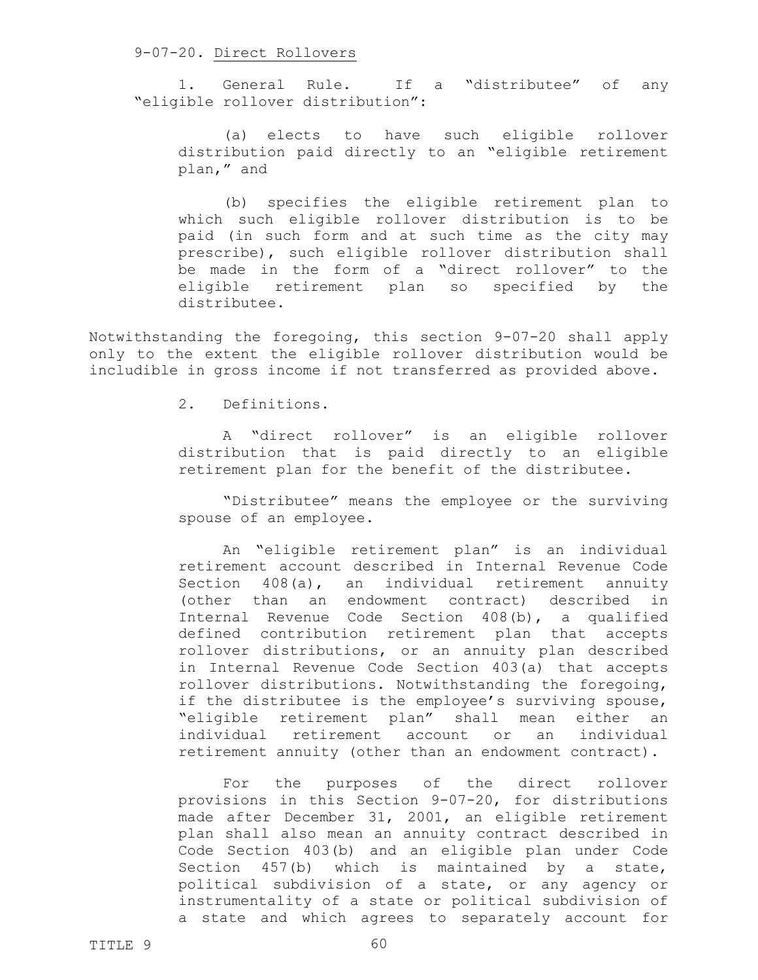## 9-07-20. Direct Rollovers

1. General Rule. If a "distributee" of any "eligible rollover distribution":

(a) elects to have such eligible rollover distribution paid directly to an "eligible retirement plan," and

(b) specifies the eligible retirement plan to which such eligible rollover distribution is to be paid (in such form and at such time as the city may prescribe), such eligible rollover distribution shall be made in the form of a "direct rollover" to the eligible retirement plan so specified by the distributee.

Notwithstanding the foregoing, this section 9-07-20 shall apply only to the extent the eligible rollover distribution would be includible in gross income if not transferred as provided above.

2. Definitions.

A "direct rollover" is an eligible rollover distribution that is paid directly to an eligible retirement plan for the benefit of the distributee.

"Distributee" means the employee or the surviving spouse of an employee.

An "eligible retirement plan" is an individual retirement account described in Internal Revenue Code Section 408(a), an individual retirement annuity (other than an endowment contract) described in Internal Revenue Code Section 408(b), a qualified defined contribution retirement plan that accepts rollover distributions, or an annuity plan described in Internal Revenue Code Section 403(a) that accepts rollover distributions. Notwithstanding the foregoing, if the distributee is the employee's surviving spouse, "eligible retirement plan" shall mean either an individual retirement account or an individual retirement annuity (other than an endowment contract).

For the purposes of the direct rollover provisions in this Section 9-07-20, for distributions made after December 31, 2001, an eligible retirement plan shall also mean an annuity contract described in Code Section 403(b) and an eligible plan under Code Section 457(b) which is maintained by a state, political subdivision of a state, or any agency or instrumentality of a state or political subdivision of a state and which agrees to separately account for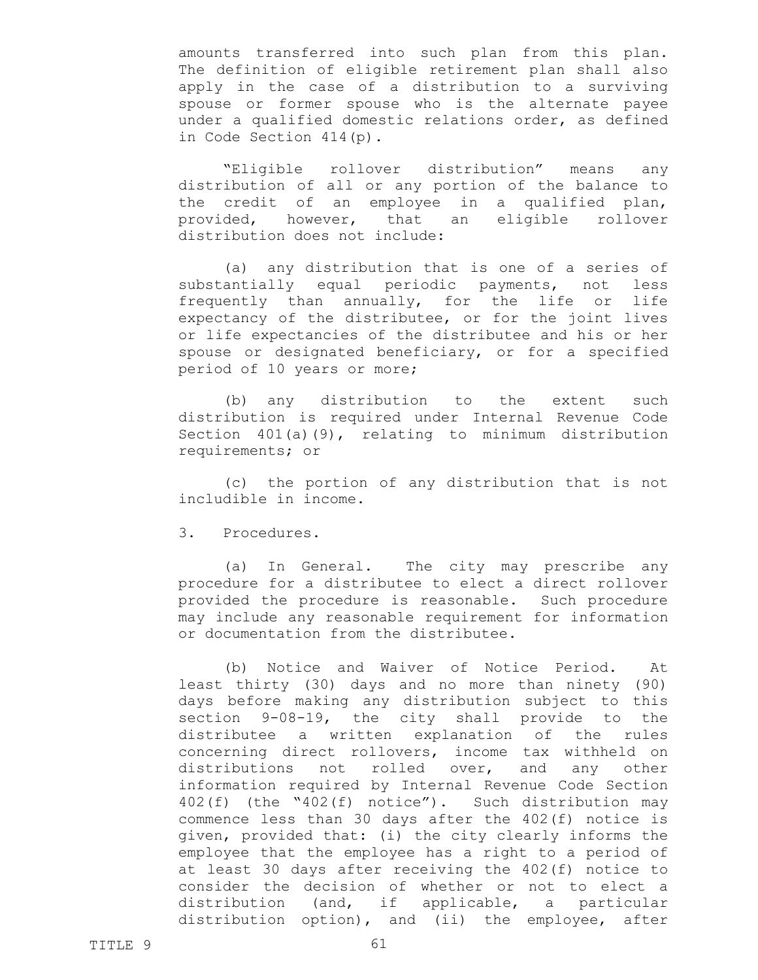amounts transferred into such plan from this plan. The definition of eligible retirement plan shall also apply in the case of a distribution to a surviving spouse or former spouse who is the alternate payee under a qualified domestic relations order, as defined in Code Section 414(p).

"Eligible rollover distribution" means any distribution of all or any portion of the balance to the credit of an employee in a qualified plan, provided, however, that an eligible rollover distribution does not include:

(a) any distribution that is one of a series of substantially equal periodic payments, not less frequently than annually, for the life or life expectancy of the distributee, or for the joint lives or life expectancies of the distributee and his or her spouse or designated beneficiary, or for a specified period of 10 years or more;

(b) any distribution to the extent such distribution is required under Internal Revenue Code Section 401(a)(9), relating to minimum distribution requirements; or

(c) the portion of any distribution that is not includible in income.

3. Procedures.

(a) In General. The city may prescribe any procedure for a distributee to elect a direct rollover provided the procedure is reasonable. Such procedure may include any reasonable requirement for information or documentation from the distributee.

(b) Notice and Waiver of Notice Period. At least thirty (30) days and no more than ninety (90) days before making any distribution subject to this section 9-08-19, the city shall provide to the distributee a written explanation of the rules concerning direct rollovers, income tax withheld on distributions not rolled over, and any other information required by Internal Revenue Code Section 402(f) (the "402(f) notice"). Such distribution may commence less than 30 days after the 402(f) notice is given, provided that: (i) the city clearly informs the employee that the employee has a right to a period of at least 30 days after receiving the 402(f) notice to consider the decision of whether or not to elect a distribution (and, if applicable, a particular distribution option), and (ii) the employee, after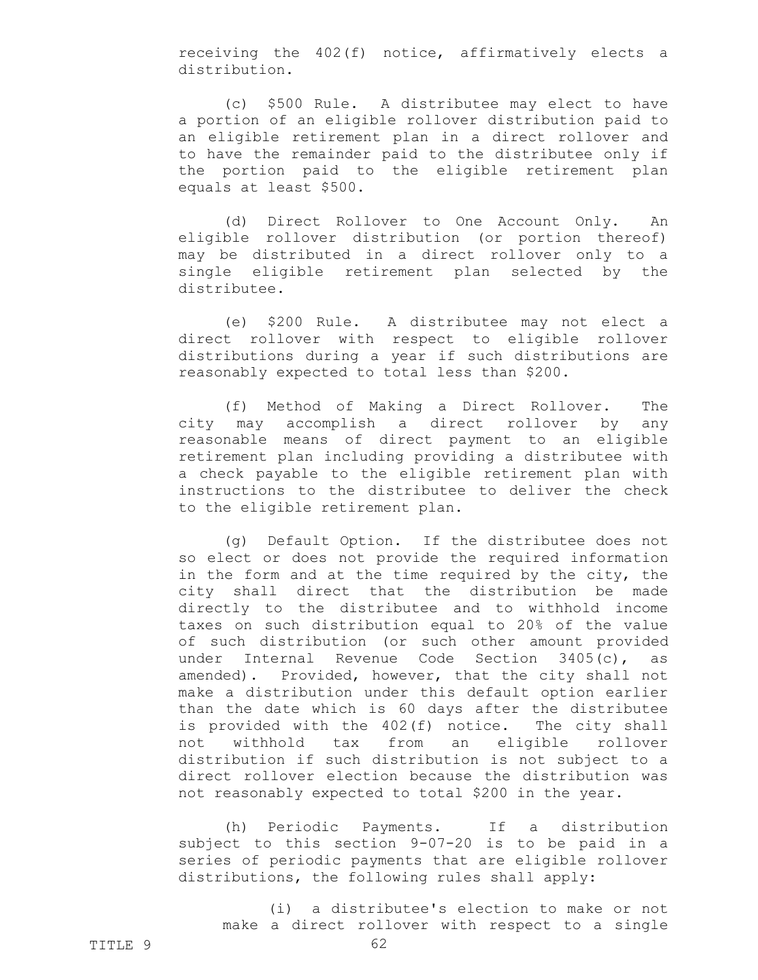receiving the 402(f) notice, affirmatively elects a distribution.

(c) \$500 Rule. A distributee may elect to have a portion of an eligible rollover distribution paid to an eligible retirement plan in a direct rollover and to have the remainder paid to the distributee only if the portion paid to the eligible retirement plan equals at least \$500.

(d) Direct Rollover to One Account Only. An eligible rollover distribution (or portion thereof) may be distributed in a direct rollover only to a single eligible retirement plan selected by the distributee.

(e) \$200 Rule. A distributee may not elect a direct rollover with respect to eligible rollover distributions during a year if such distributions are reasonably expected to total less than \$200.

(f) Method of Making a Direct Rollover. The city may accomplish a direct rollover by any reasonable means of direct payment to an eligible retirement plan including providing a distributee with a check payable to the eligible retirement plan with instructions to the distributee to deliver the check to the eligible retirement plan.

(g) Default Option. If the distributee does not so elect or does not provide the required information in the form and at the time required by the city, the city shall direct that the distribution be made directly to the distributee and to withhold income taxes on such distribution equal to 20% of the value of such distribution (or such other amount provided under Internal Revenue Code Section 3405(c), as amended). Provided, however, that the city shall not make a distribution under this default option earlier than the date which is 60 days after the distributee is provided with the 402(f) notice. The city shall not withhold tax from an eligible rollover distribution if such distribution is not subject to a direct rollover election because the distribution was not reasonably expected to total \$200 in the year.

(h) Periodic Payments. If a distribution subject to this section 9-07-20 is to be paid in a series of periodic payments that are eligible rollover distributions, the following rules shall apply:

(i) a distributee's election to make or not make a direct rollover with respect to a single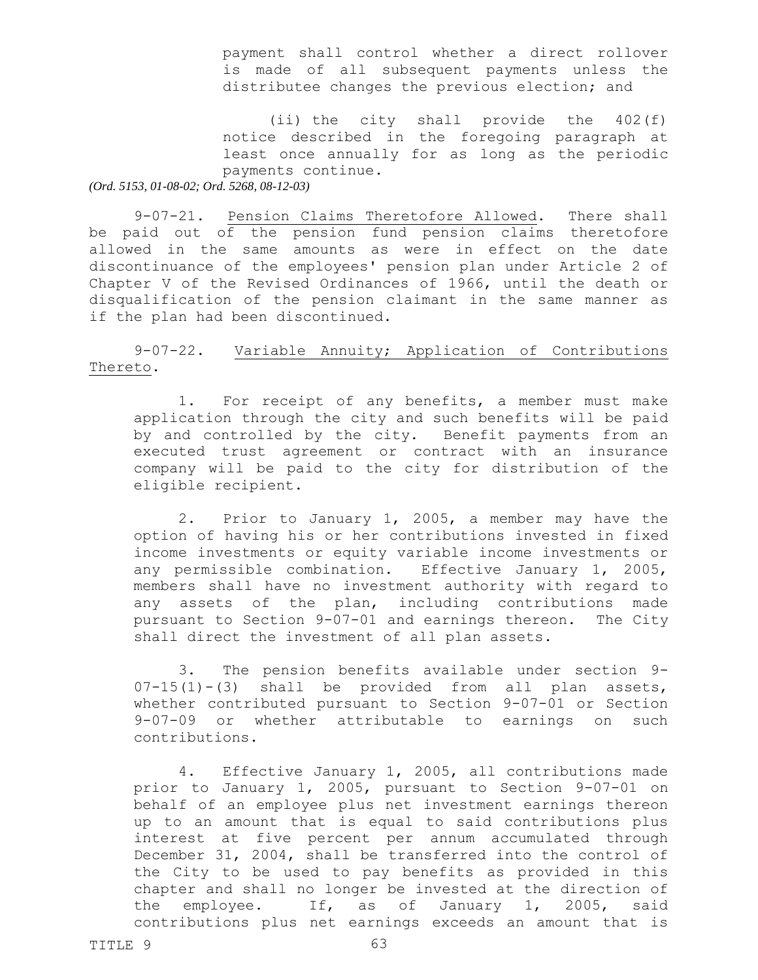payment shall control whether a direct rollover is made of all subsequent payments unless the distributee changes the previous election; and

(ii) the city shall provide the 402(f) notice described in the foregoing paragraph at least once annually for as long as the periodic payments continue.

*(Ord. 5153, 01-08-02; Ord. 5268, 08-12-03)*

9-07-21. Pension Claims Theretofore Allowed. There shall be paid out of the pension fund pension claims theretofore allowed in the same amounts as were in effect on the date discontinuance of the employees' pension plan under Article 2 of Chapter V of the Revised Ordinances of 1966, until the death or disqualification of the pension claimant in the same manner as if the plan had been discontinued.

9-07-22. Variable Annuity; Application of Contributions Thereto.

1. For receipt of any benefits, a member must make application through the city and such benefits will be paid by and controlled by the city. Benefit payments from an executed trust agreement or contract with an insurance company will be paid to the city for distribution of the eligible recipient.

2. Prior to January 1, 2005, a member may have the option of having his or her contributions invested in fixed income investments or equity variable income investments or any permissible combination. Effective January 1, 2005, members shall have no investment authority with regard to any assets of the plan, including contributions made pursuant to Section 9-07-01 and earnings thereon. The City shall direct the investment of all plan assets.

3. The pension benefits available under section 9-  $07-15(1)-(3)$  shall be provided from all plan assets, whether contributed pursuant to Section 9-07-01 or Section 9-07-09 or whether attributable to earnings on such contributions.

4. Effective January 1, 2005, all contributions made prior to January 1, 2005, pursuant to Section 9-07-01 on behalf of an employee plus net investment earnings thereon up to an amount that is equal to said contributions plus interest at five percent per annum accumulated through December 31, 2004, shall be transferred into the control of the City to be used to pay benefits as provided in this chapter and shall no longer be invested at the direction of the employee. If, as of January 1, 2005, said contributions plus net earnings exceeds an amount that is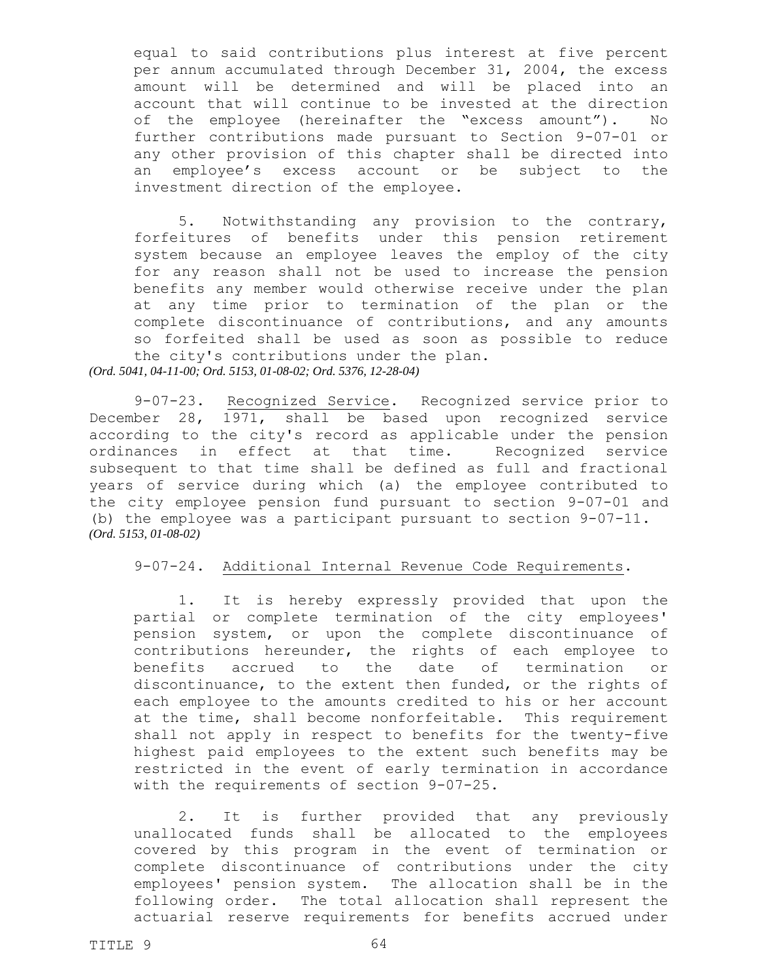equal to said contributions plus interest at five percent per annum accumulated through December 31, 2004, the excess amount will be determined and will be placed into an account that will continue to be invested at the direction of the employee (hereinafter the "excess amount"). No further contributions made pursuant to Section 9-07-01 or any other provision of this chapter shall be directed into an employee's excess account or be subject to the investment direction of the employee.

5. Notwithstanding any provision to the contrary, forfeitures of benefits under this pension retirement system because an employee leaves the employ of the city for any reason shall not be used to increase the pension benefits any member would otherwise receive under the plan at any time prior to termination of the plan or the complete discontinuance of contributions, and any amounts so forfeited shall be used as soon as possible to reduce the city's contributions under the plan. *(Ord. 5041, 04-11-00; Ord. 5153, 01-08-02; Ord. 5376, 12-28-04)*

9-07-23. Recognized Service. Recognized service prior to December 28, 1971, shall be based upon recognized service according to the city's record as applicable under the pension ordinances in effect at that time. Recognized service subsequent to that time shall be defined as full and fractional years of service during which (a) the employee contributed to the city employee pension fund pursuant to section 9-07-01 and (b) the employee was a participant pursuant to section 9-07-11. *(Ord. 5153, 01-08-02)*

## 9-07-24. Additional Internal Revenue Code Requirements.

1. It is hereby expressly provided that upon the partial or complete termination of the city employees' pension system, or upon the complete discontinuance of contributions hereunder, the rights of each employee to benefits accrued to the date of termination or discontinuance, to the extent then funded, or the rights of each employee to the amounts credited to his or her account at the time, shall become nonforfeitable. This requirement shall not apply in respect to benefits for the twenty-five highest paid employees to the extent such benefits may be restricted in the event of early termination in accordance with the requirements of section 9-07-25.

2. It is further provided that any previously unallocated funds shall be allocated to the employees covered by this program in the event of termination or complete discontinuance of contributions under the city employees' pension system. The allocation shall be in the following order. The total allocation shall represent the actuarial reserve requirements for benefits accrued under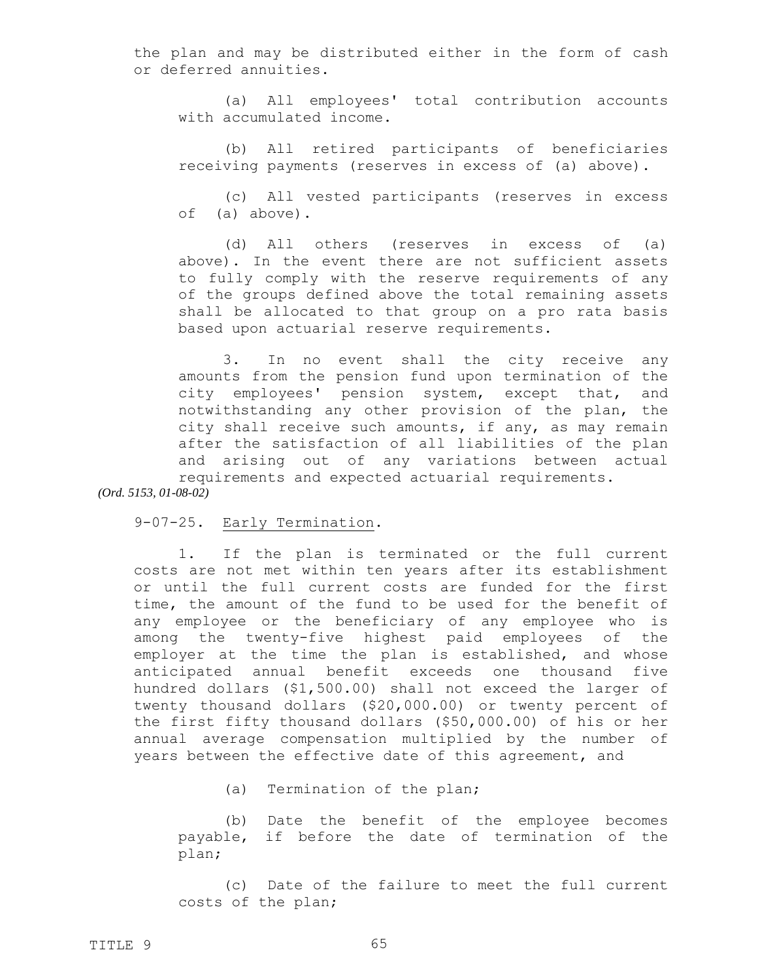the plan and may be distributed either in the form of cash or deferred annuities.

(a) All employees' total contribution accounts with accumulated income.

(b) All retired participants of beneficiaries receiving payments (reserves in excess of (a) above).

(c) All vested participants (reserves in excess of (a) above).

(d) All others (reserves in excess of (a) above). In the event there are not sufficient assets to fully comply with the reserve requirements of any of the groups defined above the total remaining assets shall be allocated to that group on a pro rata basis based upon actuarial reserve requirements.

3. In no event shall the city receive any amounts from the pension fund upon termination of the city employees' pension system, except that, and notwithstanding any other provision of the plan, the city shall receive such amounts, if any, as may remain after the satisfaction of all liabilities of the plan and arising out of any variations between actual requirements and expected actuarial requirements.

*(Ord. 5153, 01-08-02)*

9-07-25. Early Termination.

1. If the plan is terminated or the full current costs are not met within ten years after its establishment or until the full current costs are funded for the first time, the amount of the fund to be used for the benefit of any employee or the beneficiary of any employee who is among the twenty-five highest paid employees of the employer at the time the plan is established, and whose anticipated annual benefit exceeds one thousand five hundred dollars (\$1,500.00) shall not exceed the larger of twenty thousand dollars (\$20,000.00) or twenty percent of the first fifty thousand dollars (\$50,000.00) of his or her annual average compensation multiplied by the number of years between the effective date of this agreement, and

(a) Termination of the plan;

(b) Date the benefit of the employee becomes payable, if before the date of termination of the plan;

(c) Date of the failure to meet the full current costs of the plan;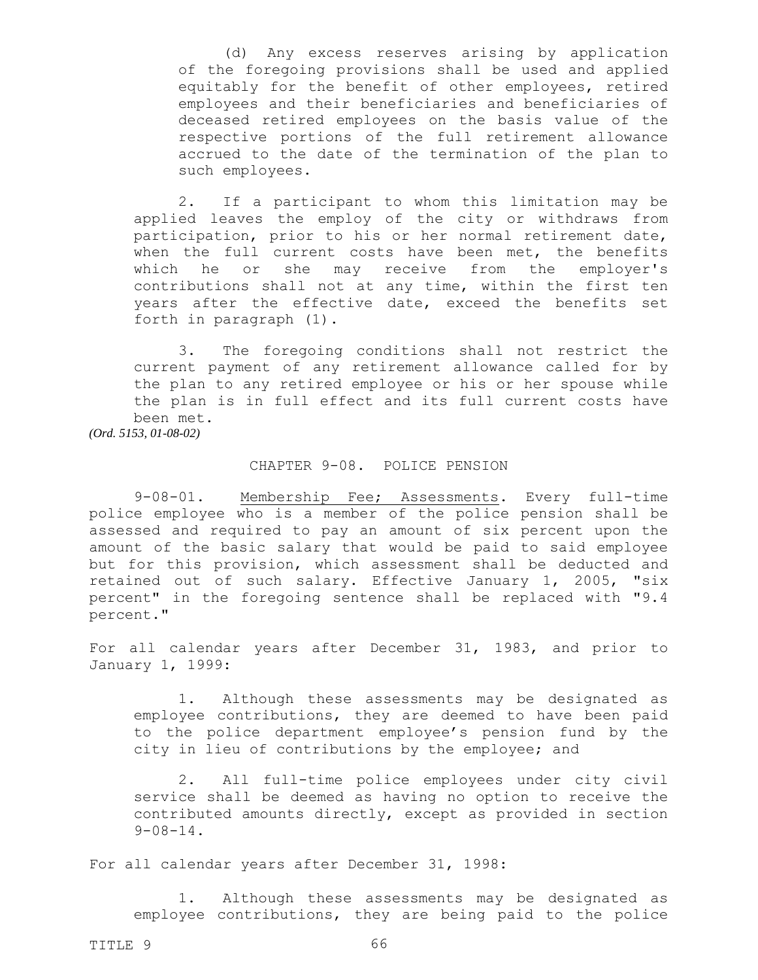(d) Any excess reserves arising by application of the foregoing provisions shall be used and applied equitably for the benefit of other employees, retired employees and their beneficiaries and beneficiaries of deceased retired employees on the basis value of the respective portions of the full retirement allowance accrued to the date of the termination of the plan to such employees.

2. If a participant to whom this limitation may be applied leaves the employ of the city or withdraws from participation, prior to his or her normal retirement date, when the full current costs have been met, the benefits which he or she may receive from the employer's contributions shall not at any time, within the first ten years after the effective date, exceed the benefits set forth in paragraph (1).

3. The foregoing conditions shall not restrict the current payment of any retirement allowance called for by the plan to any retired employee or his or her spouse while the plan is in full effect and its full current costs have been met.

*(Ord. 5153, 01-08-02)*

## CHAPTER 9-08. POLICE PENSION

9-08-01. Membership Fee; Assessments. Every full-time police employee who is a member of the police pension shall be assessed and required to pay an amount of six percent upon the amount of the basic salary that would be paid to said employee but for this provision, which assessment shall be deducted and retained out of such salary. Effective January 1, 2005, "six percent" in the foregoing sentence shall be replaced with "9.4 percent."

For all calendar years after December 31, 1983, and prior to January 1, 1999:

1. Although these assessments may be designated as employee contributions, they are deemed to have been paid to the police department employee's pension fund by the city in lieu of contributions by the employee; and

2. All full-time police employees under city civil service shall be deemed as having no option to receive the contributed amounts directly, except as provided in section 9-08-14.

For all calendar years after December 31, 1998:

1. Although these assessments may be designated as employee contributions, they are being paid to the police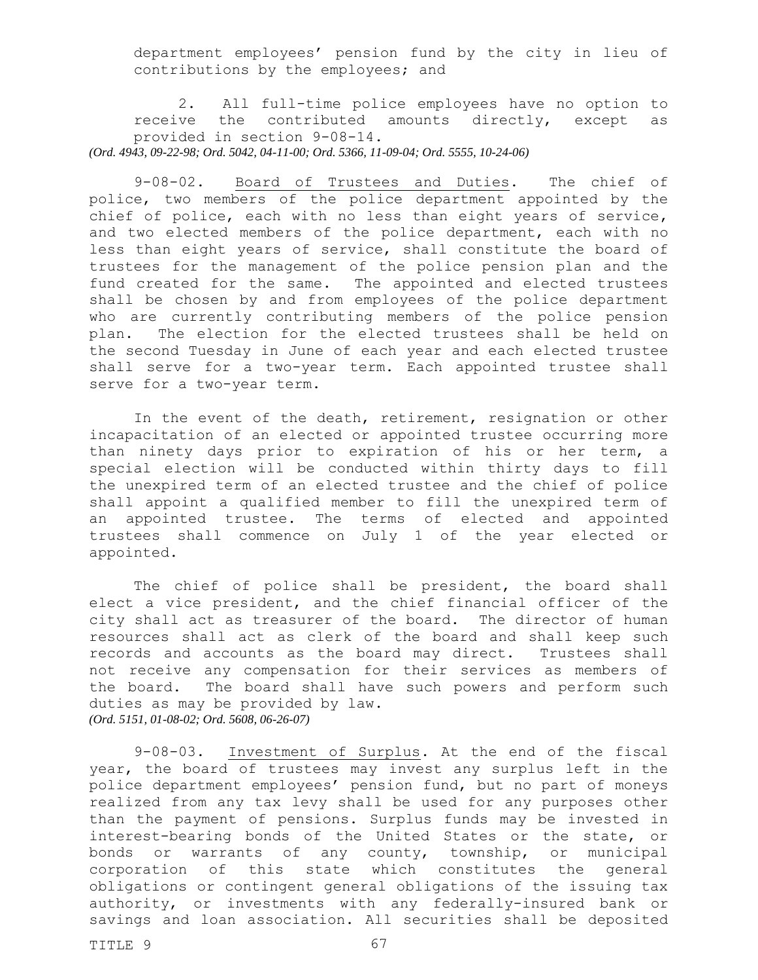department employees' pension fund by the city in lieu of contributions by the employees; and

2. All full-time police employees have no option to receive the contributed amounts directly, except as provided in section 9-08-14.

*(Ord. 4943, 09-22-98; Ord. 5042, 04-11-00; Ord. 5366, 11-09-04; Ord. 5555, 10-24-06)*

9-08-02. Board of Trustees and Duties. The chief of police, two members of the police department appointed by the chief of police, each with no less than eight years of service, and two elected members of the police department, each with no less than eight years of service, shall constitute the board of trustees for the management of the police pension plan and the fund created for the same. The appointed and elected trustees shall be chosen by and from employees of the police department who are currently contributing members of the police pension plan. The election for the elected trustees shall be held on the second Tuesday in June of each year and each elected trustee shall serve for a two-year term. Each appointed trustee shall serve for a two-year term.

In the event of the death, retirement, resignation or other incapacitation of an elected or appointed trustee occurring more than ninety days prior to expiration of his or her term, a special election will be conducted within thirty days to fill the unexpired term of an elected trustee and the chief of police shall appoint a qualified member to fill the unexpired term of an appointed trustee. The terms of elected and appointed trustees shall commence on July 1 of the year elected or appointed.

The chief of police shall be president, the board shall elect a vice president, and the chief financial officer of the city shall act as treasurer of the board. The director of human resources shall act as clerk of the board and shall keep such records and accounts as the board may direct. Trustees shall not receive any compensation for their services as members of the board. The board shall have such powers and perform such duties as may be provided by law. *(Ord. 5151, 01-08-02; Ord. 5608, 06-26-07)*

9-08-03. Investment of Surplus. At the end of the fiscal year, the board of trustees may invest any surplus left in the police department employees' pension fund, but no part of moneys realized from any tax levy shall be used for any purposes other than the payment of pensions. Surplus funds may be invested in interest-bearing bonds of the United States or the state, or bonds or warrants of any county, township, or municipal corporation of this state which constitutes the general obligations or contingent general obligations of the issuing tax authority, or investments with any federally-insured bank or savings and loan association. All securities shall be deposited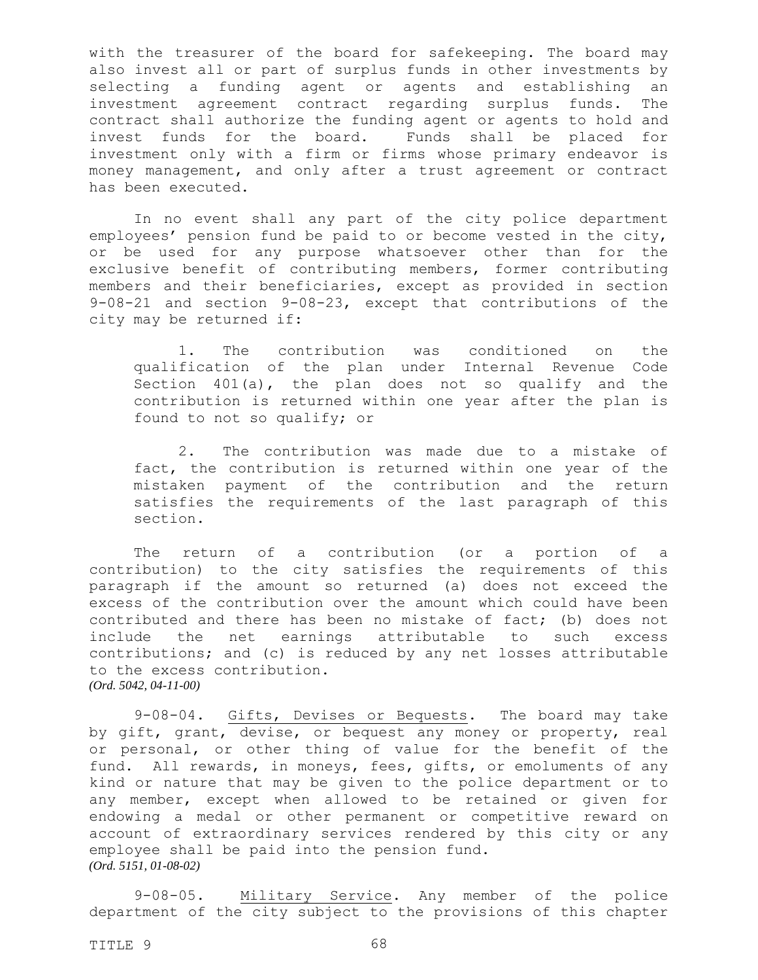with the treasurer of the board for safekeeping. The board may also invest all or part of surplus funds in other investments by selecting a funding agent or agents and establishing an investment agreement contract regarding surplus funds. The contract shall authorize the funding agent or agents to hold and invest funds for the board. Funds shall be placed for investment only with a firm or firms whose primary endeavor is money management, and only after a trust agreement or contract has been executed.

In no event shall any part of the city police department employees' pension fund be paid to or become vested in the city, or be used for any purpose whatsoever other than for the exclusive benefit of contributing members, former contributing members and their beneficiaries, except as provided in section 9-08-21 and section 9-08-23, except that contributions of the city may be returned if:

1. The contribution was conditioned on the qualification of the plan under Internal Revenue Code Section 401(a), the plan does not so qualify and the contribution is returned within one year after the plan is found to not so qualify; or

2. The contribution was made due to a mistake of fact, the contribution is returned within one year of the mistaken payment of the contribution and the return satisfies the requirements of the last paragraph of this section.

The return of a contribution (or a portion of a contribution) to the city satisfies the requirements of this paragraph if the amount so returned (a) does not exceed the excess of the contribution over the amount which could have been contributed and there has been no mistake of fact; (b) does not include the net earnings attributable to such excess contributions; and (c) is reduced by any net losses attributable to the excess contribution. *(Ord. 5042, 04-11-00)*

9-08-04. Gifts, Devises or Bequests. The board may take by gift, grant, devise, or bequest any money or property, real or personal, or other thing of value for the benefit of the fund. All rewards, in moneys, fees, gifts, or emoluments of any kind or nature that may be given to the police department or to any member, except when allowed to be retained or given for endowing a medal or other permanent or competitive reward on account of extraordinary services rendered by this city or any employee shall be paid into the pension fund. *(Ord. 5151, 01-08-02)*

9-08-05. Military Service. Any member of the police department of the city subject to the provisions of this chapter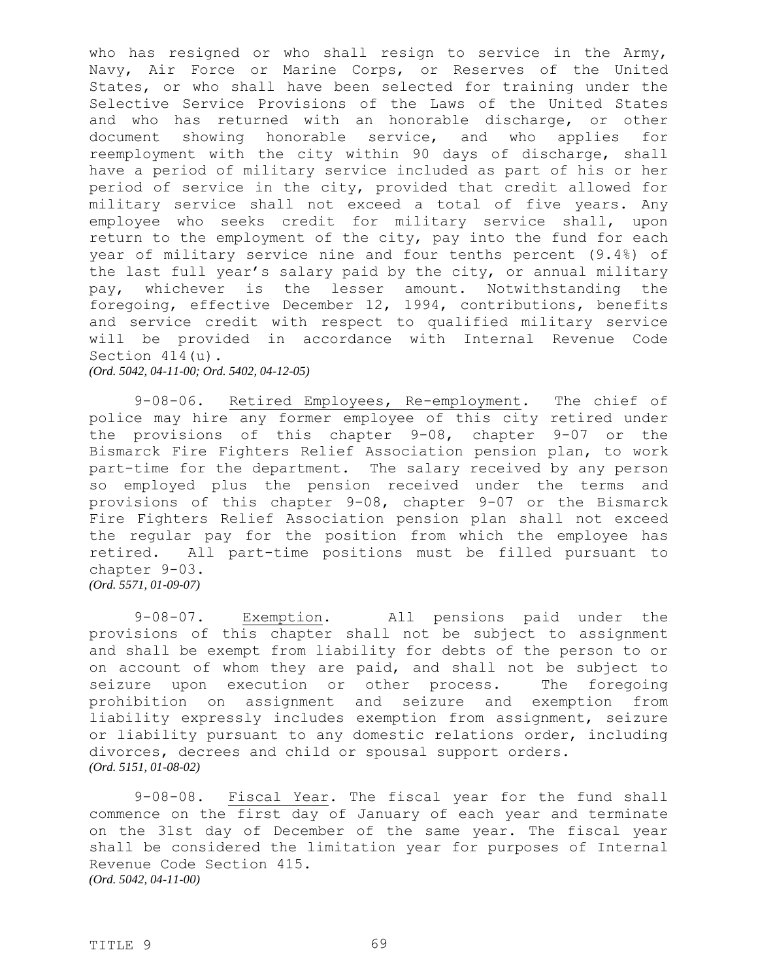who has resigned or who shall resign to service in the Army, Navy, Air Force or Marine Corps, or Reserves of the United States, or who shall have been selected for training under the Selective Service Provisions of the Laws of the United States and who has returned with an honorable discharge, or other document showing honorable service, and who applies for reemployment with the city within 90 days of discharge, shall have a period of military service included as part of his or her period of service in the city, provided that credit allowed for military service shall not exceed a total of five years. Any employee who seeks credit for military service shall, upon return to the employment of the city, pay into the fund for each year of military service nine and four tenths percent (9.4%) of the last full year's salary paid by the city, or annual military pay, whichever is the lesser amount. Notwithstanding the foregoing, effective December 12, 1994, contributions, benefits and service credit with respect to qualified military service will be provided in accordance with Internal Revenue Code Section 414(u). *(Ord. 5042, 04-11-00; Ord. 5402, 04-12-05)*

9-08-06. Retired Employees, Re-employment. The chief of police may hire any former employee of this city retired under the provisions of this chapter 9-08, chapter 9-07 or the Bismarck Fire Fighters Relief Association pension plan, to work part-time for the department. The salary received by any person so employed plus the pension received under the terms and provisions of this chapter 9-08, chapter 9-07 or the Bismarck Fire Fighters Relief Association pension plan shall not exceed the regular pay for the position from which the employee has retired. All part-time positions must be filled pursuant to chapter 9-03.

*(Ord. 5571, 01-09-07)*

9-08-07. Exemption. All pensions paid under the provisions of this chapter shall not be subject to assignment and shall be exempt from liability for debts of the person to or on account of whom they are paid, and shall not be subject to seizure upon execution or other process. The foregoing prohibition on assignment and seizure and exemption from liability expressly includes exemption from assignment, seizure or liability pursuant to any domestic relations order, including divorces, decrees and child or spousal support orders. *(Ord. 5151, 01-08-02)*

9-08-08. Fiscal Year. The fiscal year for the fund shall commence on the first day of January of each year and terminate on the 31st day of December of the same year. The fiscal year shall be considered the limitation year for purposes of Internal Revenue Code Section 415. *(Ord. 5042, 04-11-00)*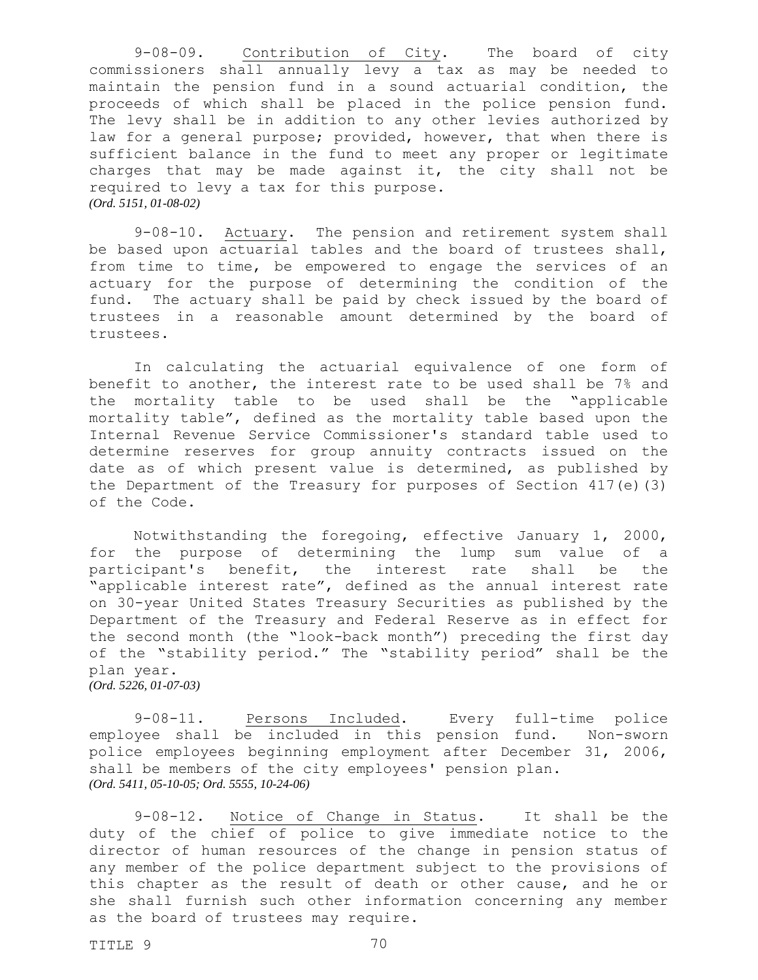9-08-09. Contribution of City. The board of city commissioners shall annually levy a tax as may be needed to maintain the pension fund in a sound actuarial condition, the proceeds of which shall be placed in the police pension fund. The levy shall be in addition to any other levies authorized by law for a general purpose; provided, however, that when there is sufficient balance in the fund to meet any proper or legitimate charges that may be made against it, the city shall not be required to levy a tax for this purpose. *(Ord. 5151, 01-08-02)*

9-08-10. Actuary. The pension and retirement system shall be based upon actuarial tables and the board of trustees shall, from time to time, be empowered to engage the services of an actuary for the purpose of determining the condition of the fund. The actuary shall be paid by check issued by the board of trustees in a reasonable amount determined by the board of trustees.

In calculating the actuarial equivalence of one form of benefit to another, the interest rate to be used shall be 7% and the mortality table to be used shall be the "applicable mortality table", defined as the mortality table based upon the Internal Revenue Service Commissioner's standard table used to determine reserves for group annuity contracts issued on the date as of which present value is determined, as published by the Department of the Treasury for purposes of Section 417(e)(3) of the Code.

Notwithstanding the foregoing, effective January 1, 2000, for the purpose of determining the lump sum value of a participant's benefit, the interest rate shall be the "applicable interest rate", defined as the annual interest rate on 30-year United States Treasury Securities as published by the Department of the Treasury and Federal Reserve as in effect for the second month (the "look-back month") preceding the first day of the "stability period." The "stability period" shall be the plan year. *(Ord. 5226, 01-07-03)*

9-08-11. Persons Included. Every full-time police employee shall be included in this pension fund. Non-sworn police employees beginning employment after December 31, 2006, shall be members of the city employees' pension plan. *(Ord. 5411, 05-10-05; Ord. 5555, 10-24-06)*

9-08-12. Notice of Change in Status. It shall be the duty of the chief of police to give immediate notice to the director of human resources of the change in pension status of any member of the police department subject to the provisions of this chapter as the result of death or other cause, and he or she shall furnish such other information concerning any member as the board of trustees may require.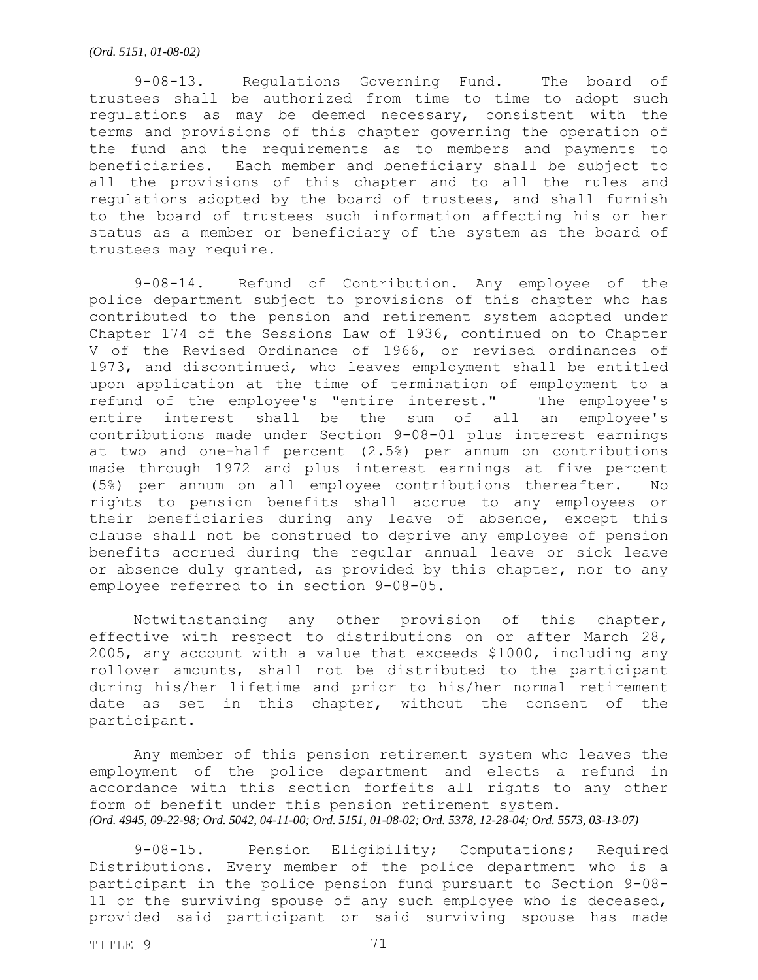9-08-13. Regulations Governing Fund. The board of trustees shall be authorized from time to time to adopt such regulations as may be deemed necessary, consistent with the terms and provisions of this chapter governing the operation of the fund and the requirements as to members and payments to beneficiaries. Each member and beneficiary shall be subject to all the provisions of this chapter and to all the rules and regulations adopted by the board of trustees, and shall furnish to the board of trustees such information affecting his or her status as a member or beneficiary of the system as the board of trustees may require.

9-08-14. Refund of Contribution. Any employee of the police department subject to provisions of this chapter who has contributed to the pension and retirement system adopted under Chapter 174 of the Sessions Law of 1936, continued on to Chapter V of the Revised Ordinance of 1966, or revised ordinances of 1973, and discontinued, who leaves employment shall be entitled upon application at the time of termination of employment to a refund of the employee's "entire interest." The employee's entire interest shall be the sum of all an employee's contributions made under Section 9-08-01 plus interest earnings at two and one-half percent (2.5%) per annum on contributions made through 1972 and plus interest earnings at five percent (5%) per annum on all employee contributions thereafter. No rights to pension benefits shall accrue to any employees or their beneficiaries during any leave of absence, except this clause shall not be construed to deprive any employee of pension benefits accrued during the regular annual leave or sick leave or absence duly granted, as provided by this chapter, nor to any employee referred to in section 9-08-05.

Notwithstanding any other provision of this chapter, effective with respect to distributions on or after March 28, 2005, any account with a value that exceeds \$1000, including any rollover amounts, shall not be distributed to the participant during his/her lifetime and prior to his/her normal retirement date as set in this chapter, without the consent of the participant.

Any member of this pension retirement system who leaves the employment of the police department and elects a refund in accordance with this section forfeits all rights to any other form of benefit under this pension retirement system. *(Ord. 4945, 09-22-98; Ord. 5042, 04-11-00; Ord. 5151, 01-08-02; Ord. 5378, 12-28-04; Ord. 5573, 03-13-07)*

9-08-15. Pension Eligibility; Computations; Required Distributions. Every member of the police department who is a participant in the police pension fund pursuant to Section 9-08- 11 or the surviving spouse of any such employee who is deceased, provided said participant or said surviving spouse has made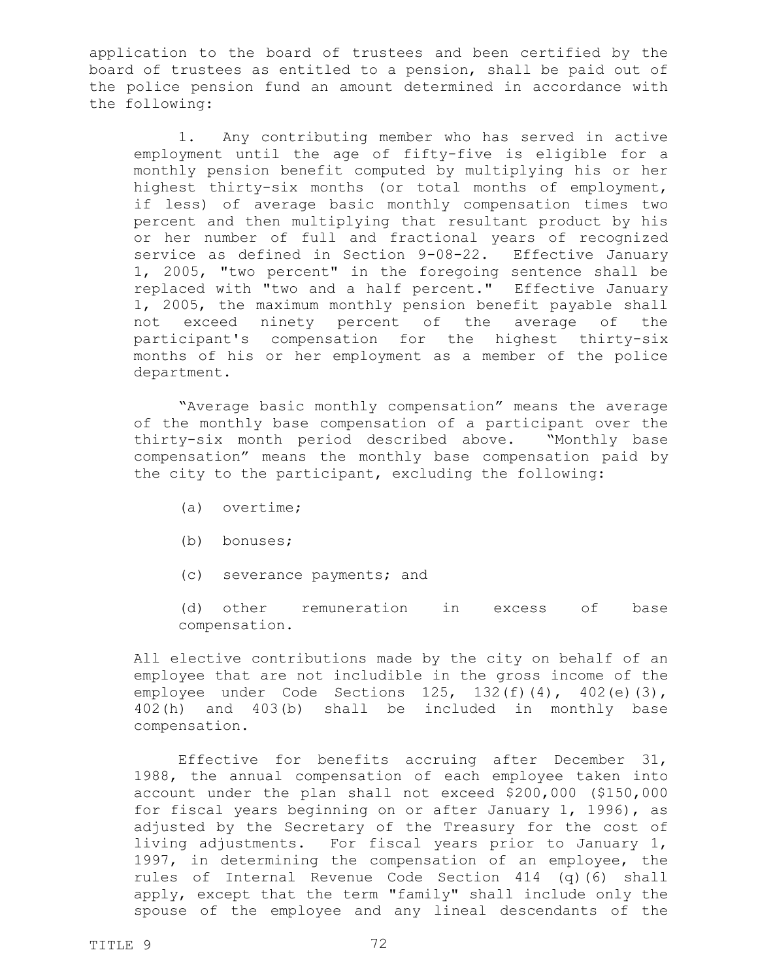application to the board of trustees and been certified by the board of trustees as entitled to a pension, shall be paid out of the police pension fund an amount determined in accordance with the following:

1. Any contributing member who has served in active employment until the age of fifty-five is eligible for a monthly pension benefit computed by multiplying his or her highest thirty-six months (or total months of employment, if less) of average basic monthly compensation times two percent and then multiplying that resultant product by his or her number of full and fractional years of recognized service as defined in Section 9-08-22. Effective January 1, 2005, "two percent" in the foregoing sentence shall be replaced with "two and a half percent." Effective January 1, 2005, the maximum monthly pension benefit payable shall not exceed ninety percent of the average of the participant's compensation for the highest thirty-six months of his or her employment as a member of the police department.

"Average basic monthly compensation" means the average of the monthly base compensation of a participant over the thirty-six month period described above. "Monthly base compensation" means the monthly base compensation paid by the city to the participant, excluding the following:

- (a) overtime;
- (b) bonuses;
- (c) severance payments; and

(d) other remuneration in excess of base compensation.

All elective contributions made by the city on behalf of an employee that are not includible in the gross income of the employee under Code Sections 125, 132(f)(4), 402(e)(3), 402(h) and 403(b) shall be included in monthly base compensation.

Effective for benefits accruing after December 31, 1988, the annual compensation of each employee taken into account under the plan shall not exceed \$200,000 (\$150,000 for fiscal years beginning on or after January 1, 1996), as adjusted by the Secretary of the Treasury for the cost of living adjustments. For fiscal years prior to January 1, 1997, in determining the compensation of an employee, the rules of Internal Revenue Code Section 414 (q)(6) shall apply, except that the term "family" shall include only the spouse of the employee and any lineal descendants of the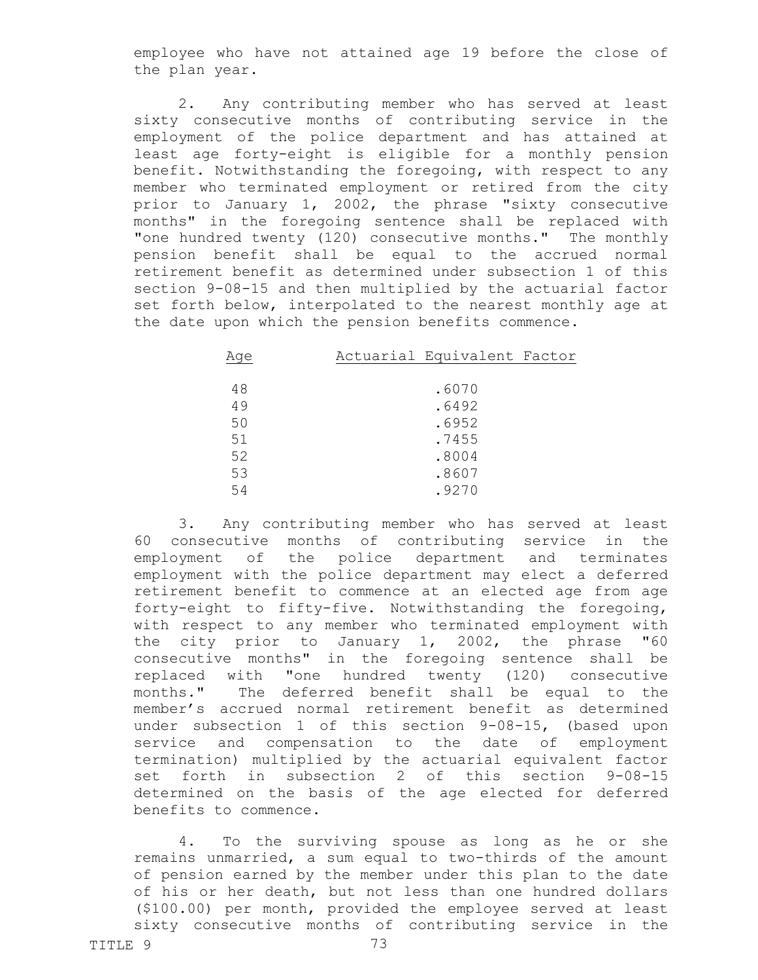employee who have not attained age 19 before the close of the plan year.

2. Any contributing member who has served at least sixty consecutive months of contributing service in the employment of the police department and has attained at least age forty-eight is eligible for a monthly pension benefit. Notwithstanding the foregoing, with respect to any member who terminated employment or retired from the city prior to January 1, 2002, the phrase "sixty consecutive months" in the foregoing sentence shall be replaced with "one hundred twenty (120) consecutive months." The monthly pension benefit shall be equal to the accrued normal retirement benefit as determined under subsection 1 of this section 9-08-15 and then multiplied by the actuarial factor set forth below, interpolated to the nearest monthly age at the date upon which the pension benefits commence.

| Age | Actuarial Equivalent Factor |
|-----|-----------------------------|
|     |                             |
| 48  | .6070                       |
| 49  | .6492                       |
| 50  | .6952                       |
| 51  | .7455                       |
| 52  | .8004                       |
| 53  | .8607                       |
| 54  | .9270                       |

3. Any contributing member who has served at least 60 consecutive months of contributing service in the employment of the police department and terminates employment with the police department may elect a deferred retirement benefit to commence at an elected age from age forty-eight to fifty-five. Notwithstanding the foregoing, with respect to any member who terminated employment with the city prior to January 1, 2002, the phrase "60 consecutive months" in the foregoing sentence shall be replaced with "one hundred twenty (120) consecutive months." The deferred benefit shall be equal to the member's accrued normal retirement benefit as determined under subsection 1 of this section 9-08-15, (based upon service and compensation to the date of employment termination) multiplied by the actuarial equivalent factor set forth in subsection 2 of this section 9-08-15 determined on the basis of the age elected for deferred benefits to commence.

4. To the surviving spouse as long as he or she remains unmarried, a sum equal to two-thirds of the amount of pension earned by the member under this plan to the date of his or her death, but not less than one hundred dollars (\$100.00) per month, provided the employee served at least sixty consecutive months of contributing service in the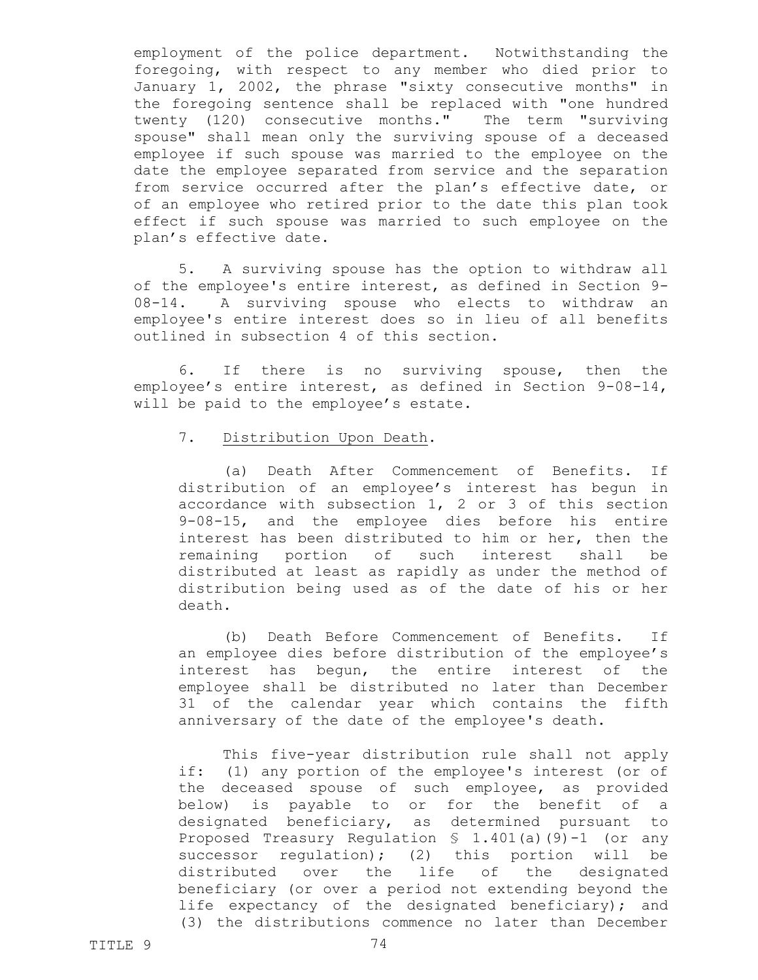employment of the police department. Notwithstanding the foregoing, with respect to any member who died prior to January 1, 2002, the phrase "sixty consecutive months" in the foregoing sentence shall be replaced with "one hundred twenty (120) consecutive months." The term "surviving spouse" shall mean only the surviving spouse of a deceased employee if such spouse was married to the employee on the date the employee separated from service and the separation from service occurred after the plan's effective date, or of an employee who retired prior to the date this plan took effect if such spouse was married to such employee on the plan's effective date.

5. A surviving spouse has the option to withdraw all of the employee's entire interest, as defined in Section 9- 08-14. A surviving spouse who elects to withdraw an employee's entire interest does so in lieu of all benefits outlined in subsection 4 of this section.

6. If there is no surviving spouse, then the employee's entire interest, as defined in Section 9-08-14, will be paid to the employee's estate.

# 7. Distribution Upon Death.

(a) Death After Commencement of Benefits. If distribution of an employee's interest has begun in accordance with subsection 1, 2 or 3 of this section 9-08-15, and the employee dies before his entire interest has been distributed to him or her, then the remaining portion of such interest shall be distributed at least as rapidly as under the method of distribution being used as of the date of his or her death.

(b) Death Before Commencement of Benefits. If an employee dies before distribution of the employee's interest has begun, the entire interest of the employee shall be distributed no later than December 31 of the calendar year which contains the fifth anniversary of the date of the employee's death.

This five-year distribution rule shall not apply if: (1) any portion of the employee's interest (or of the deceased spouse of such employee, as provided below) is payable to or for the benefit of a designated beneficiary, as determined pursuant to Proposed Treasury Regulation § 1.401(a)(9)-1 (or any successor regulation); (2) this portion will be distributed over the life of the designated beneficiary (or over a period not extending beyond the life expectancy of the designated beneficiary); and (3) the distributions commence no later than December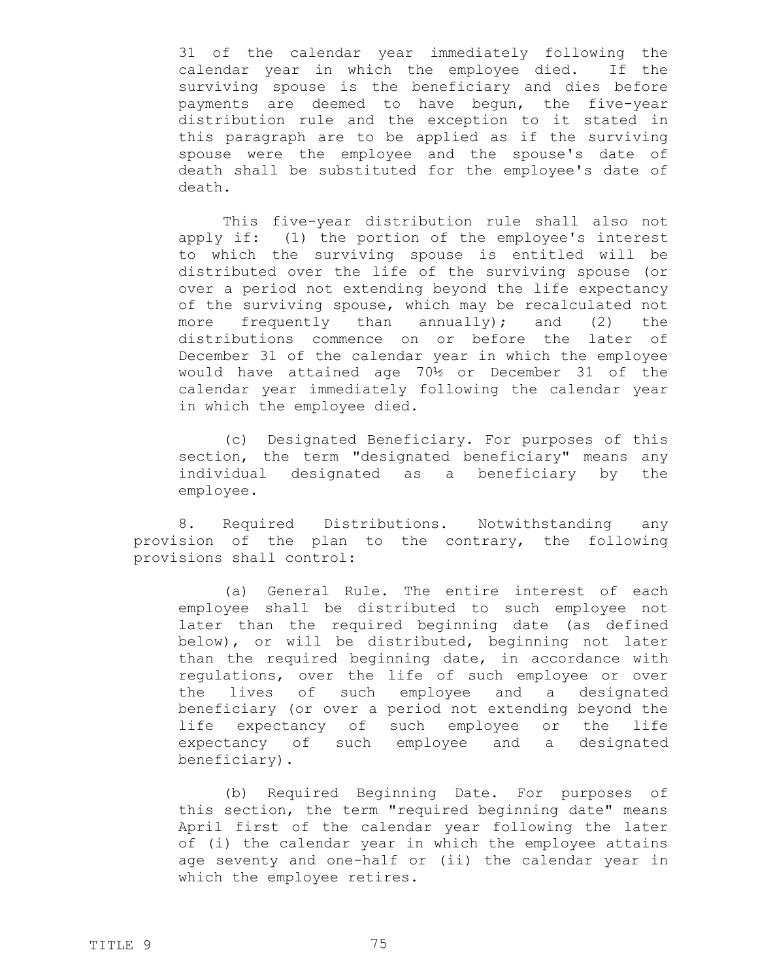31 of the calendar year immediately following the calendar year in which the employee died. If the surviving spouse is the beneficiary and dies before payments are deemed to have begun, the five-year distribution rule and the exception to it stated in this paragraph are to be applied as if the surviving spouse were the employee and the spouse's date of death shall be substituted for the employee's date of death.

This five-year distribution rule shall also not apply if: (1) the portion of the employee's interest to which the surviving spouse is entitled will be distributed over the life of the surviving spouse (or over a period not extending beyond the life expectancy of the surviving spouse, which may be recalculated not more frequently than annually); and  $(2)$  the distributions commence on or before the later of December 31 of the calendar year in which the employee would have attained age 70½ or December 31 of the calendar year immediately following the calendar year in which the employee died.

(c) Designated Beneficiary. For purposes of this section, the term "designated beneficiary" means any individual designated as a beneficiary by the employee.

8. Required Distributions. Notwithstanding any provision of the plan to the contrary, the following provisions shall control:

(a) General Rule. The entire interest of each employee shall be distributed to such employee not later than the required beginning date (as defined below), or will be distributed, beginning not later than the required beginning date, in accordance with regulations, over the life of such employee or over the lives of such employee and a designated beneficiary (or over a period not extending beyond the life expectancy of such employee or the life expectancy of such employee and a designated beneficiary).

(b) Required Beginning Date. For purposes of this section, the term "required beginning date" means April first of the calendar year following the later of (i) the calendar year in which the employee attains age seventy and one-half or (ii) the calendar year in which the employee retires.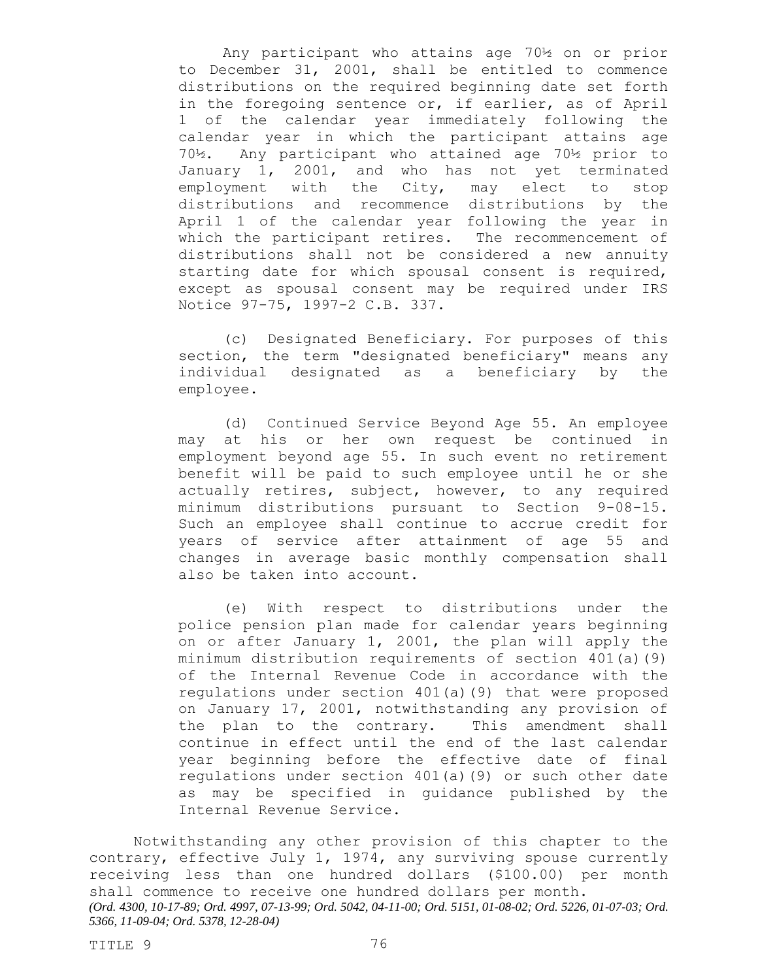Any participant who attains age 70½ on or prior to December 31, 2001, shall be entitled to commence distributions on the required beginning date set forth in the foregoing sentence or, if earlier, as of April 1 of the calendar year immediately following the calendar year in which the participant attains age 70½. Any participant who attained age 70½ prior to January 1, 2001, and who has not yet terminated employment with the City, may elect to stop distributions and recommence distributions by the April 1 of the calendar year following the year in which the participant retires. The recommencement of distributions shall not be considered a new annuity starting date for which spousal consent is required, except as spousal consent may be required under IRS Notice 97-75, 1997-2 C.B. 337.

(c) Designated Beneficiary. For purposes of this section, the term "designated beneficiary" means any individual designated as a beneficiary by the employee.

(d) Continued Service Beyond Age 55. An employee may at his or her own request be continued in employment beyond age 55. In such event no retirement benefit will be paid to such employee until he or she actually retires, subject, however, to any required minimum distributions pursuant to Section 9-08-15. Such an employee shall continue to accrue credit for years of service after attainment of age 55 and changes in average basic monthly compensation shall also be taken into account.

(e) With respect to distributions under the police pension plan made for calendar years beginning on or after January 1, 2001, the plan will apply the minimum distribution requirements of section 401(a)(9) of the Internal Revenue Code in accordance with the regulations under section 401(a)(9) that were proposed on January 17, 2001, notwithstanding any provision of the plan to the contrary. This amendment shall continue in effect until the end of the last calendar year beginning before the effective date of final regulations under section 401(a)(9) or such other date as may be specified in guidance published by the Internal Revenue Service.

Notwithstanding any other provision of this chapter to the contrary, effective July 1, 1974, any surviving spouse currently receiving less than one hundred dollars (\$100.00) per month shall commence to receive one hundred dollars per month. *(Ord. 4300, 10-17-89; Ord. 4997, 07-13-99; Ord. 5042, 04-11-00; Ord. 5151, 01-08-02; Ord. 5226, 01-07-03; Ord. 5366, 11-09-04; Ord. 5378, 12-28-04)*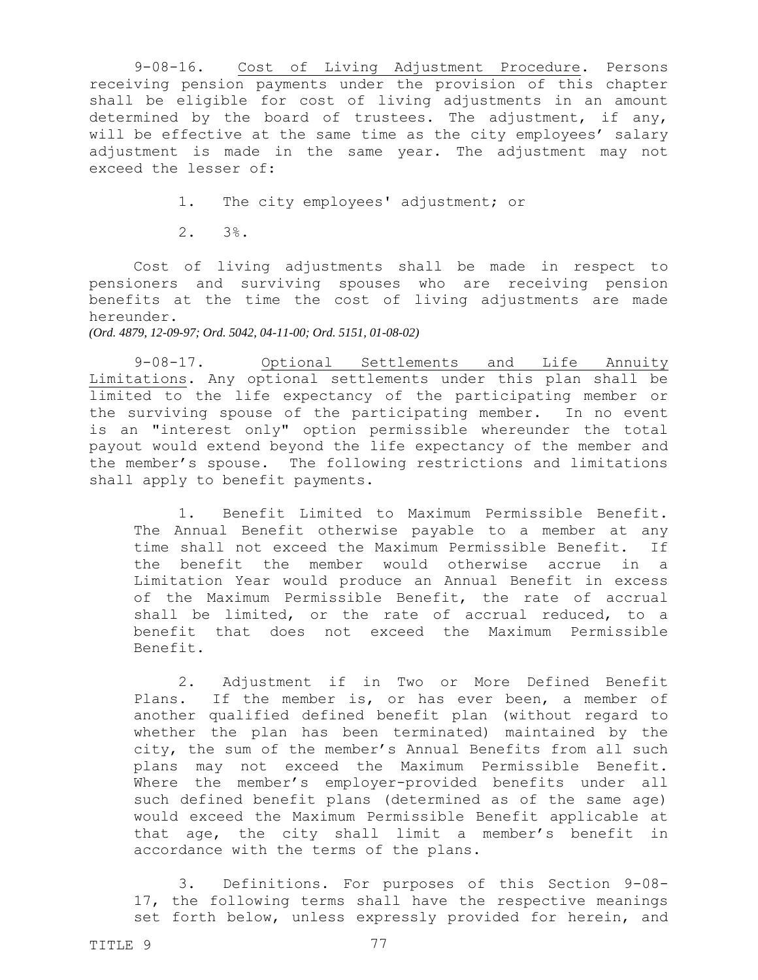9-08-16. Cost of Living Adjustment Procedure. Persons receiving pension payments under the provision of this chapter shall be eligible for cost of living adjustments in an amount determined by the board of trustees. The adjustment, if any, will be effective at the same time as the city employees' salary adjustment is made in the same year. The adjustment may not exceed the lesser of:

1. The city employees' adjustment; or

2. 3%.

Cost of living adjustments shall be made in respect to pensioners and surviving spouses who are receiving pension benefits at the time the cost of living adjustments are made hereunder.

*(Ord. 4879, 12-09-97; Ord. 5042, 04-11-00; Ord. 5151, 01-08-02)*

9-08-17. Optional Settlements and Life Annuity Limitations. Any optional settlements under this plan shall be limited to the life expectancy of the participating member or the surviving spouse of the participating member. In no event is an "interest only" option permissible whereunder the total payout would extend beyond the life expectancy of the member and the member's spouse. The following restrictions and limitations shall apply to benefit payments.

1. Benefit Limited to Maximum Permissible Benefit. The Annual Benefit otherwise payable to a member at any time shall not exceed the Maximum Permissible Benefit. If the benefit the member would otherwise accrue in a Limitation Year would produce an Annual Benefit in excess of the Maximum Permissible Benefit, the rate of accrual shall be limited, or the rate of accrual reduced, to a benefit that does not exceed the Maximum Permissible Benefit.

2. Adjustment if in Two or More Defined Benefit Plans. If the member is, or has ever been, a member of another qualified defined benefit plan (without regard to whether the plan has been terminated) maintained by the city, the sum of the member's Annual Benefits from all such plans may not exceed the Maximum Permissible Benefit. Where the member's employer-provided benefits under all such defined benefit plans (determined as of the same age) would exceed the Maximum Permissible Benefit applicable at that age, the city shall limit a member's benefit in accordance with the terms of the plans.

3. Definitions. For purposes of this Section 9-08- 17, the following terms shall have the respective meanings set forth below, unless expressly provided for herein, and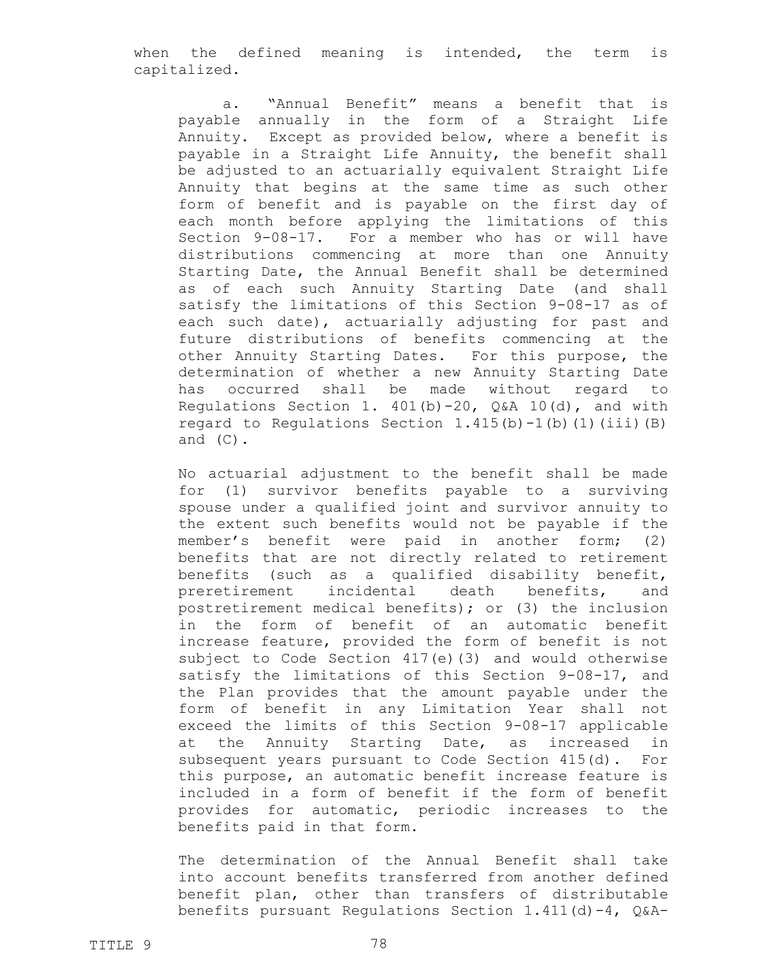when the defined meaning is intended, the term is capitalized.

a. "Annual Benefit" means a benefit that is payable annually in the form of a Straight Life Annuity. Except as provided below, where a benefit is payable in a Straight Life Annuity, the benefit shall be adjusted to an actuarially equivalent Straight Life Annuity that begins at the same time as such other form of benefit and is payable on the first day of each month before applying the limitations of this Section 9-08-17. For a member who has or will have distributions commencing at more than one Annuity Starting Date, the Annual Benefit shall be determined as of each such Annuity Starting Date (and shall satisfy the limitations of this Section 9-08-17 as of each such date), actuarially adjusting for past and future distributions of benefits commencing at the other Annuity Starting Dates. For this purpose, the determination of whether a new Annuity Starting Date has occurred shall be made without regard to Regulations Section 1.  $401(b) - 20$ , Q&A 10(d), and with regard to Regulations Section  $1.415(b) - 1(b)(1)(iii)$  (B) and  $(C)$ .

No actuarial adjustment to the benefit shall be made for (1) survivor benefits payable to a surviving spouse under a qualified joint and survivor annuity to the extent such benefits would not be payable if the member's benefit were paid in another form; (2) benefits that are not directly related to retirement benefits (such as a qualified disability benefit, preretirement incidental death benefits, and postretirement medical benefits); or (3) the inclusion in the form of benefit of an automatic benefit increase feature, provided the form of benefit is not subject to Code Section 417(e)(3) and would otherwise satisfy the limitations of this Section 9-08-17, and the Plan provides that the amount payable under the form of benefit in any Limitation Year shall not exceed the limits of this Section 9-08-17 applicable at the Annuity Starting Date, as increased in subsequent years pursuant to Code Section 415(d). For this purpose, an automatic benefit increase feature is included in a form of benefit if the form of benefit provides for automatic, periodic increases to the benefits paid in that form.

The determination of the Annual Benefit shall take into account benefits transferred from another defined benefit plan, other than transfers of distributable benefits pursuant Regulations Section  $1.411(d) - 4$ ,  $Q & A -$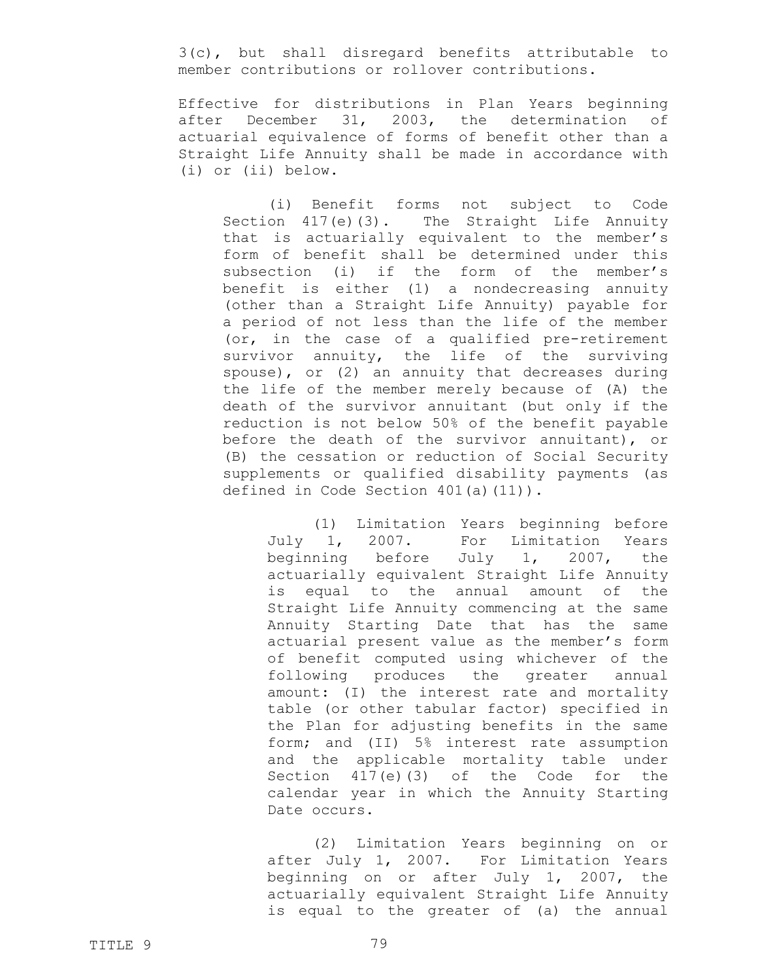3(c), but shall disregard benefits attributable to member contributions or rollover contributions.

Effective for distributions in Plan Years beginning after December 31, 2003, the determination of actuarial equivalence of forms of benefit other than a Straight Life Annuity shall be made in accordance with (i) or (ii) below.

(i) Benefit forms not subject to Code Section 417(e)(3). The Straight Life Annuity that is actuarially equivalent to the member's form of benefit shall be determined under this subsection (i) if the form of the member's benefit is either (1) a nondecreasing annuity (other than a Straight Life Annuity) payable for a period of not less than the life of the member (or, in the case of a qualified pre-retirement survivor annuity, the life of the surviving spouse), or (2) an annuity that decreases during the life of the member merely because of (A) the death of the survivor annuitant (but only if the reduction is not below 50% of the benefit payable before the death of the survivor annuitant), or (B) the cessation or reduction of Social Security supplements or qualified disability payments (as defined in Code Section 401(a)(11)).

(1) Limitation Years beginning before July 1, 2007. For Limitation Years beginning before July 1, 2007, the actuarially equivalent Straight Life Annuity is equal to the annual amount of the Straight Life Annuity commencing at the same Annuity Starting Date that has the same actuarial present value as the member's form of benefit computed using whichever of the following produces the greater annual amount: (I) the interest rate and mortality table (or other tabular factor) specified in the Plan for adjusting benefits in the same form; and (II) 5% interest rate assumption and the applicable mortality table under Section 417(e)(3) of the Code for the calendar year in which the Annuity Starting Date occurs.

(2) Limitation Years beginning on or after July 1, 2007. For Limitation Years beginning on or after July 1, 2007, the actuarially equivalent Straight Life Annuity is equal to the greater of (a) the annual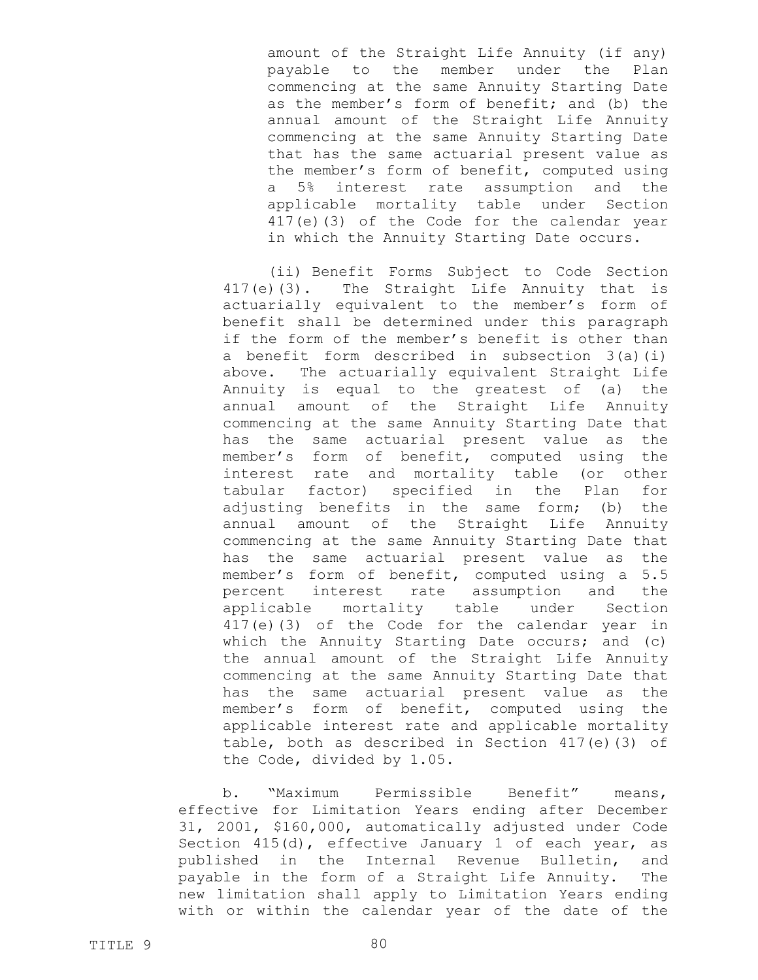amount of the Straight Life Annuity (if any) payable to the member under the Plan commencing at the same Annuity Starting Date as the member's form of benefit; and (b) the annual amount of the Straight Life Annuity commencing at the same Annuity Starting Date that has the same actuarial present value as the member's form of benefit, computed using a 5% interest rate assumption and the applicable mortality table under Section 417(e)(3) of the Code for the calendar year in which the Annuity Starting Date occurs.

(ii) Benefit Forms Subject to Code Section 417(e)(3). The Straight Life Annuity that is actuarially equivalent to the member's form of benefit shall be determined under this paragraph if the form of the member's benefit is other than a benefit form described in subsection 3(a)(i) above. The actuarially equivalent Straight Life Annuity is equal to the greatest of (a) the annual amount of the Straight Life Annuity commencing at the same Annuity Starting Date that has the same actuarial present value as the member's form of benefit, computed using the interest rate and mortality table (or other tabular factor) specified in the Plan for adjusting benefits in the same form; (b) the annual amount of the Straight Life Annuity commencing at the same Annuity Starting Date that has the same actuarial present value as the member's form of benefit, computed using a 5.5 percent interest rate assumption and the applicable mortality table under Section 417(e)(3) of the Code for the calendar year in which the Annuity Starting Date occurs; and (c) the annual amount of the Straight Life Annuity commencing at the same Annuity Starting Date that has the same actuarial present value as the member's form of benefit, computed using the applicable interest rate and applicable mortality table, both as described in Section 417(e)(3) of the Code, divided by 1.05.

b. "Maximum Permissible Benefit" means, effective for Limitation Years ending after December 31, 2001, \$160,000, automatically adjusted under Code Section 415(d), effective January 1 of each year, as published in the Internal Revenue Bulletin, and payable in the form of a Straight Life Annuity. The new limitation shall apply to Limitation Years ending with or within the calendar year of the date of the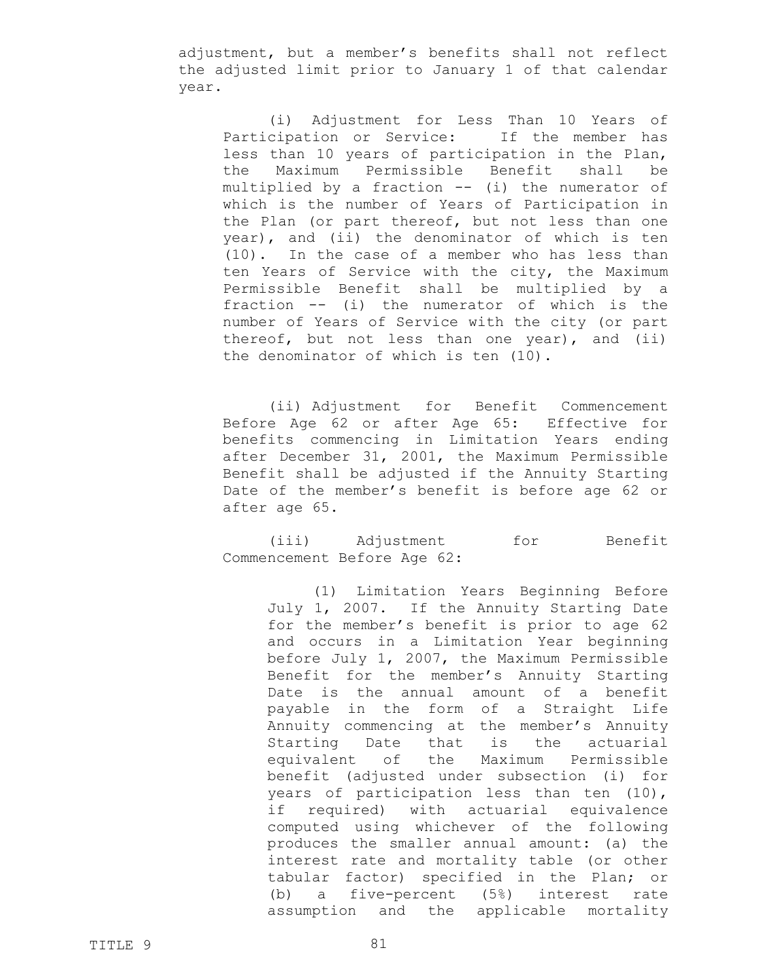adjustment, but a member's benefits shall not reflect the adjusted limit prior to January 1 of that calendar year.

(i) Adjustment for Less Than 10 Years of Participation or Service: If the member has less than 10 years of participation in the Plan, the Maximum Permissible Benefit shall be multiplied by a fraction -- (i) the numerator of which is the number of Years of Participation in the Plan (or part thereof, but not less than one year), and (ii) the denominator of which is ten (10). In the case of a member who has less than ten Years of Service with the city, the Maximum Permissible Benefit shall be multiplied by a fraction -- (i) the numerator of which is the number of Years of Service with the city (or part thereof, but not less than one year), and (ii) the denominator of which is ten (10).

(ii) Adjustment for Benefit Commencement Before Age 62 or after Age 65: Effective for benefits commencing in Limitation Years ending after December 31, 2001, the Maximum Permissible Benefit shall be adjusted if the Annuity Starting Date of the member's benefit is before age 62 or after age 65.

(iii) Adjustment for Benefit Commencement Before Age 62:

(1) Limitation Years Beginning Before July 1, 2007. If the Annuity Starting Date for the member's benefit is prior to age 62 and occurs in a Limitation Year beginning before July 1, 2007, the Maximum Permissible Benefit for the member's Annuity Starting Date is the annual amount of a benefit payable in the form of a Straight Life Annuity commencing at the member's Annuity Starting Date that is the actuarial equivalent of the Maximum Permissible benefit (adjusted under subsection (i) for years of participation less than ten (10), if required) with actuarial equivalence computed using whichever of the following produces the smaller annual amount: (a) the interest rate and mortality table (or other tabular factor) specified in the Plan; or (b) a five-percent (5%) interest rate assumption and the applicable mortality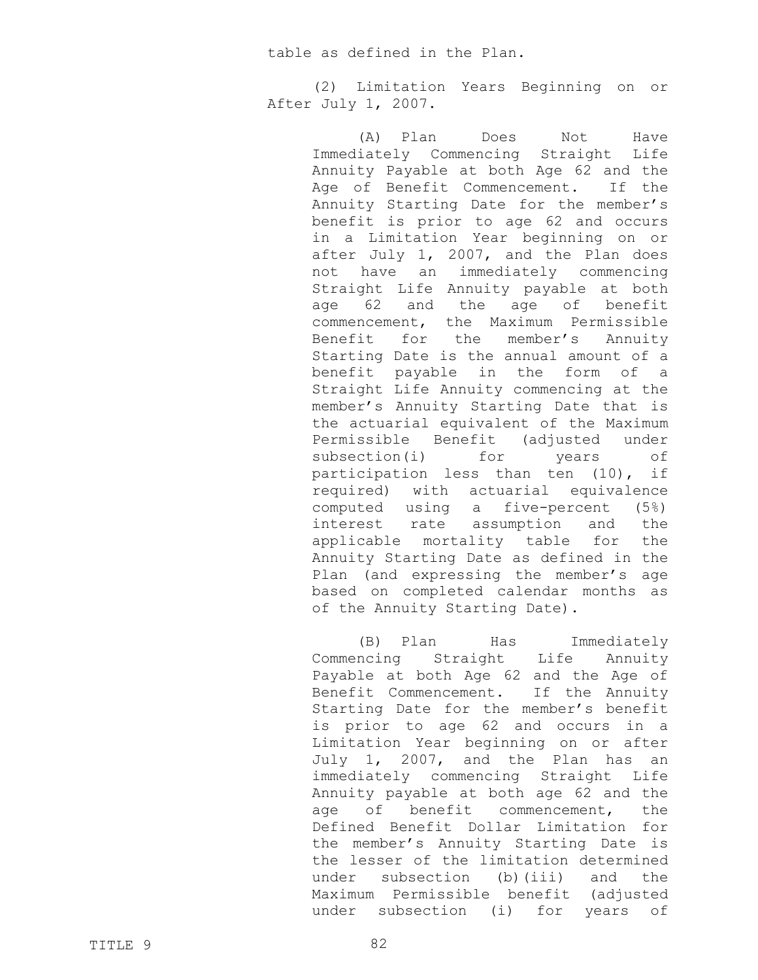table as defined in the Plan.

(2) Limitation Years Beginning on or After July 1, 2007.

> (A) Plan Does Not Have Immediately Commencing Straight Life Annuity Payable at both Age 62 and the Age of Benefit Commencement. If the Annuity Starting Date for the member's benefit is prior to age 62 and occurs in a Limitation Year beginning on or after July 1, 2007, and the Plan does not have an immediately commencing Straight Life Annuity payable at both age 62 and the age of benefit commencement, the Maximum Permissible Benefit for the member's Annuity Starting Date is the annual amount of a benefit payable in the form of a Straight Life Annuity commencing at the member's Annuity Starting Date that is the actuarial equivalent of the Maximum Permissible Benefit (adjusted under subsection(i) for years of participation less than ten (10), if required) with actuarial equivalence computed using a five-percent (5%) interest rate assumption and the applicable mortality table for the Annuity Starting Date as defined in the Plan (and expressing the member's age based on completed calendar months as of the Annuity Starting Date).

> (B) Plan Has Immediately Commencing Straight Life Annuity Payable at both Age 62 and the Age of Benefit Commencement. If the Annuity Starting Date for the member's benefit is prior to age 62 and occurs in a Limitation Year beginning on or after July 1, 2007, and the Plan has an immediately commencing Straight Life Annuity payable at both age 62 and the age of benefit commencement, the Defined Benefit Dollar Limitation for the member's Annuity Starting Date is the lesser of the limitation determined under subsection (b)(iii) and the Maximum Permissible benefit (adjusted under subsection (i) for years of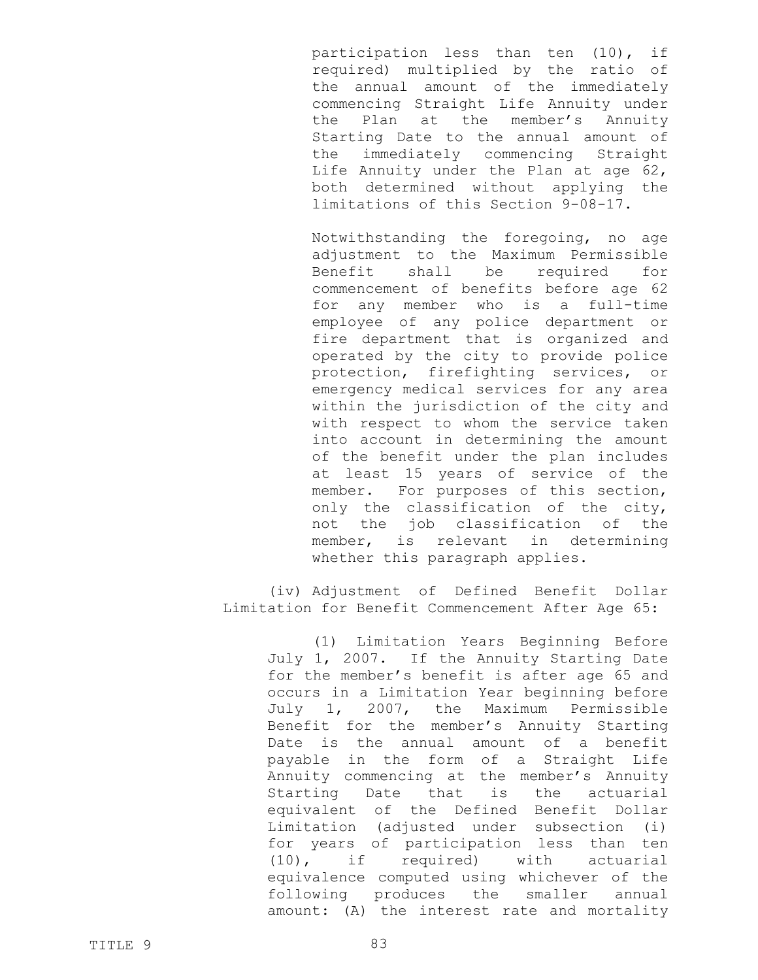participation less than ten (10), if required) multiplied by the ratio of the annual amount of the immediately commencing Straight Life Annuity under the Plan at the member's Annuity Starting Date to the annual amount of the immediately commencing Straight Life Annuity under the Plan at age 62, both determined without applying the limitations of this Section 9-08-17.

Notwithstanding the foregoing, no age adjustment to the Maximum Permissible Benefit shall be required for commencement of benefits before age 62 for any member who is a full-time employee of any police department or fire department that is organized and operated by the city to provide police protection, firefighting services, or emergency medical services for any area within the jurisdiction of the city and with respect to whom the service taken into account in determining the amount of the benefit under the plan includes at least 15 years of service of the member. For purposes of this section, only the classification of the city, not the job classification of the member, is relevant in determining whether this paragraph applies.

(iv) Adjustment of Defined Benefit Dollar Limitation for Benefit Commencement After Age 65:

> (1) Limitation Years Beginning Before July 1, 2007. If the Annuity Starting Date for the member's benefit is after age 65 and occurs in a Limitation Year beginning before July 1, 2007, the Maximum Permissible Benefit for the member's Annuity Starting Date is the annual amount of a benefit payable in the form of a Straight Life Annuity commencing at the member's Annuity Starting Date that is the actuarial equivalent of the Defined Benefit Dollar Limitation (adjusted under subsection (i) for years of participation less than ten (10), if required) with actuarial equivalence computed using whichever of the following produces the smaller annual amount: (A) the interest rate and mortality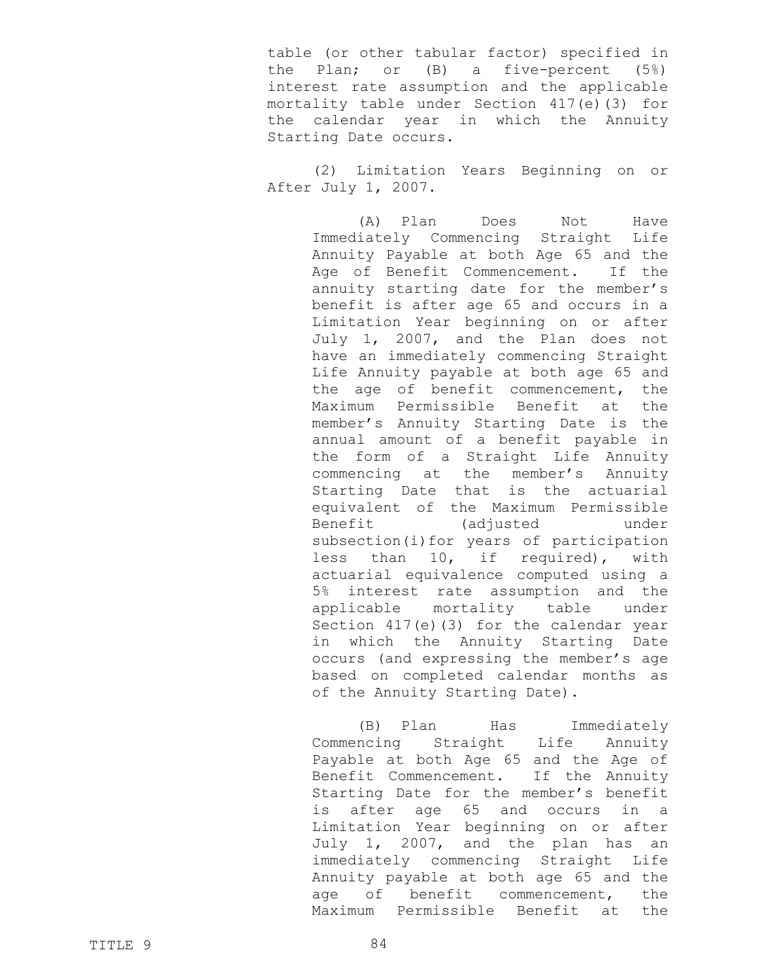table (or other tabular factor) specified in the Plan; or (B) a five-percent (5%) interest rate assumption and the applicable mortality table under Section 417(e)(3) for the calendar year in which the Annuity Starting Date occurs.

(2) Limitation Years Beginning on or After July 1, 2007.

> (A) Plan Does Not Have Immediately Commencing Straight Life Annuity Payable at both Age 65 and the Age of Benefit Commencement. If the annuity starting date for the member's benefit is after age 65 and occurs in a Limitation Year beginning on or after July 1, 2007, and the Plan does not have an immediately commencing Straight Life Annuity payable at both age 65 and the age of benefit commencement, the Maximum Permissible Benefit at the member's Annuity Starting Date is the annual amount of a benefit payable in the form of a Straight Life Annuity commencing at the member's Annuity Starting Date that is the actuarial equivalent of the Maximum Permissible Benefit (adjusted under subsection(i)for years of participation less than 10, if required), with actuarial equivalence computed using a 5% interest rate assumption and the applicable mortality table under Section 417(e)(3) for the calendar year in which the Annuity Starting Date occurs (and expressing the member's age based on completed calendar months as of the Annuity Starting Date).

> (B) Plan Has Immediately Commencing Straight Life Annuity Payable at both Age 65 and the Age of Benefit Commencement. If the Annuity Starting Date for the member's benefit is after age 65 and occurs in a Limitation Year beginning on or after July 1, 2007, and the plan has an immediately commencing Straight Life Annuity payable at both age 65 and the age of benefit commencement, the Maximum Permissible Benefit at the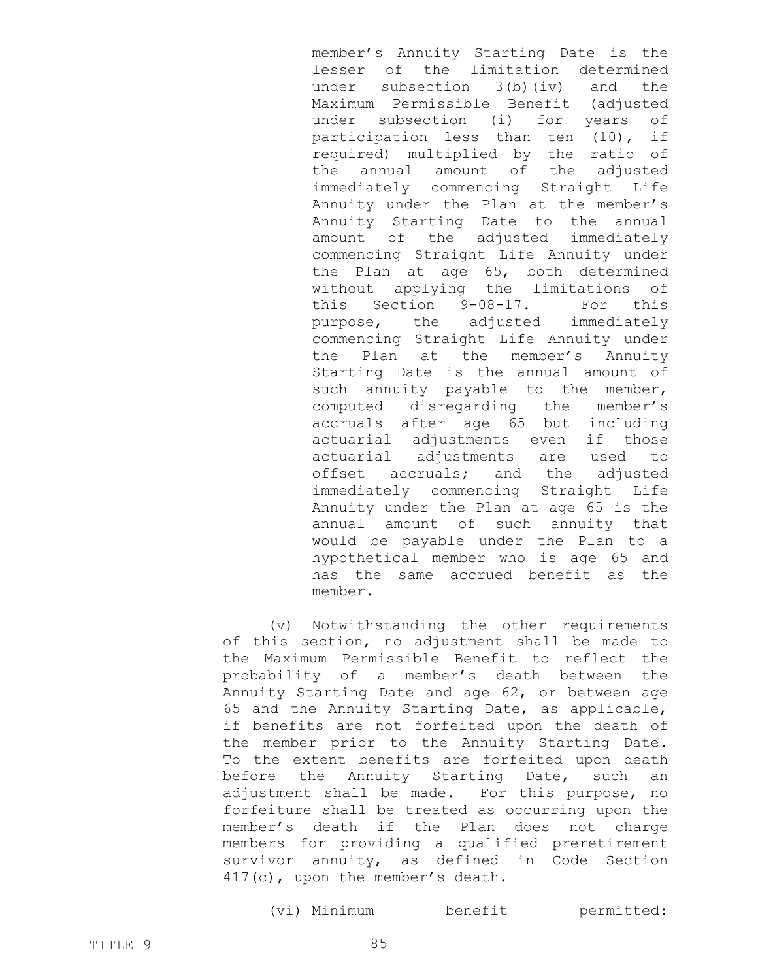member's Annuity Starting Date is the lesser of the limitation determined under subsection 3(b)(iv) and the Maximum Permissible Benefit (adjusted under subsection (i) for years of participation less than ten (10), if required) multiplied by the ratio of the annual amount of the adjusted immediately commencing Straight Life Annuity under the Plan at the member's Annuity Starting Date to the annual amount of the adjusted immediately commencing Straight Life Annuity under the Plan at age 65, both determined without applying the limitations of this Section 9-08-17. For this purpose, the adjusted immediately commencing Straight Life Annuity under the Plan at the member's Annuity Starting Date is the annual amount of such annuity payable to the member, computed disregarding the member's accruals after age 65 but including actuarial adjustments even if those actuarial adjustments are used to offset accruals; and the adjusted immediately commencing Straight Life Annuity under the Plan at age 65 is the annual amount of such annuity that would be payable under the Plan to a hypothetical member who is age 65 and has the same accrued benefit as the member.

(v) Notwithstanding the other requirements of this section, no adjustment shall be made to the Maximum Permissible Benefit to reflect the probability of a member's death between the Annuity Starting Date and age 62, or between age 65 and the Annuity Starting Date, as applicable, if benefits are not forfeited upon the death of the member prior to the Annuity Starting Date. To the extent benefits are forfeited upon death before the Annuity Starting Date, such an adjustment shall be made. For this purpose, no forfeiture shall be treated as occurring upon the member's death if the Plan does not charge members for providing a qualified preretirement survivor annuity, as defined in Code Section 417(c), upon the member's death.

(vi) Minimum benefit permitted: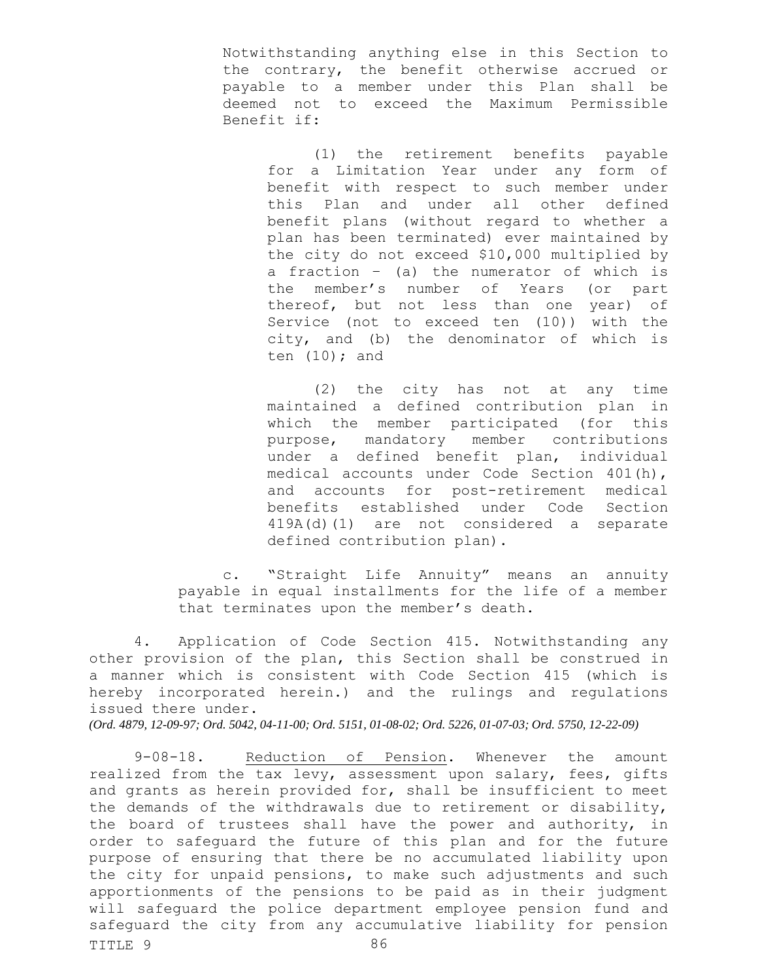Notwithstanding anything else in this Section to the contrary, the benefit otherwise accrued or payable to a member under this Plan shall be deemed not to exceed the Maximum Permissible Benefit if:

(1) the retirement benefits payable for a Limitation Year under any form of benefit with respect to such member under this Plan and under all other defined benefit plans (without regard to whether a plan has been terminated) ever maintained by the city do not exceed \$10,000 multiplied by a fraction – (a) the numerator of which is the member's number of Years (or part thereof, but not less than one year) of Service (not to exceed ten (10)) with the city, and (b) the denominator of which is ten  $(10)$ ; and

(2) the city has not at any time maintained a defined contribution plan in which the member participated (for this purpose, mandatory member contributions under a defined benefit plan, individual medical accounts under Code Section 401(h), and accounts for post-retirement medical benefits established under Code Section 419A(d)(1) are not considered a separate defined contribution plan).

c. "Straight Life Annuity" means an annuity payable in equal installments for the life of a member that terminates upon the member's death.

4. Application of Code Section 415. Notwithstanding any other provision of the plan, this Section shall be construed in a manner which is consistent with Code Section 415 (which is hereby incorporated herein.) and the rulings and regulations issued there under.

*(Ord. 4879, 12-09-97; Ord. 5042, 04-11-00; Ord. 5151, 01-08-02; Ord. 5226, 01-07-03; Ord. 5750, 12-22-09)*

TITLE 9 86 9-08-18. Reduction of Pension. Whenever the amount realized from the tax levy, assessment upon salary, fees, gifts and grants as herein provided for, shall be insufficient to meet the demands of the withdrawals due to retirement or disability, the board of trustees shall have the power and authority, in order to safeguard the future of this plan and for the future purpose of ensuring that there be no accumulated liability upon the city for unpaid pensions, to make such adjustments and such apportionments of the pensions to be paid as in their judgment will safeguard the police department employee pension fund and safeguard the city from any accumulative liability for pension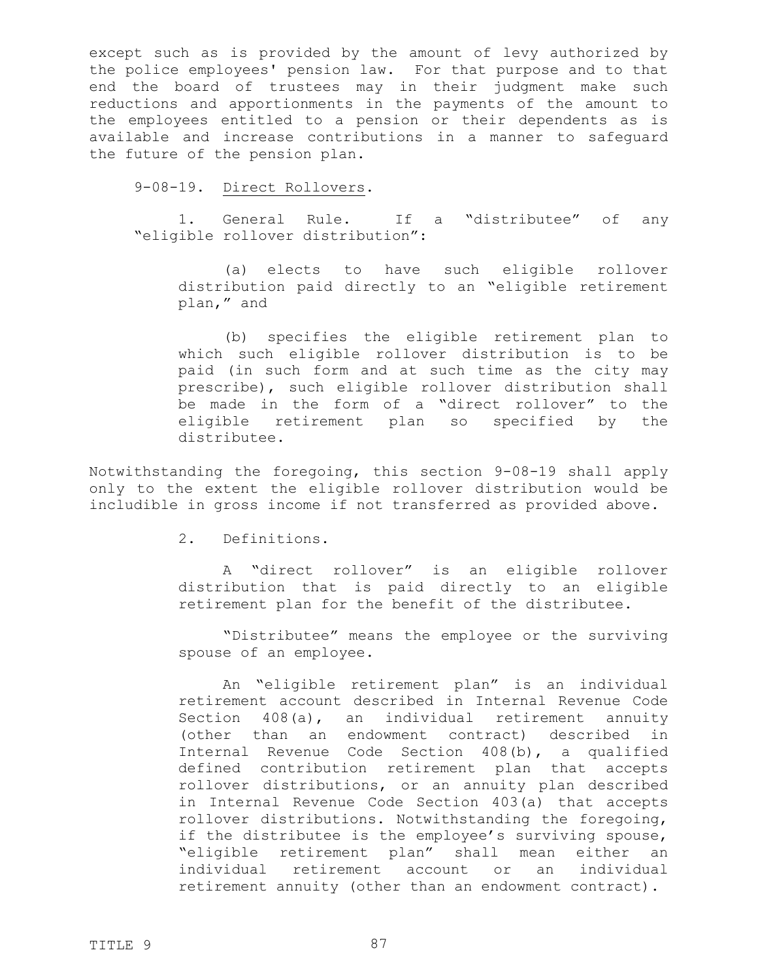except such as is provided by the amount of levy authorized by the police employees' pension law. For that purpose and to that end the board of trustees may in their judgment make such reductions and apportionments in the payments of the amount to the employees entitled to a pension or their dependents as is available and increase contributions in a manner to safeguard the future of the pension plan.

### 9-08-19. Direct Rollovers.

1. General Rule. If a "distributee" of any "eligible rollover distribution":

(a) elects to have such eligible rollover distribution paid directly to an "eligible retirement plan," and

(b) specifies the eligible retirement plan to which such eligible rollover distribution is to be paid (in such form and at such time as the city may prescribe), such eligible rollover distribution shall be made in the form of a "direct rollover" to the eligible retirement plan so specified by the distributee.

Notwithstanding the foregoing, this section 9-08-19 shall apply only to the extent the eligible rollover distribution would be includible in gross income if not transferred as provided above.

2. Definitions.

A "direct rollover" is an eligible rollover distribution that is paid directly to an eligible retirement plan for the benefit of the distributee.

"Distributee" means the employee or the surviving spouse of an employee.

An "eligible retirement plan" is an individual retirement account described in Internal Revenue Code Section 408(a), an individual retirement annuity (other than an endowment contract) described in Internal Revenue Code Section 408(b), a qualified defined contribution retirement plan that accepts rollover distributions, or an annuity plan described in Internal Revenue Code Section 403(a) that accepts rollover distributions. Notwithstanding the foregoing, if the distributee is the employee's surviving spouse, "eligible retirement plan" shall mean either an individual retirement account or an individual retirement annuity (other than an endowment contract).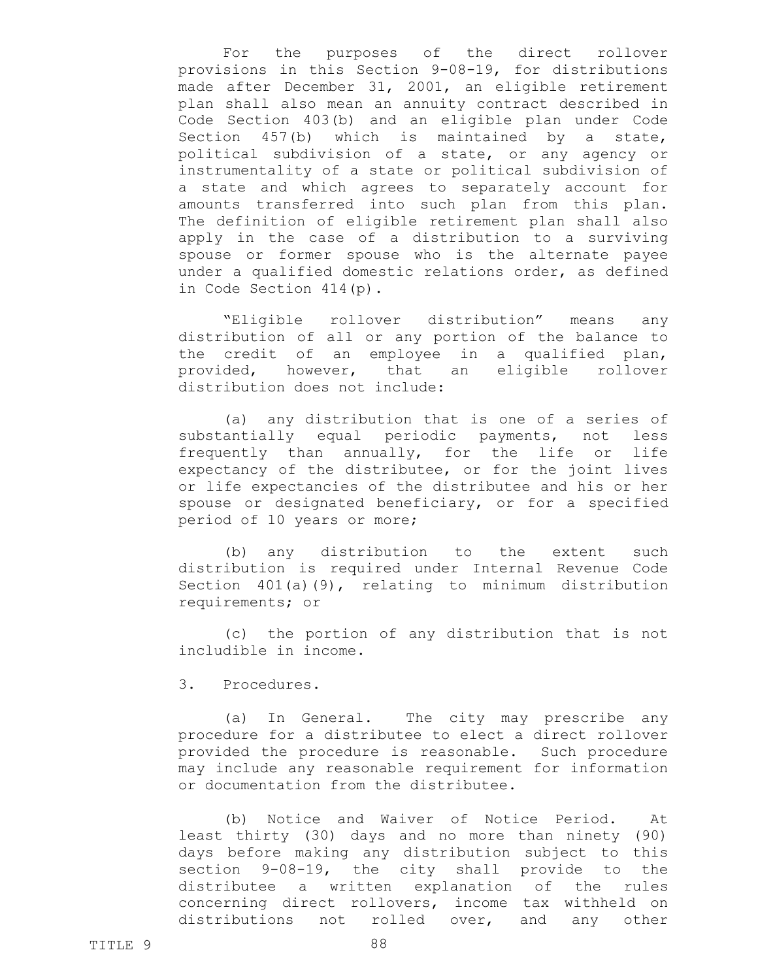For the purposes of the direct rollover provisions in this Section 9-08-19, for distributions made after December 31, 2001, an eligible retirement plan shall also mean an annuity contract described in Code Section 403(b) and an eligible plan under Code Section 457(b) which is maintained by a state, political subdivision of a state, or any agency or instrumentality of a state or political subdivision of a state and which agrees to separately account for amounts transferred into such plan from this plan. The definition of eligible retirement plan shall also apply in the case of a distribution to a surviving spouse or former spouse who is the alternate payee under a qualified domestic relations order, as defined in Code Section 414(p).

"Eligible rollover distribution" means any distribution of all or any portion of the balance to the credit of an employee in a qualified plan, provided, however, that an eligible rollover distribution does not include:

(a) any distribution that is one of a series of substantially equal periodic payments, not less frequently than annually, for the life or life expectancy of the distributee, or for the joint lives or life expectancies of the distributee and his or her spouse or designated beneficiary, or for a specified period of 10 years or more;

(b) any distribution to the extent such distribution is required under Internal Revenue Code Section 401(a)(9), relating to minimum distribution requirements; or

(c) the portion of any distribution that is not includible in income.

3. Procedures.

(a) In General. The city may prescribe any procedure for a distributee to elect a direct rollover provided the procedure is reasonable. Such procedure may include any reasonable requirement for information or documentation from the distributee.

(b) Notice and Waiver of Notice Period. At least thirty (30) days and no more than ninety (90) days before making any distribution subject to this section 9-08-19, the city shall provide to the distributee a written explanation of the rules concerning direct rollovers, income tax withheld on distributions not rolled over, and any other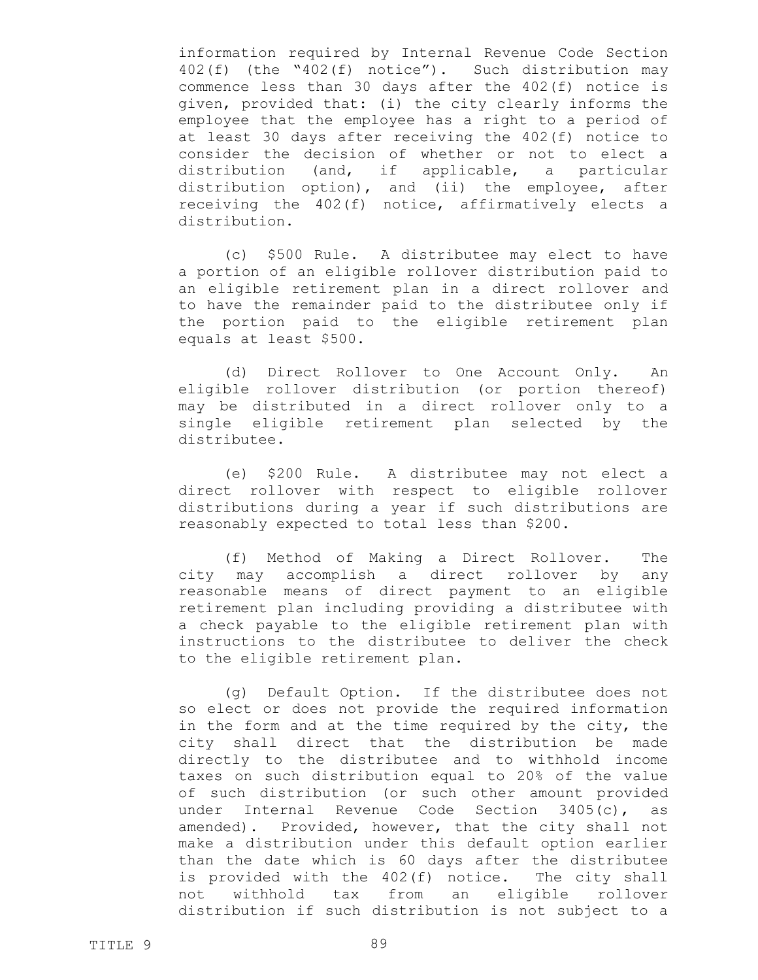information required by Internal Revenue Code Section 402(f) (the "402(f) notice"). Such distribution may commence less than 30 days after the 402(f) notice is given, provided that: (i) the city clearly informs the employee that the employee has a right to a period of at least 30 days after receiving the 402(f) notice to consider the decision of whether or not to elect a distribution (and, if applicable, a particular distribution option), and (ii) the employee, after receiving the 402(f) notice, affirmatively elects a distribution.

(c) \$500 Rule. A distributee may elect to have a portion of an eligible rollover distribution paid to an eligible retirement plan in a direct rollover and to have the remainder paid to the distributee only if the portion paid to the eligible retirement plan equals at least \$500.

(d) Direct Rollover to One Account Only. An eligible rollover distribution (or portion thereof) may be distributed in a direct rollover only to a single eligible retirement plan selected by the distributee.

(e) \$200 Rule. A distributee may not elect a direct rollover with respect to eligible rollover distributions during a year if such distributions are reasonably expected to total less than \$200.

(f) Method of Making a Direct Rollover. The city may accomplish a direct rollover by any reasonable means of direct payment to an eligible retirement plan including providing a distributee with a check payable to the eligible retirement plan with instructions to the distributee to deliver the check to the eligible retirement plan.

(g) Default Option. If the distributee does not so elect or does not provide the required information in the form and at the time required by the city, the city shall direct that the distribution be made directly to the distributee and to withhold income taxes on such distribution equal to 20% of the value of such distribution (or such other amount provided under Internal Revenue Code Section 3405(c), as amended). Provided, however, that the city shall not make a distribution under this default option earlier than the date which is 60 days after the distributee is provided with the 402(f) notice. The city shall not withhold tax from an eligible rollover distribution if such distribution is not subject to a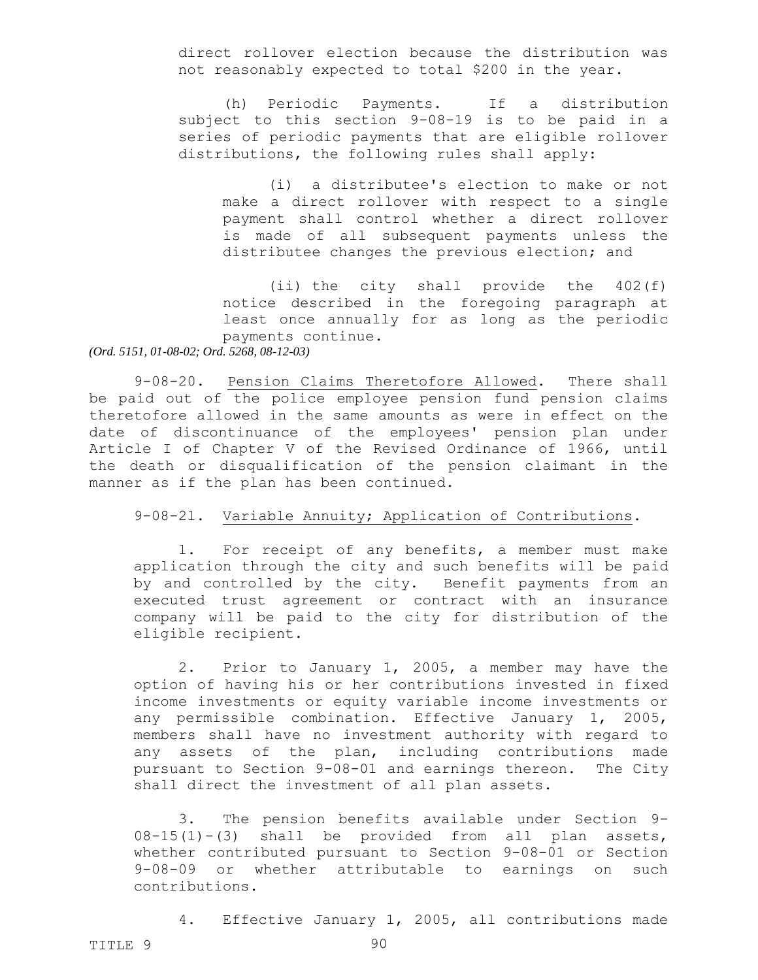direct rollover election because the distribution was not reasonably expected to total \$200 in the year.

(h) Periodic Payments. If a distribution subject to this section 9-08-19 is to be paid in a series of periodic payments that are eligible rollover distributions, the following rules shall apply:

(i) a distributee's election to make or not make a direct rollover with respect to a single payment shall control whether a direct rollover is made of all subsequent payments unless the distributee changes the previous election; and

(ii) the city shall provide the 402(f) notice described in the foregoing paragraph at least once annually for as long as the periodic payments continue.

## *(Ord. 5151, 01-08-02; Ord. 5268, 08-12-03)*

9-08-20. Pension Claims Theretofore Allowed. There shall be paid out of the police employee pension fund pension claims theretofore allowed in the same amounts as were in effect on the date of discontinuance of the employees' pension plan under Article I of Chapter V of the Revised Ordinance of 1966, until the death or disqualification of the pension claimant in the manner as if the plan has been continued.

### 9-08-21. Variable Annuity; Application of Contributions.

1. For receipt of any benefits, a member must make application through the city and such benefits will be paid by and controlled by the city. Benefit payments from an executed trust agreement or contract with an insurance company will be paid to the city for distribution of the eligible recipient.

2. Prior to January 1, 2005, a member may have the option of having his or her contributions invested in fixed income investments or equity variable income investments or any permissible combination. Effective January 1, 2005, members shall have no investment authority with regard to any assets of the plan, including contributions made pursuant to Section 9-08-01 and earnings thereon. The City shall direct the investment of all plan assets.

3. The pension benefits available under Section 9- 08-15(1)-(3) shall be provided from all plan assets, whether contributed pursuant to Section 9-08-01 or Section 9-08-09 or whether attributable to earnings on such contributions.

4. Effective January 1, 2005, all contributions made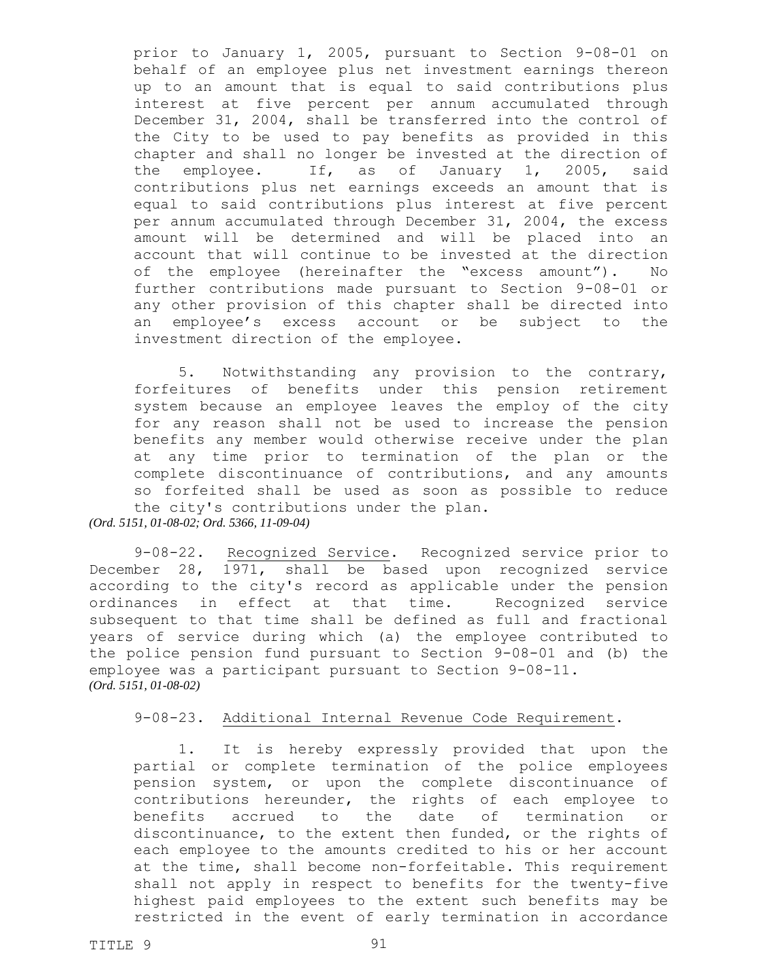prior to January 1, 2005, pursuant to Section 9-08-01 on behalf of an employee plus net investment earnings thereon up to an amount that is equal to said contributions plus interest at five percent per annum accumulated through December 31, 2004, shall be transferred into the control of the City to be used to pay benefits as provided in this chapter and shall no longer be invested at the direction of the employee. If, as of January 1, 2005, said contributions plus net earnings exceeds an amount that is equal to said contributions plus interest at five percent per annum accumulated through December 31, 2004, the excess amount will be determined and will be placed into an account that will continue to be invested at the direction of the employee (hereinafter the "excess amount"). No further contributions made pursuant to Section 9-08-01 or any other provision of this chapter shall be directed into an employee's excess account or be subject to the investment direction of the employee.

5. Notwithstanding any provision to the contrary, forfeitures of benefits under this pension retirement system because an employee leaves the employ of the city for any reason shall not be used to increase the pension benefits any member would otherwise receive under the plan at any time prior to termination of the plan or the complete discontinuance of contributions, and any amounts so forfeited shall be used as soon as possible to reduce the city's contributions under the plan.

*(Ord. 5151, 01-08-02; Ord. 5366, 11-09-04)*

9-08-22. Recognized Service. Recognized service prior to December 28, 1971, shall be based upon recognized service according to the city's record as applicable under the pension ordinances in effect at that time. Recognized service subsequent to that time shall be defined as full and fractional years of service during which (a) the employee contributed to the police pension fund pursuant to Section 9-08-01 and (b) the employee was a participant pursuant to Section 9-08-11. *(Ord. 5151, 01-08-02)*

# 9-08-23. Additional Internal Revenue Code Requirement.

1. It is hereby expressly provided that upon the partial or complete termination of the police employees pension system, or upon the complete discontinuance of contributions hereunder, the rights of each employee to benefits accrued to the date of termination or discontinuance, to the extent then funded, or the rights of each employee to the amounts credited to his or her account at the time, shall become non-forfeitable. This requirement shall not apply in respect to benefits for the twenty-five highest paid employees to the extent such benefits may be restricted in the event of early termination in accordance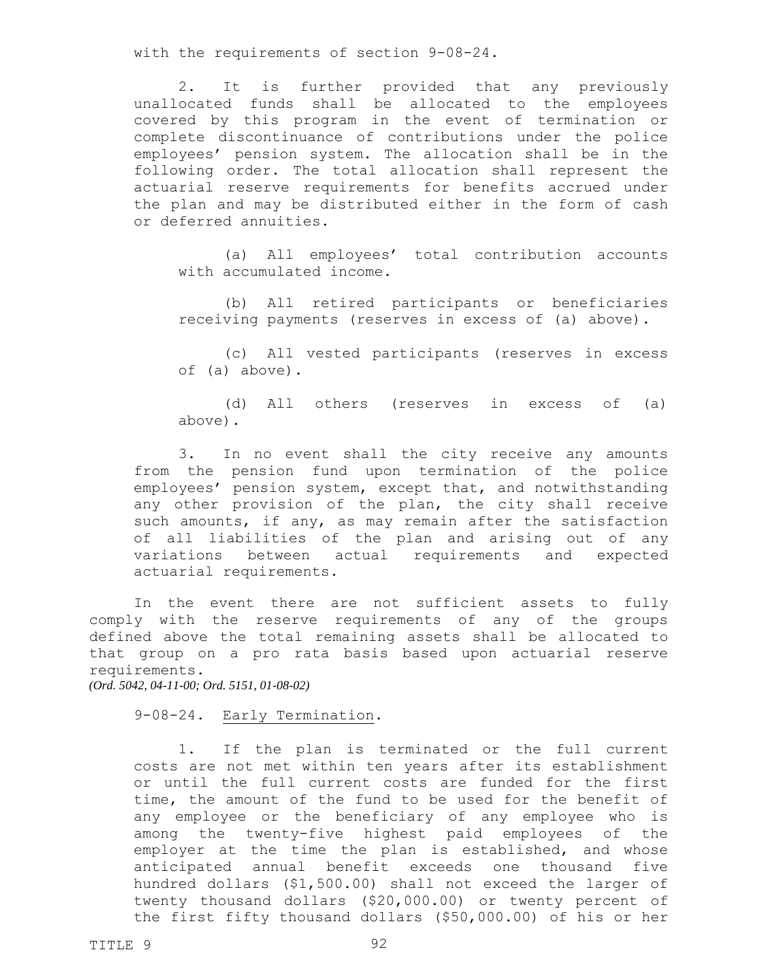with the requirements of section 9-08-24.

2. It is further provided that any previously unallocated funds shall be allocated to the employees covered by this program in the event of termination or complete discontinuance of contributions under the police employees' pension system. The allocation shall be in the following order. The total allocation shall represent the actuarial reserve requirements for benefits accrued under the plan and may be distributed either in the form of cash or deferred annuities.

(a) All employees' total contribution accounts with accumulated income.

(b) All retired participants or beneficiaries receiving payments (reserves in excess of (a) above).

(c) All vested participants (reserves in excess of (a) above).

(d) All others (reserves in excess of (a) above).

3. In no event shall the city receive any amounts from the pension fund upon termination of the police employees' pension system, except that, and notwithstanding any other provision of the plan, the city shall receive such amounts, if any, as may remain after the satisfaction of all liabilities of the plan and arising out of any variations between actual requirements and expected actuarial requirements.

In the event there are not sufficient assets to fully comply with the reserve requirements of any of the groups defined above the total remaining assets shall be allocated to that group on a pro rata basis based upon actuarial reserve requirements.

*(Ord. 5042, 04-11-00; Ord. 5151, 01-08-02)*

9-08-24. Early Termination.

1. If the plan is terminated or the full current costs are not met within ten years after its establishment or until the full current costs are funded for the first time, the amount of the fund to be used for the benefit of any employee or the beneficiary of any employee who is among the twenty-five highest paid employees of the employer at the time the plan is established, and whose anticipated annual benefit exceeds one thousand five hundred dollars (\$1,500.00) shall not exceed the larger of twenty thousand dollars (\$20,000.00) or twenty percent of the first fifty thousand dollars (\$50,000.00) of his or her